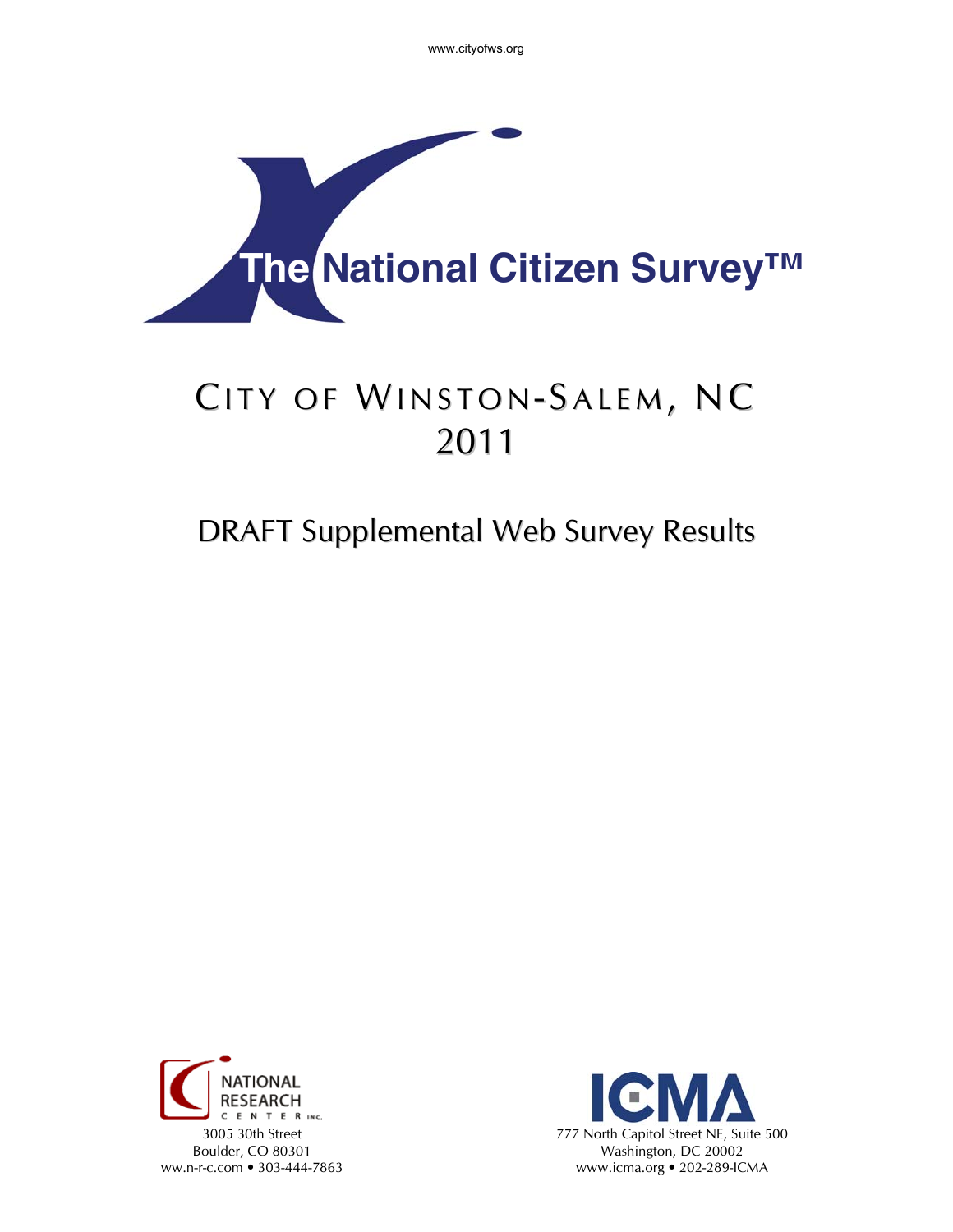www.cityofws.org



# CITY OF WINSTON-SALEM, NC 2011

## DRAFT Supplemental Web Survey Results



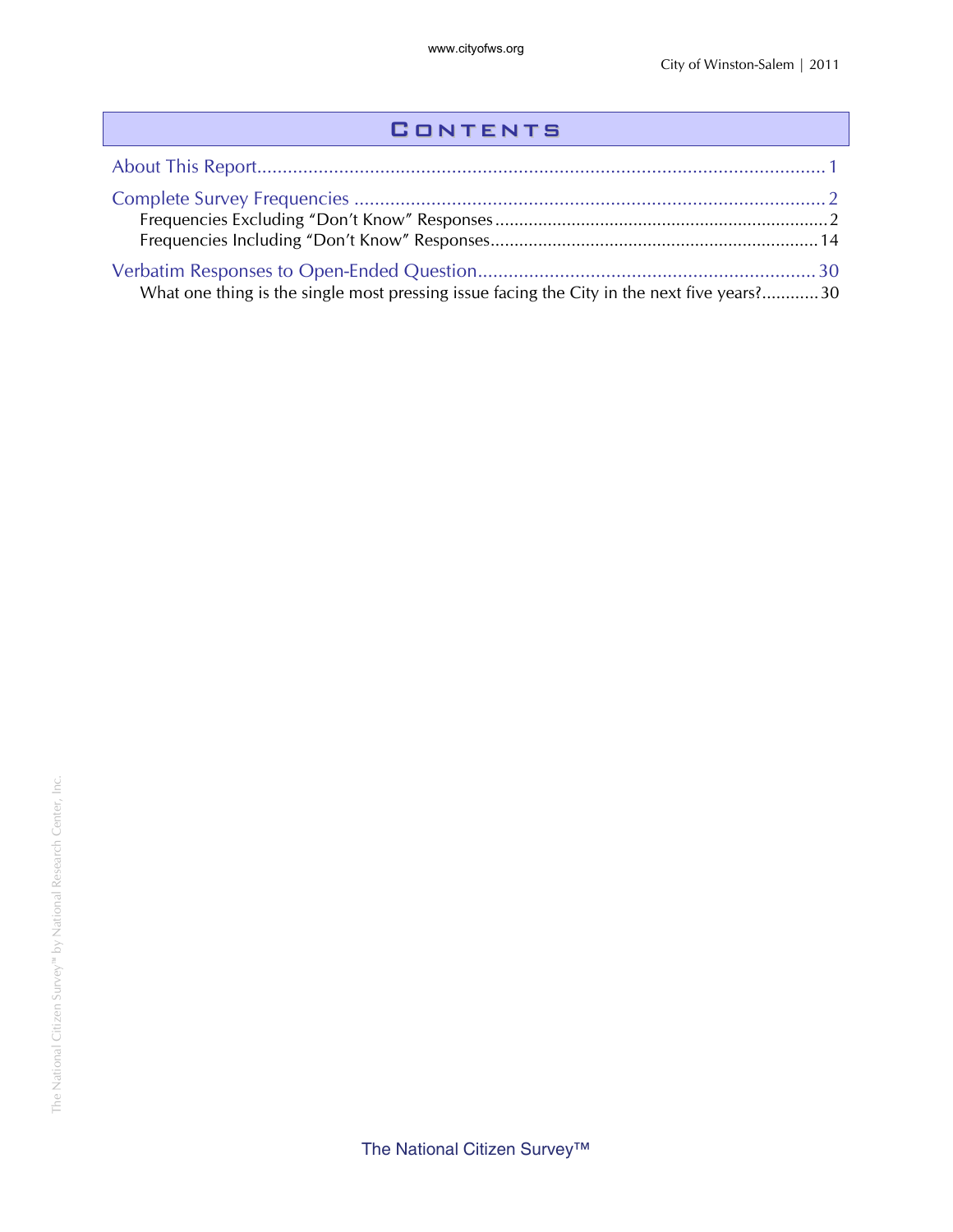#### **CONTENTS**

| What one thing is the single most pressing issue facing the City in the next five years?30 |  |
|--------------------------------------------------------------------------------------------|--|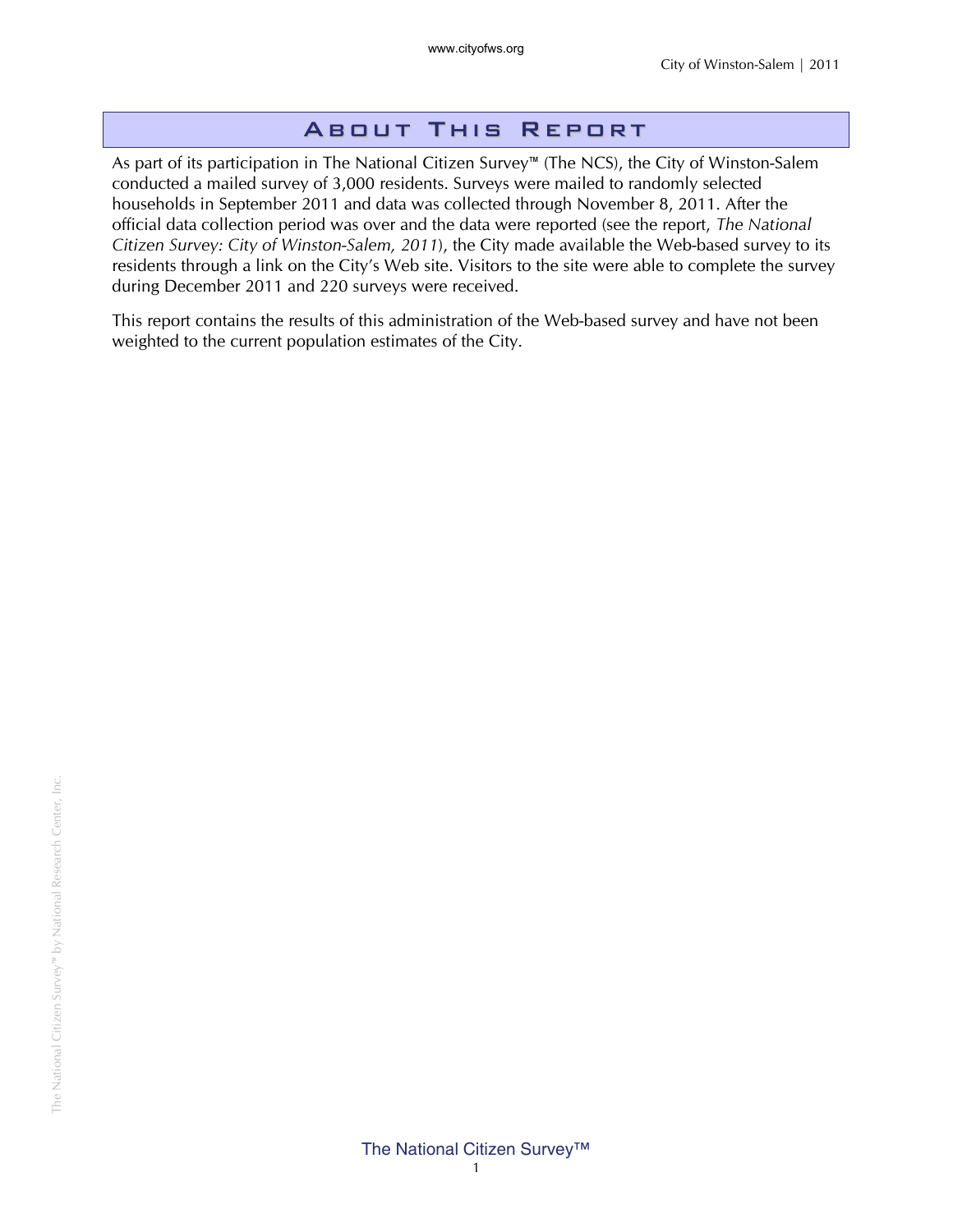#### About This Report

As part of its participation in The National Citizen Survey™ (The NCS), the City of Winston-Salem conducted a mailed survey of 3,000 residents. Surveys were mailed to randomly selected households in September 2011 and data was collected through November 8, 2011. After the official data collection period was over and the data were reported (see the report, *The National Citizen Survey: City of Winston-Salem, 2011*), the City made available the Web-based survey to its residents through a link on the City's Web site. Visitors to the site were able to complete the survey during December 2011 and 220 surveys were received.

This report contains the results of this administration of the Web-based survey and have not been weighted to the current population estimates of the City.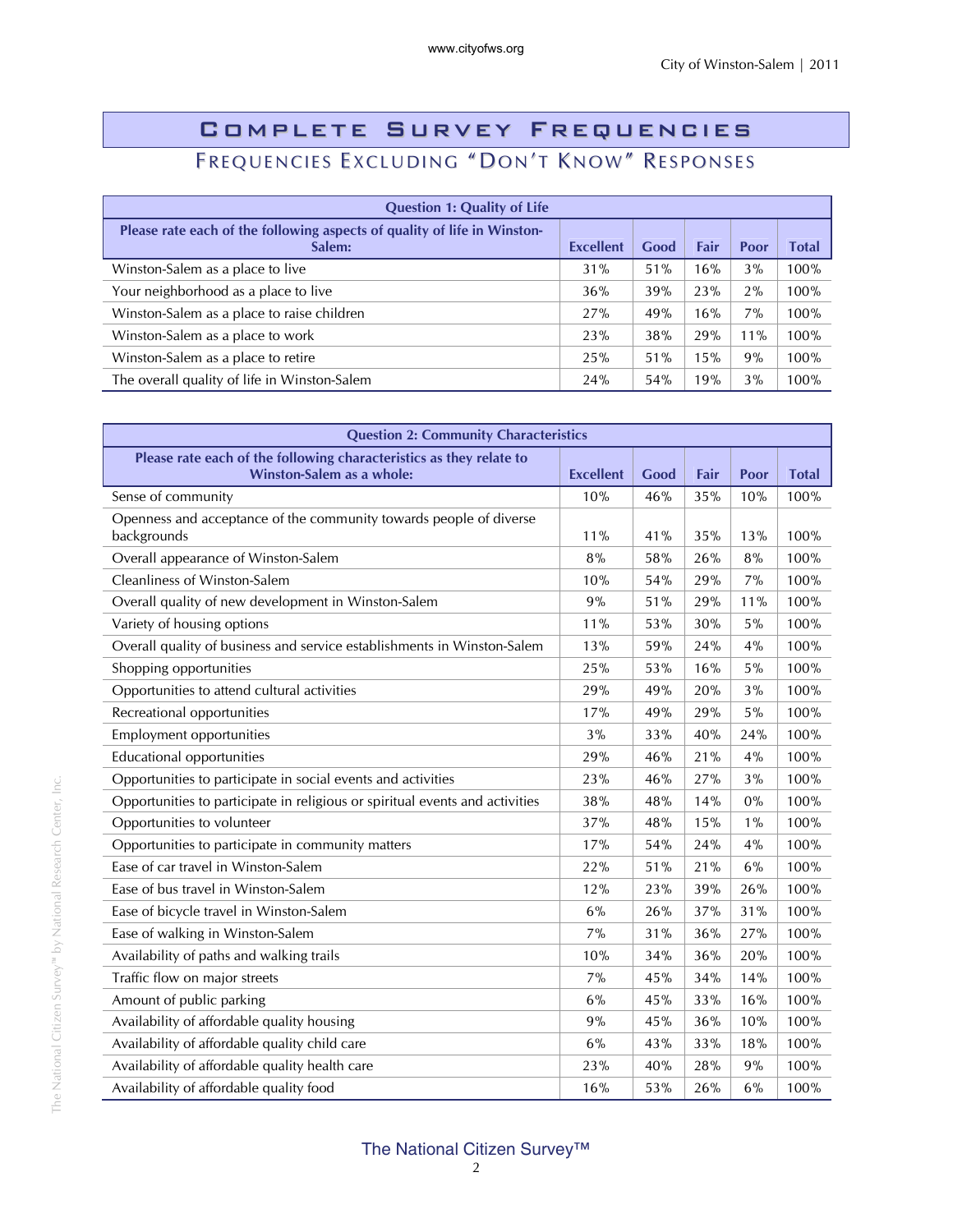### Complete Survey Frequencies FREQUENCIES EXCLUDING "DON'T KNOW" RESPONSES

| <b>Question 1: Quality of Life</b>                                                 |                  |      |      |       |       |
|------------------------------------------------------------------------------------|------------------|------|------|-------|-------|
| Please rate each of the following aspects of quality of life in Winston-<br>Salem: | <b>Excellent</b> | Good | Fair | Poor  | Total |
| Winston-Salem as a place to live                                                   | 31%              | 51%  | 16%  | 3%    | 100%  |
| Your neighborhood as a place to live                                               | 36%              | 39%  | 23%  | 2%    | 100%  |
| Winston-Salem as a place to raise children                                         | 27%              | 49%  | 16%  | $7\%$ | 100%  |
| Winston-Salem as a place to work                                                   | 23%              | 38%  | 29%  | 11%   | 100%  |
| Winston-Salem as a place to retire                                                 | 25%              | 51%  | 15%  | 9%    | 100%  |
| The overall quality of life in Winston-Salem                                       | 24%              | 54%  | 19%  | 3%    | 100%  |

| <b>Question 2: Community Characteristics</b>                                                     |                  |      |      |       |              |
|--------------------------------------------------------------------------------------------------|------------------|------|------|-------|--------------|
| Please rate each of the following characteristics as they relate to<br>Winston-Salem as a whole: | <b>Excellent</b> | Good | Fair | Poor  | <b>Total</b> |
| Sense of community                                                                               | 10%              | 46%  | 35%  | 10%   | 100%         |
| Openness and acceptance of the community towards people of diverse<br>backgrounds                | 11%              | 41%  | 35%  | 13%   | 100%         |
| Overall appearance of Winston-Salem                                                              | 8%               | 58%  | 26%  | 8%    | 100%         |
| Cleanliness of Winston-Salem                                                                     | 10%              | 54%  | 29%  | 7%    | 100%         |
| Overall quality of new development in Winston-Salem                                              | 9%               | 51%  | 29%  | 11%   | 100%         |
| Variety of housing options                                                                       | 11%              | 53%  | 30%  | 5%    | 100%         |
| Overall quality of business and service establishments in Winston-Salem                          | 13%              | 59%  | 24%  | 4%    | 100%         |
| Shopping opportunities                                                                           | 25%              | 53%  | 16%  | 5%    | 100%         |
| Opportunities to attend cultural activities                                                      | 29%              | 49%  | 20%  | 3%    | 100%         |
| Recreational opportunities                                                                       | 17%              | 49%  | 29%  | 5%    | 100%         |
| <b>Employment opportunities</b>                                                                  | 3%               | 33%  | 40%  | 24%   | 100%         |
| <b>Educational opportunities</b>                                                                 | 29%              | 46%  | 21%  | 4%    | 100%         |
| Opportunities to participate in social events and activities                                     | 23%              | 46%  | 27%  | 3%    | 100%         |
| Opportunities to participate in religious or spiritual events and activities                     | 38%              | 48%  | 14%  | 0%    | 100%         |
| Opportunities to volunteer                                                                       | 37%              | 48%  | 15%  | $1\%$ | 100%         |
| Opportunities to participate in community matters                                                | 17%              | 54%  | 24%  | 4%    | 100%         |
| Ease of car travel in Winston-Salem                                                              | 22%              | 51%  | 21%  | 6%    | 100%         |
| Ease of bus travel in Winston-Salem                                                              | 12%              | 23%  | 39%  | 26%   | 100%         |
| Ease of bicycle travel in Winston-Salem                                                          | 6%               | 26%  | 37%  | 31%   | 100%         |
| Ease of walking in Winston-Salem                                                                 | 7%               | 31%  | 36%  | 27%   | 100%         |
| Availability of paths and walking trails                                                         | 10%              | 34%  | 36%  | 20%   | 100%         |
| Traffic flow on major streets                                                                    | 7%               | 45%  | 34%  | 14%   | 100%         |
| Amount of public parking                                                                         | 6%               | 45%  | 33%  | 16%   | 100%         |
| Availability of affordable quality housing                                                       | 9%               | 45%  | 36%  | 10%   | 100%         |
| Availability of affordable quality child care                                                    | 6%               | 43%  | 33%  | 18%   | 100%         |
| Availability of affordable quality health care                                                   | 23%              | 40%  | 28%  | 9%    | 100%         |
| Availability of affordable quality food                                                          | 16%              | 53%  | 26%  | 6%    | 100%         |

#### The National Citizen Survey™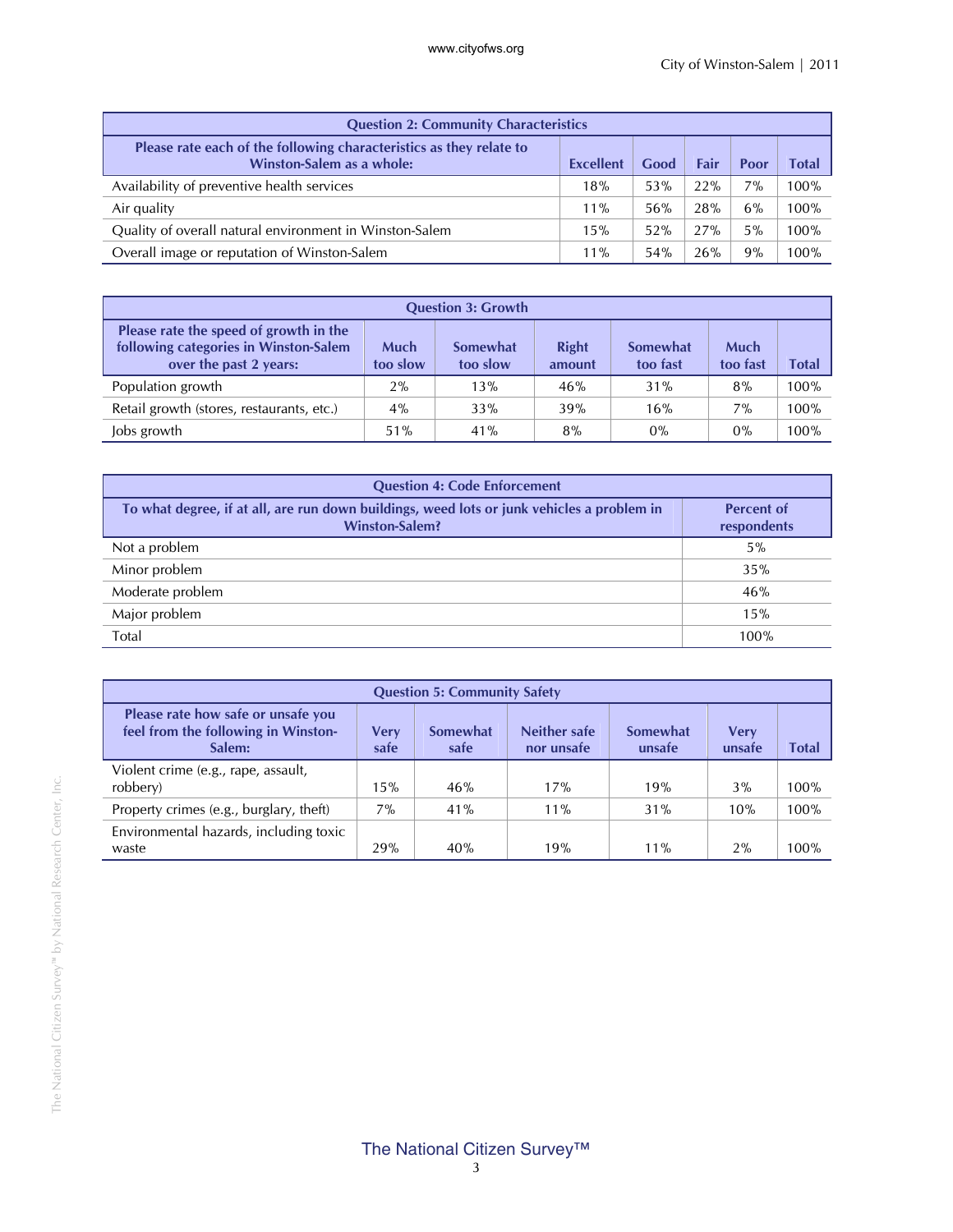| <b>Question 2: Community Characteristics</b>                                                     |                  |      |      |       |       |
|--------------------------------------------------------------------------------------------------|------------------|------|------|-------|-------|
| Please rate each of the following characteristics as they relate to<br>Winston-Salem as a whole: | <b>Excellent</b> | Good | Fair | Poor  | Total |
| Availability of preventive health services                                                       | 18%              | 53%  | 22%  | $7\%$ | 100%  |
| Air quality                                                                                      | $11\%$           | 56%  | 28%  | 6%    | 100%  |
| Quality of overall natural environment in Winston-Salem                                          | 15%              | 52%  | 27%  | 5%    | 100%  |
| Overall image or reputation of Winston-Salem                                                     | $11\%$           | 54%  | 26%  | 9%    | 100%  |

| <b>Question 3: Growth</b>                                                                                 |                  |                      |                        |                      |                         |       |
|-----------------------------------------------------------------------------------------------------------|------------------|----------------------|------------------------|----------------------|-------------------------|-------|
| Please rate the speed of growth in the<br>following categories in Winston-Salem<br>over the past 2 years: | Much<br>too slow | Somewhat<br>too slow | <b>Right</b><br>amount | Somewhat<br>too fast | <b>Much</b><br>too fast | Total |
| Population growth                                                                                         | 2%               | 13%                  | 46%                    | 31%                  | 8%                      | 100%  |
| Retail growth (stores, restaurants, etc.)                                                                 | $4\%$            | 33%                  | 39%                    | 16%                  | $7\%$                   | 100%  |
| Jobs growth                                                                                               | 51%              | 41%                  | 8%                     | 0%                   | $0\%$                   | 100%  |

| <b>Question 4: Code Enforcement</b>                                                                                 |                                  |  |  |  |
|---------------------------------------------------------------------------------------------------------------------|----------------------------------|--|--|--|
| To what degree, if at all, are run down buildings, weed lots or junk vehicles a problem in<br><b>Winston-Salem?</b> | <b>Percent of</b><br>respondents |  |  |  |
| Not a problem                                                                                                       | $5\%$                            |  |  |  |
| Minor problem                                                                                                       | 35%                              |  |  |  |
| Moderate problem                                                                                                    | 46%                              |  |  |  |
| Major problem                                                                                                       | 15%                              |  |  |  |
| Total                                                                                                               | 100%                             |  |  |  |

| <b>Question 5: Community Safety</b>                                                 |              |                  |                            |                    |                |       |
|-------------------------------------------------------------------------------------|--------------|------------------|----------------------------|--------------------|----------------|-------|
| Please rate how safe or unsafe you<br>feel from the following in Winston-<br>Salem: | Verv<br>safe | Somewhat<br>safe | Neither safe<br>nor unsafe | Somewhat<br>unsafe | Very<br>unsafe | Total |
| Violent crime (e.g., rape, assault,<br>robbery)                                     | 15%          | 46%              | 17%                        | 19%                | 3%             | 100%  |
| Property crimes (e.g., burglary, theft)                                             | $7\%$        | 41%              | $11\%$                     | 31%                | 10%            | 100%  |
| Environmental hazards, including toxic<br>waste                                     | 29%          | 40%              | 19%                        | $11\%$             | 2%             | 100%  |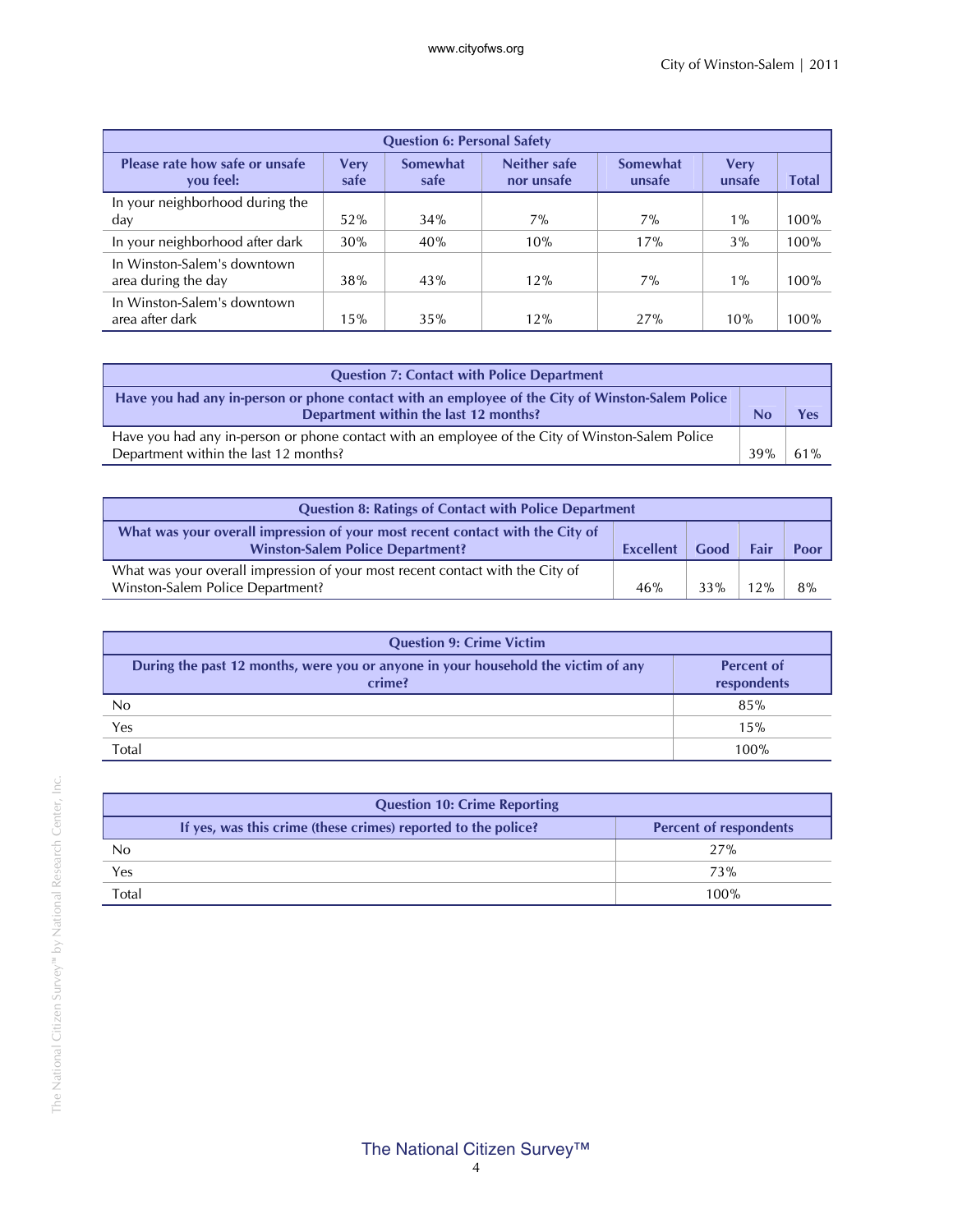| <b>Question 6: Personal Safety</b>                 |                     |                         |                                   |                    |                       |       |  |
|----------------------------------------------------|---------------------|-------------------------|-----------------------------------|--------------------|-----------------------|-------|--|
| Please rate how safe or unsafe<br>you feel:        | <b>Very</b><br>safe | <b>Somewhat</b><br>safe | <b>Neither safe</b><br>nor unsafe | Somewhat<br>unsafe | <b>Very</b><br>unsafe | Total |  |
| In your neighborhood during the<br>day             | 52%                 | 34%                     | $7\%$                             | $7\%$              | $1\%$                 | 100%  |  |
| In your neighborhood after dark                    | 30%                 | 40%                     | 10%                               | 17%                | $3\%$                 | 100%  |  |
| In Winston-Salem's downtown<br>area during the day | 38%                 | 43%                     | 12%                               | $7\%$              | $1\%$                 | 100%  |  |
| In Winston-Salem's downtown<br>area after dark     | 15%                 | 35%                     | 12%                               | 27%                | 10%                   | 100%  |  |

| <b>Question 7: Contact with Police Department</b>                                                                                         |     |     |  |
|-------------------------------------------------------------------------------------------------------------------------------------------|-----|-----|--|
| Have you had any in-person or phone contact with an employee of the City of Winston-Salem Police<br>Department within the last 12 months? |     |     |  |
| Have you had any in-person or phone contact with an employee of the City of Winston-Salem Police<br>Department within the last 12 months? | 39% | 61% |  |

| <b>Question 8: Ratings of Contact with Police Department</b>                                                                                                         |     |     |    |    |
|----------------------------------------------------------------------------------------------------------------------------------------------------------------------|-----|-----|----|----|
| What was your overall impression of your most recent contact with the City of<br>Good<br><b>Winston-Salem Police Department?</b><br>Fair<br>Poor<br><b>Excellent</b> |     |     |    |    |
| What was your overall impression of your most recent contact with the City of<br>Winston-Salem Police Department?                                                    | 46% | 33% | 2% | 8% |

| <b>Question 9: Crime Victim</b>                                                             |                                  |  |  |  |
|---------------------------------------------------------------------------------------------|----------------------------------|--|--|--|
| During the past 12 months, were you or anyone in your household the victim of any<br>crime? | <b>Percent of</b><br>respondents |  |  |  |
| No                                                                                          | 85%                              |  |  |  |
| Yes                                                                                         | 15%                              |  |  |  |
| Total                                                                                       | 100%                             |  |  |  |

|       | <b>Question 10: Crime Reporting</b>                           |                               |  |  |  |
|-------|---------------------------------------------------------------|-------------------------------|--|--|--|
|       | If yes, was this crime (these crimes) reported to the police? | <b>Percent of respondents</b> |  |  |  |
| No    |                                                               | 27%                           |  |  |  |
| Yes   |                                                               | 73%                           |  |  |  |
| Total |                                                               | 100%                          |  |  |  |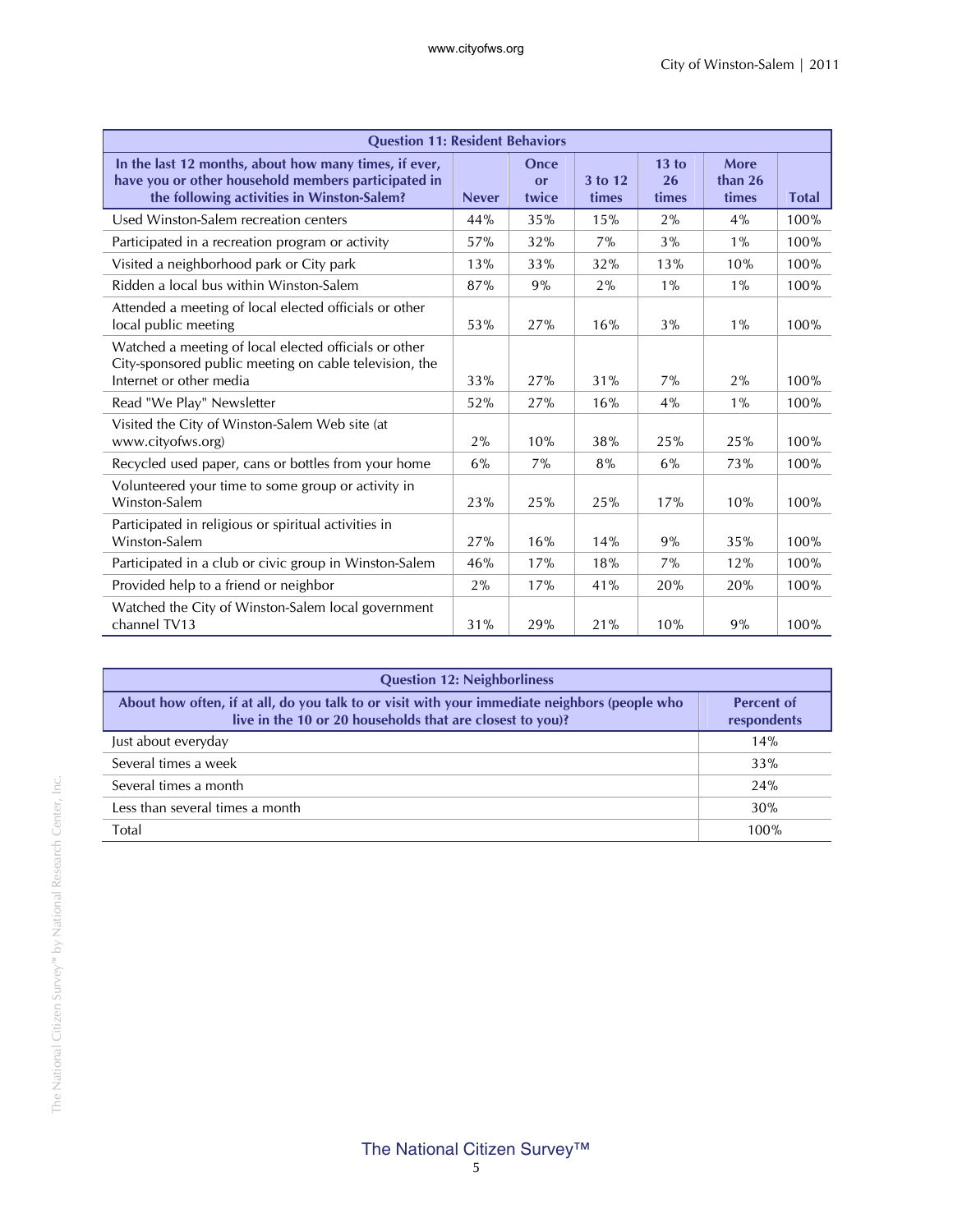| <b>Question 11: Resident Behaviors</b>                                                                                                                     |              |                     |                  |                      |                          |              |
|------------------------------------------------------------------------------------------------------------------------------------------------------------|--------------|---------------------|------------------|----------------------|--------------------------|--------------|
| In the last 12 months, about how many times, if ever,<br>have you or other household members participated in<br>the following activities in Winston-Salem? | <b>Never</b> | Once<br>or<br>twice | 3 to 12<br>times | 13 to<br>26<br>times | More<br>than 26<br>times | <b>Total</b> |
| Used Winston-Salem recreation centers                                                                                                                      | 44%          | 35%                 | 15%              | 2%                   | 4%                       | 100%         |
| Participated in a recreation program or activity                                                                                                           | 57%          | 32%                 | 7%               | 3%                   | $1\%$                    | 100%         |
| Visited a neighborhood park or City park                                                                                                                   | 13%          | 33%                 | 32%              | 13%                  | 10%                      | 100%         |
| Ridden a local bus within Winston-Salem                                                                                                                    | 87%          | 9%                  | 2%               | $1\%$                | $1\%$                    | 100%         |
| Attended a meeting of local elected officials or other<br>local public meeting                                                                             | 53%          | 27%                 | 16%              | 3%                   | $1\%$                    | 100%         |
| Watched a meeting of local elected officials or other<br>City-sponsored public meeting on cable television, the<br>Internet or other media                 | 33%          | 27%                 | 31%              | 7%                   | 2%                       | 100%         |
| Read "We Play" Newsletter                                                                                                                                  | 52%          | 27%                 | 16%              | 4%                   | $1\%$                    | 100%         |
| Visited the City of Winston-Salem Web site (at<br>www.cityofws.org)                                                                                        | 2%           | 10%                 | 38%              | 25%                  | 25%                      | 100%         |
| Recycled used paper, cans or bottles from your home                                                                                                        | 6%           | 7%                  | 8%               | 6%                   | 73%                      | 100%         |
| Volunteered your time to some group or activity in<br>Winston-Salem                                                                                        | 23%          | 25%                 | 25%              | 17%                  | 10%                      | 100%         |
| Participated in religious or spiritual activities in<br>Winston-Salem                                                                                      | 27%          | 16%                 | 14%              | 9%                   | 35%                      | 100%         |
| Participated in a club or civic group in Winston-Salem                                                                                                     | 46%          | 17%                 | 18%              | 7%                   | 12%                      | 100%         |
| Provided help to a friend or neighbor                                                                                                                      | 2%           | 17%                 | 41%              | 20%                  | 20%                      | 100%         |
| Watched the City of Winston-Salem local government<br>channel TV13                                                                                         | 31%          | 29%                 | 21%              | 10%                  | 9%                       | 100%         |

| <b>Question 12: Neighborliness</b>                                                                                                                        |                                  |
|-----------------------------------------------------------------------------------------------------------------------------------------------------------|----------------------------------|
| About how often, if at all, do you talk to or visit with your immediate neighbors (people who<br>live in the 10 or 20 households that are closest to you? | <b>Percent of</b><br>respondents |
| Just about everyday                                                                                                                                       | 14%                              |
| Several times a week                                                                                                                                      | 33%                              |
| Several times a month                                                                                                                                     | 24%                              |
| Less than several times a month                                                                                                                           | 30%                              |
| Total                                                                                                                                                     | 100%                             |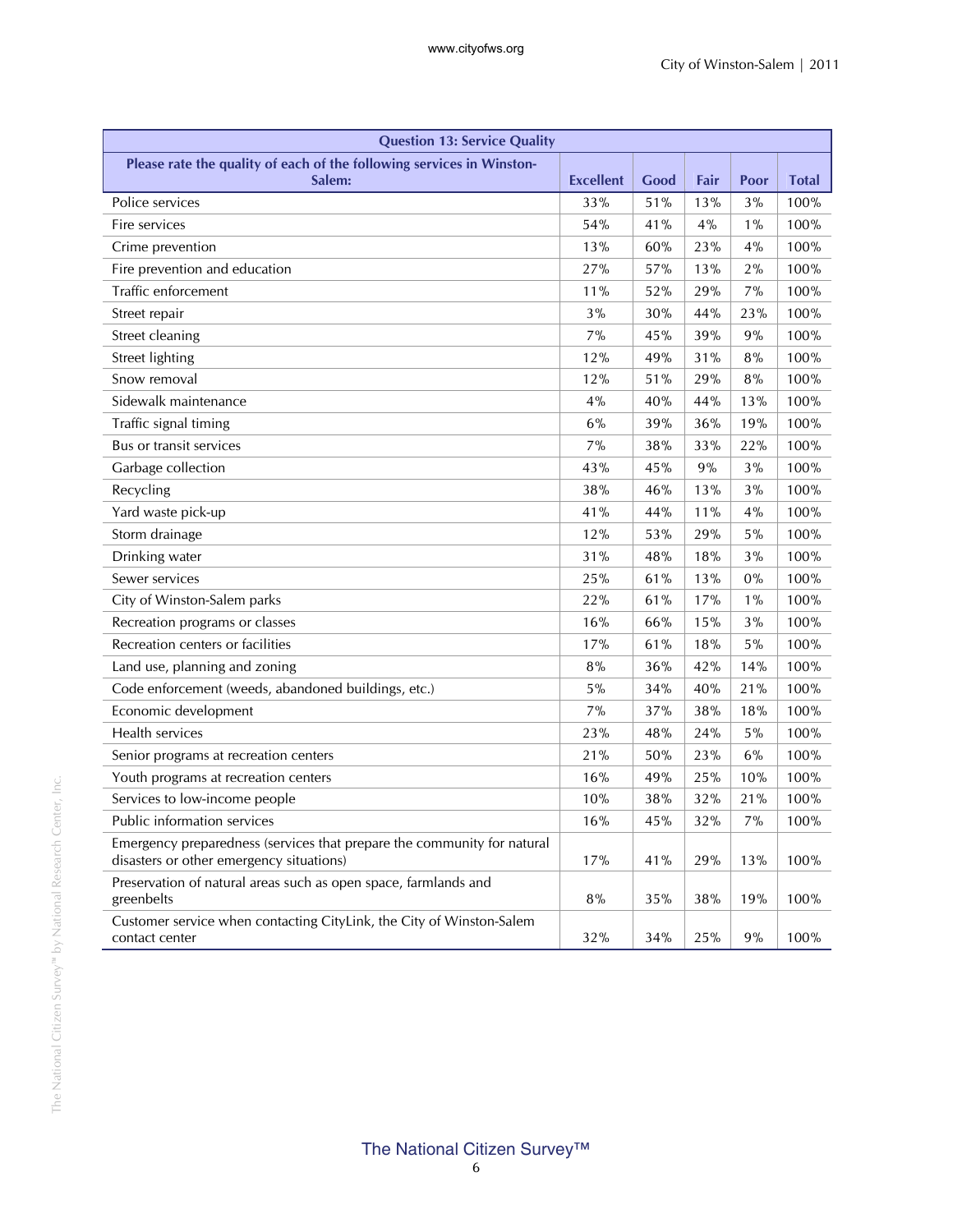| <b>Question 13: Service Quality</b>                                                                                 |                  |      |      |       |              |  |  |
|---------------------------------------------------------------------------------------------------------------------|------------------|------|------|-------|--------------|--|--|
| Please rate the quality of each of the following services in Winston-<br>Salem:                                     | <b>Excellent</b> | Good | Fair | Poor  | <b>Total</b> |  |  |
| Police services                                                                                                     | 33%              | 51%  | 13%  | 3%    | 100%         |  |  |
| Fire services                                                                                                       | 54%              | 41%  | 4%   | $1\%$ | 100%         |  |  |
| Crime prevention                                                                                                    | 13%              | 60%  | 23%  | 4%    | 100%         |  |  |
| Fire prevention and education                                                                                       | 27%              | 57%  | 13%  | 2%    | 100%         |  |  |
| Traffic enforcement                                                                                                 | 11%              | 52%  | 29%  | 7%    | 100%         |  |  |
| Street repair                                                                                                       | 3%               | 30%  | 44%  | 23%   | 100%         |  |  |
| Street cleaning                                                                                                     | 7%               | 45%  | 39%  | 9%    | 100%         |  |  |
| <b>Street lighting</b>                                                                                              | 12%              | 49%  | 31%  | 8%    | 100%         |  |  |
| Snow removal                                                                                                        | 12%              | 51%  | 29%  | 8%    | 100%         |  |  |
| Sidewalk maintenance                                                                                                | 4%               | 40%  | 44%  | 13%   | 100%         |  |  |
| Traffic signal timing                                                                                               | 6%               | 39%  | 36%  | 19%   | 100%         |  |  |
| Bus or transit services                                                                                             | 7%               | 38%  | 33%  | 22%   | 100%         |  |  |
| Garbage collection                                                                                                  | 43%              | 45%  | 9%   | 3%    | 100%         |  |  |
| Recycling                                                                                                           | 38%              | 46%  | 13%  | 3%    | 100%         |  |  |
| Yard waste pick-up                                                                                                  | 41%              | 44%  | 11%  | 4%    | 100%         |  |  |
| Storm drainage                                                                                                      | 12%              | 53%  | 29%  | 5%    | 100%         |  |  |
| Drinking water                                                                                                      | 31%              | 48%  | 18%  | 3%    | 100%         |  |  |
| Sewer services                                                                                                      | 25%              | 61%  | 13%  | 0%    | 100%         |  |  |
| City of Winston-Salem parks                                                                                         | 22%              | 61%  | 17%  | $1\%$ | 100%         |  |  |
| Recreation programs or classes                                                                                      | 16%              | 66%  | 15%  | 3%    | 100%         |  |  |
| Recreation centers or facilities                                                                                    | 17%              | 61%  | 18%  | 5%    | 100%         |  |  |
| Land use, planning and zoning                                                                                       | 8%               | 36%  | 42%  | 14%   | 100%         |  |  |
| Code enforcement (weeds, abandoned buildings, etc.)                                                                 | 5%               | 34%  | 40%  | 21%   | 100%         |  |  |
| Economic development                                                                                                | 7%               | 37%  | 38%  | 18%   | 100%         |  |  |
| Health services                                                                                                     | 23%              | 48%  | 24%  | 5%    | 100%         |  |  |
| Senior programs at recreation centers                                                                               | 21%              | 50%  | 23%  | 6%    | 100%         |  |  |
| Youth programs at recreation centers                                                                                | 16%              | 49%  | 25%  | 10%   | 100%         |  |  |
| Services to low-income people                                                                                       | 10%              | 38%  | 32%  | 21%   | 100%         |  |  |
| Public information services                                                                                         | 16%              | 45%  | 32%  | 7%    | 100%         |  |  |
| Emergency preparedness (services that prepare the community for natural<br>disasters or other emergency situations) | 17%              | 41%  | 29%  | 13%   | 100%         |  |  |
| Preservation of natural areas such as open space, farmlands and<br>greenbelts                                       | $8\%$            | 35%  | 38%  | 19%   | 100%         |  |  |
| Customer service when contacting CityLink, the City of Winston-Salem<br>contact center                              | 32%              | 34%  | 25%  | 9%    | 100%         |  |  |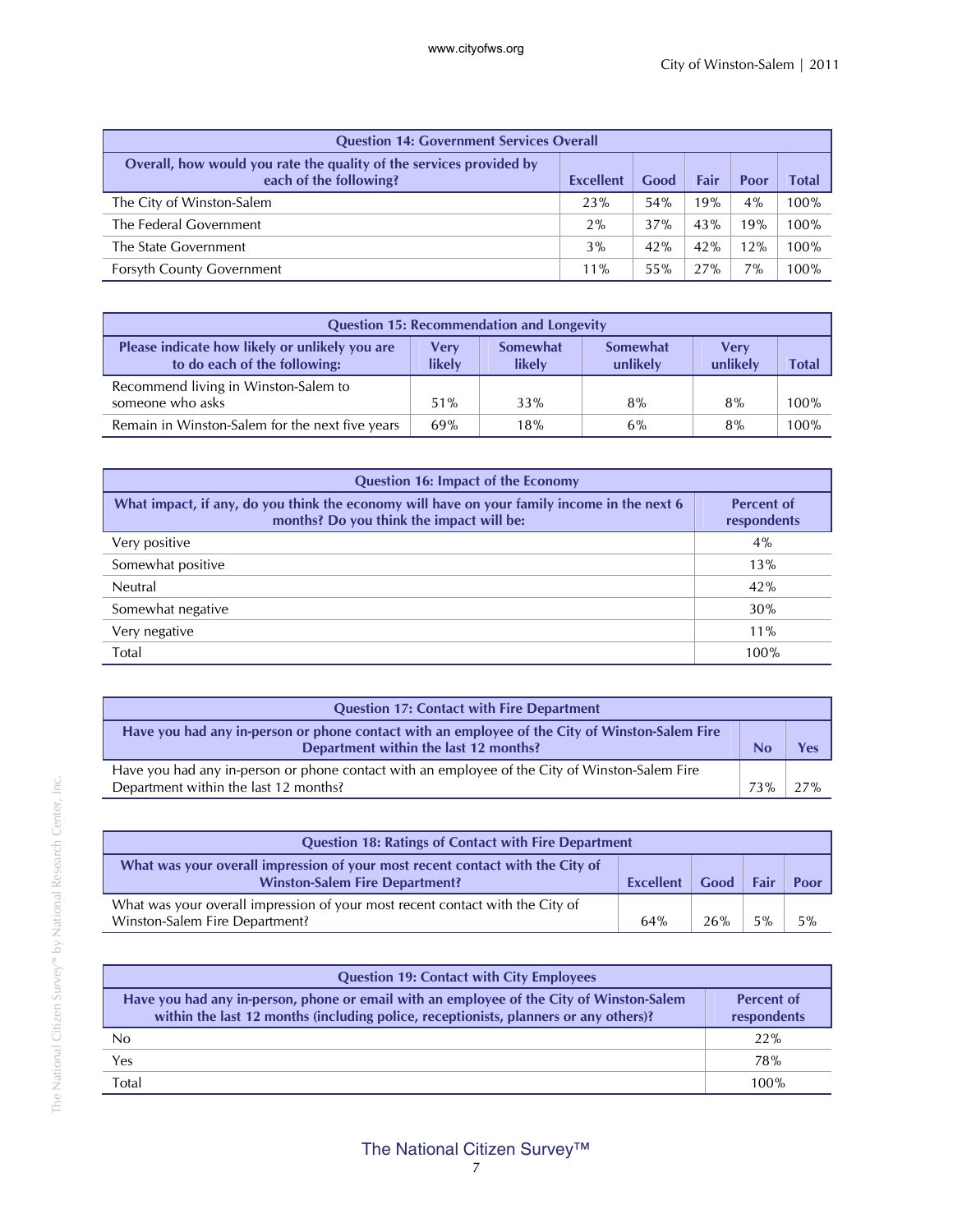| <b>Question 14: Government Services Overall</b>                                               |           |      |      |       |         |  |  |
|-----------------------------------------------------------------------------------------------|-----------|------|------|-------|---------|--|--|
| Overall, how would you rate the quality of the services provided by<br>each of the following? | Excellent | Good | Fair | Poor  | Total   |  |  |
| The City of Winston-Salem                                                                     | 23%       | 54%  | 19%  | $4\%$ | $100\%$ |  |  |
| The Federal Government                                                                        | 2%        | 37%  | 43%  | 19%   | $100\%$ |  |  |
| The State Government                                                                          | 3%        | 42%  | 42%  | 12%   | 100%    |  |  |
| <b>Forsyth County Government</b>                                                              | 11%       | 55%  | 27%  | 7%    | $100\%$ |  |  |

| <b>Question 15: Recommendation and Longevity</b>                               |                |                           |                             |                  |       |  |  |
|--------------------------------------------------------------------------------|----------------|---------------------------|-----------------------------|------------------|-------|--|--|
| Please indicate how likely or unlikely you are<br>to do each of the following: | Verv<br>likely | <b>Somewhat</b><br>likely | <b>Somewhat</b><br>unlikely | Verv<br>unlikely | Total |  |  |
| Recommend living in Winston-Salem to<br>someone who asks                       | 51%            | 33%                       | 8%                          | 8%               | 100%  |  |  |
| Remain in Winston-Salem for the next five years                                | 69%            | 18%                       | 6%                          | 8%               | 100%  |  |  |

| <b>Question 16: Impact of the Economy</b>                                                                                               |                                  |  |  |  |  |
|-----------------------------------------------------------------------------------------------------------------------------------------|----------------------------------|--|--|--|--|
| What impact, if any, do you think the economy will have on your family income in the next 6<br>months? Do you think the impact will be: | <b>Percent of</b><br>respondents |  |  |  |  |
| Very positive                                                                                                                           | 4%                               |  |  |  |  |
| Somewhat positive                                                                                                                       | 13%                              |  |  |  |  |
| Neutral                                                                                                                                 | 42%                              |  |  |  |  |
| Somewhat negative                                                                                                                       | 30%                              |  |  |  |  |
| Very negative                                                                                                                           | 11%                              |  |  |  |  |
| Total                                                                                                                                   | 100%                             |  |  |  |  |

| <b>Question 17: Contact with Fire Department</b>                                                                                        |     |  |
|-----------------------------------------------------------------------------------------------------------------------------------------|-----|--|
| Have you had any in-person or phone contact with an employee of the City of Winston-Salem Fire<br>Department within the last 12 months? |     |  |
| Have you had any in-person or phone contact with an employee of the City of Winston-Salem Fire<br>Department within the last 12 months? | 73% |  |

| <b>Question 18: Ratings of Contact with Fire Department</b>                                                                                                |     |     |    |      |  |
|------------------------------------------------------------------------------------------------------------------------------------------------------------|-----|-----|----|------|--|
| What was your overall impression of your most recent contact with the City of<br>Good<br><b>Winston-Salem Fire Department?</b><br>Fair<br><b>Excellent</b> |     |     |    | Poor |  |
| What was your overall impression of your most recent contact with the City of<br>Winston-Salem Fire Department?                                            | 64% | 26% | 5% | 5%   |  |

| <b>Question 19: Contact with City Employees</b>                                                                                                                                  |                                  |
|----------------------------------------------------------------------------------------------------------------------------------------------------------------------------------|----------------------------------|
| Have you had any in-person, phone or email with an employee of the City of Winston-Salem<br>within the last 12 months (including police, receptionists, planners or any others)? | <b>Percent of</b><br>respondents |
| No                                                                                                                                                                               | 22%                              |
| Yes                                                                                                                                                                              | <b>78%</b>                       |
| <b>Total</b>                                                                                                                                                                     | 100%                             |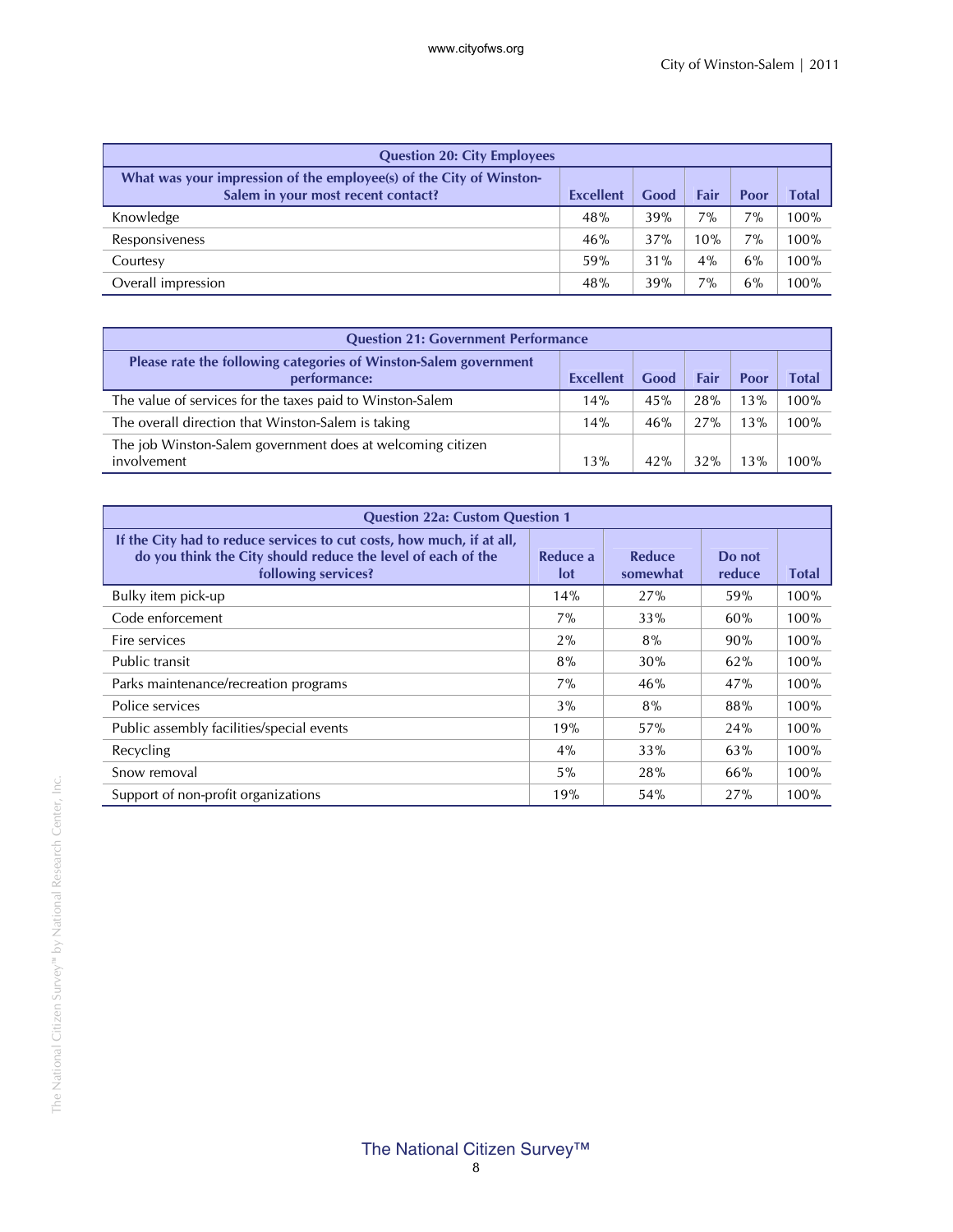| <b>Question 20: City Employees</b>                                                                        |                  |      |       |       |       |
|-----------------------------------------------------------------------------------------------------------|------------------|------|-------|-------|-------|
| What was your impression of the employee(s) of the City of Winston-<br>Salem in your most recent contact? | <b>Excellent</b> | Good | Fair  | Poor  | Total |
| Knowledge                                                                                                 | 48%              | 39%  | 7%    | $7\%$ | 100%  |
| Responsiveness                                                                                            | 46%              | 37%  | 10%   | 7%    | 100%  |
| Courtesy                                                                                                  | 59%              | 31%  | $4\%$ | 6%    | 100%  |
| Overall impression                                                                                        | 48%              | 39%  | 7%    | 6%    | 100%  |

| <b>Question 21: Government Performance</b>                                       |                  |      |      |      |       |  |
|----------------------------------------------------------------------------------|------------------|------|------|------|-------|--|
| Please rate the following categories of Winston-Salem government<br>performance: | <b>Excellent</b> | Good | Fair | Poor | Total |  |
| The value of services for the taxes paid to Winston-Salem                        | 14%              | 45%  | 28%  | 13%  | 100%  |  |
| The overall direction that Winston-Salem is taking                               | 14%              | 46%  | 27%  | 13%  | 100%  |  |
| The job Winston-Salem government does at welcoming citizen<br>involvement        | 13%              | 42%  | 32%  | 13%  | 100%  |  |

| <b>Question 22a: Custom Question 1</b>                                                                                                                       |                 |                    |                  |       |  |  |  |
|--------------------------------------------------------------------------------------------------------------------------------------------------------------|-----------------|--------------------|------------------|-------|--|--|--|
| If the City had to reduce services to cut costs, how much, if at all,<br>do you think the City should reduce the level of each of the<br>following services? | Reduce a<br>lot | Reduce<br>somewhat | Do not<br>reduce | Total |  |  |  |
| Bulky item pick-up                                                                                                                                           | 14%             | 27%                | 59%              | 100%  |  |  |  |
| Code enforcement                                                                                                                                             | 7%              | 33%                | 60%              | 100%  |  |  |  |
| Fire services                                                                                                                                                | $2\%$           | 8%                 | 90%              | 100%  |  |  |  |
| Public transit                                                                                                                                               | 8%              | 30%                | 62%              | 100%  |  |  |  |
| Parks maintenance/recreation programs                                                                                                                        | $7\%$           | 46%                | 47%              | 100%  |  |  |  |
| Police services                                                                                                                                              | 3%              | 8%                 | 88%              | 100%  |  |  |  |
| Public assembly facilities/special events                                                                                                                    | 19%             | 57%                | 24%              | 100%  |  |  |  |
| Recycling                                                                                                                                                    | $4\%$           | 33%                | 63%              | 100%  |  |  |  |
| Snow removal                                                                                                                                                 | $5\%$           | 28%                | 66%              | 100%  |  |  |  |
| Support of non-profit organizations                                                                                                                          | 19%             | 54%                | 27%              | 100%  |  |  |  |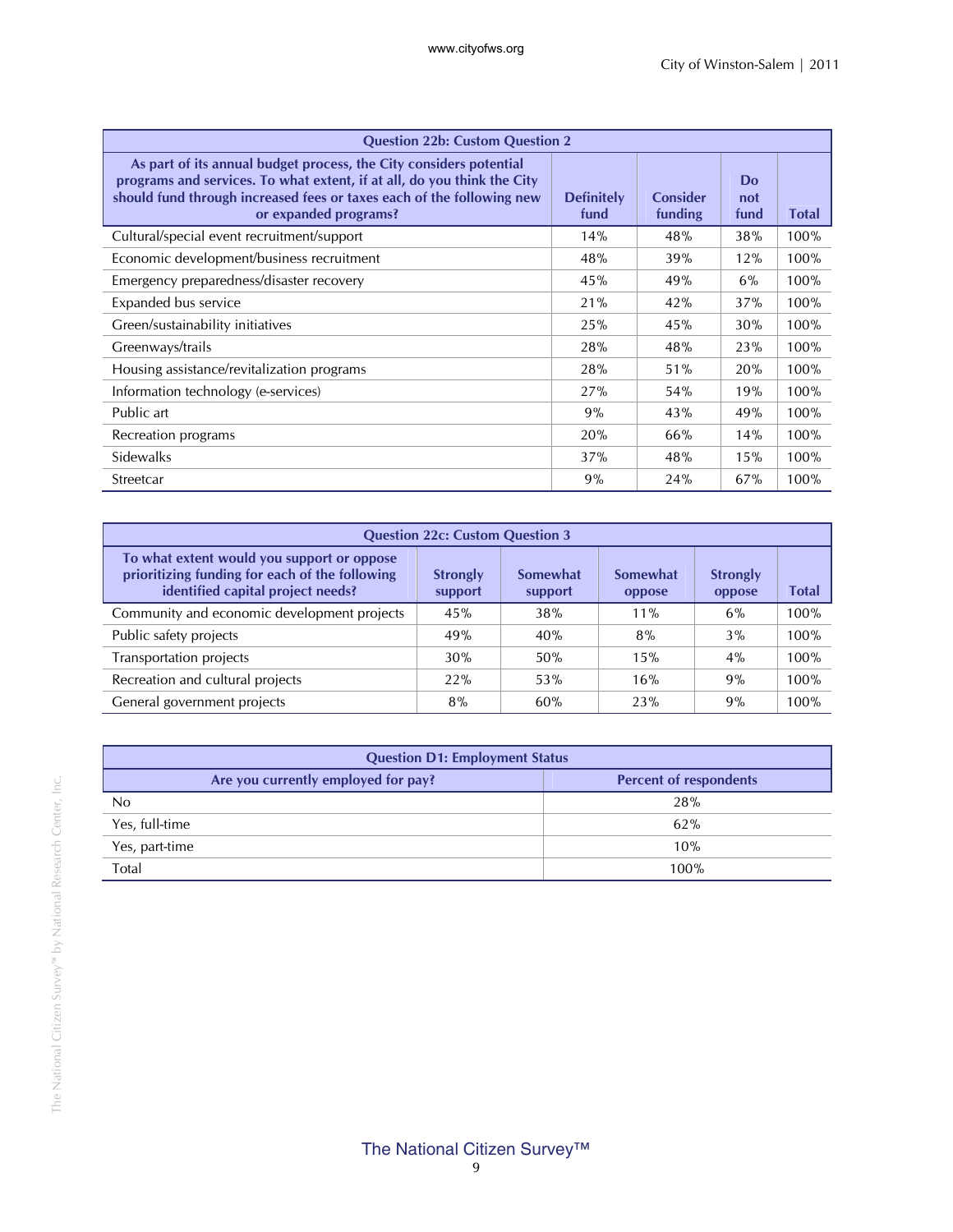| <b>Question 22b: Custom Question 2</b>                                                                                                                                                                                                          |                           |                     |                   |              |
|-------------------------------------------------------------------------------------------------------------------------------------------------------------------------------------------------------------------------------------------------|---------------------------|---------------------|-------------------|--------------|
| As part of its annual budget process, the City considers potential<br>programs and services. To what extent, if at all, do you think the City<br>should fund through increased fees or taxes each of the following new<br>or expanded programs? | <b>Definitely</b><br>fund | Consider<br>funding | Do<br>not<br>fund | <b>Total</b> |
| Cultural/special event recruitment/support                                                                                                                                                                                                      | 14%                       | 48%                 | 38%               | 100%         |
| Economic development/business recruitment                                                                                                                                                                                                       | 48%                       | 39%                 | 12%               | 100%         |
| Emergency preparedness/disaster recovery                                                                                                                                                                                                        | 45%                       | 49%                 | $6\%$             | 100%         |
| Expanded bus service                                                                                                                                                                                                                            | 21%                       | 42%                 | 37%               | 100%         |
| Green/sustainability initiatives                                                                                                                                                                                                                | 25%                       | 45%                 | 30%               | 100%         |
| Greenways/trails                                                                                                                                                                                                                                | 28%                       | 48%                 | 23%               | 100%         |
| Housing assistance/revitalization programs                                                                                                                                                                                                      | 28%                       | 51%                 | 20%               | 100%         |
| Information technology (e-services)                                                                                                                                                                                                             | 27%                       | 54%                 | 19%               | 100%         |
| Public art                                                                                                                                                                                                                                      | 9%                        | 43%                 | 49%               | 100%         |
| Recreation programs                                                                                                                                                                                                                             | 20%                       | 66%                 | 14%               | 100%         |
| Sidewalks                                                                                                                                                                                                                                       | 37%                       | 48%                 | 15%               | 100%         |
| Streetcar                                                                                                                                                                                                                                       | 9%                        | 24%                 | 67%               | 100%         |

| <b>Question 22c: Custom Question 3</b>                                                                                            |                            |                     |                    |                           |       |
|-----------------------------------------------------------------------------------------------------------------------------------|----------------------------|---------------------|--------------------|---------------------------|-------|
| To what extent would you support or oppose<br>prioritizing funding for each of the following<br>identified capital project needs? | <b>Strongly</b><br>support | Somewhat<br>support | Somewhat<br>oppose | <b>Strongly</b><br>oppose | Total |
| Community and economic development projects                                                                                       | 45%                        | 38%                 | $11\%$             | 6%                        | 100%  |
| Public safety projects                                                                                                            | 49%                        | 40%                 | 8%                 | 3%                        | 100%  |
| Transportation projects                                                                                                           | 30%                        | 50%                 | 15%                | 4%                        | 100%  |
| Recreation and cultural projects                                                                                                  | 22%                        | 53%                 | 16%                | 9%                        | 100%  |
| General government projects                                                                                                       | 8%                         | 60%                 | 23%                | 9%                        | 100%  |

| <b>Question D1: Employment Status</b> |                               |  |
|---------------------------------------|-------------------------------|--|
| Are you currently employed for pay?   | <b>Percent of respondents</b> |  |
| No                                    | 28%                           |  |
| Yes, full-time                        | 62%                           |  |
| Yes, part-time                        | 10%                           |  |
| Total                                 | 100%                          |  |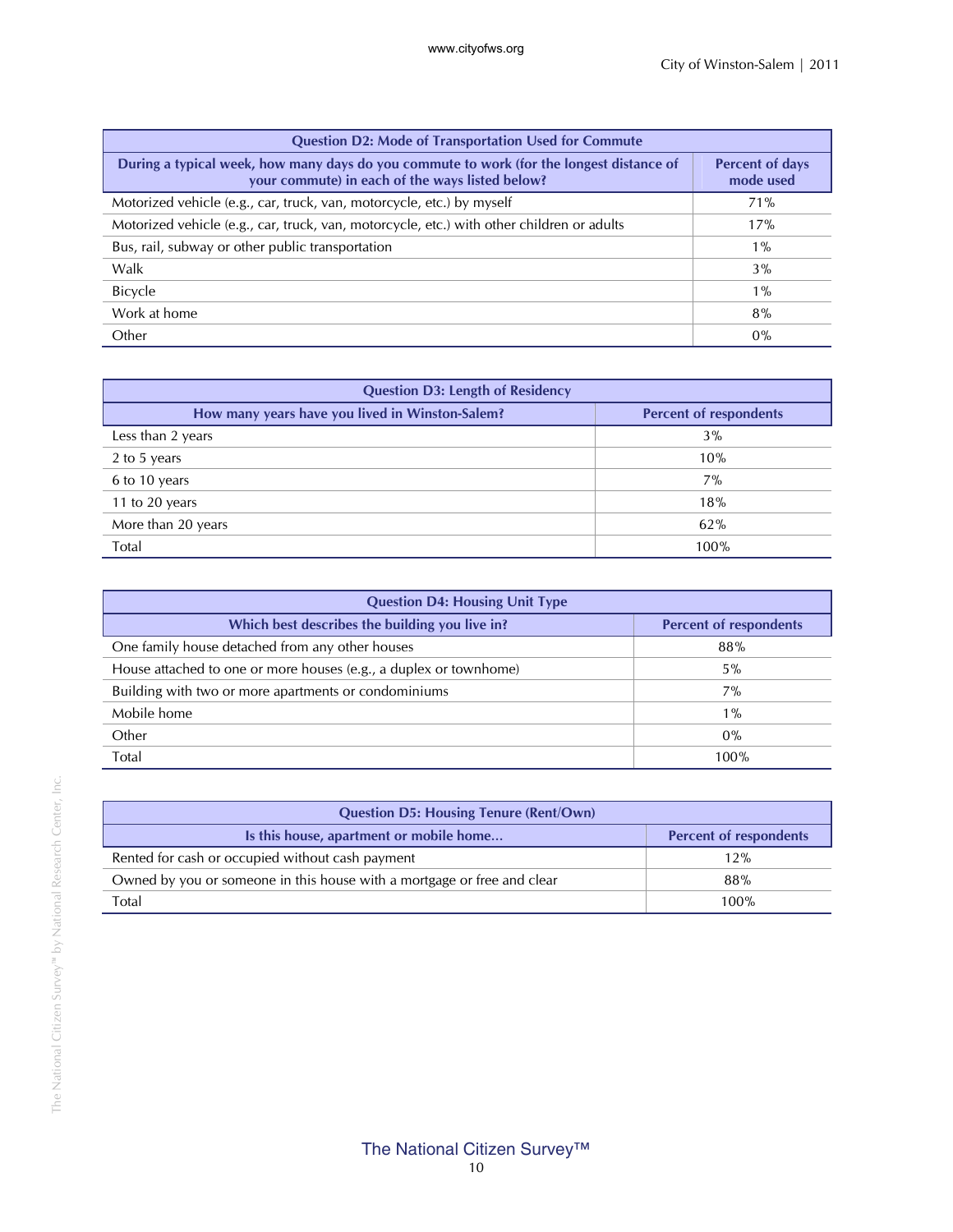| <b>Question D2: Mode of Transportation Used for Commute</b>                                                                                 |                                     |  |
|---------------------------------------------------------------------------------------------------------------------------------------------|-------------------------------------|--|
| During a typical week, how many days do you commute to work (for the longest distance of<br>your commute) in each of the ways listed below? | <b>Percent of days</b><br>mode used |  |
| Motorized vehicle (e.g., car, truck, van, motorcycle, etc.) by myself                                                                       | 71%                                 |  |
| Motorized vehicle (e.g., car, truck, van, motorcycle, etc.) with other children or adults                                                   | 17%                                 |  |
| Bus, rail, subway or other public transportation                                                                                            | $1\%$                               |  |
| Walk                                                                                                                                        | $3\%$                               |  |
| <b>Bicycle</b>                                                                                                                              | $1\%$                               |  |
| Work at home                                                                                                                                | 8%                                  |  |
| Other                                                                                                                                       | $0\%$                               |  |

| <b>Question D3: Length of Residency</b>         |                               |  |
|-------------------------------------------------|-------------------------------|--|
| How many years have you lived in Winston-Salem? | <b>Percent of respondents</b> |  |
| Less than 2 years                               | 3%                            |  |
| 2 to 5 years                                    | 10%                           |  |
| 6 to 10 years                                   | 7%                            |  |
| 11 to 20 years                                  | 18%                           |  |
| More than 20 years                              | 62%                           |  |
| Total                                           | 100%                          |  |

| <b>Question D4: Housing Unit Type</b>                             |                               |  |
|-------------------------------------------------------------------|-------------------------------|--|
| Which best describes the building you live in?                    | <b>Percent of respondents</b> |  |
| One family house detached from any other houses                   | 88%                           |  |
| House attached to one or more houses (e.g., a duplex or townhome) | $5\%$                         |  |
| Building with two or more apartments or condominiums              | 7%                            |  |
| Mobile home                                                       | $1\%$                         |  |
| Other                                                             | $0\%$                         |  |
| Total                                                             | 100%                          |  |

| <b>Question D5: Housing Tenure (Rent/Own)</b>                           |                               |  |
|-------------------------------------------------------------------------|-------------------------------|--|
| Is this house, apartment or mobile home                                 | <b>Percent of respondents</b> |  |
| Rented for cash or occupied without cash payment                        | 12%                           |  |
| Owned by you or someone in this house with a mortgage or free and clear | 88%                           |  |
| Total                                                                   | 100%                          |  |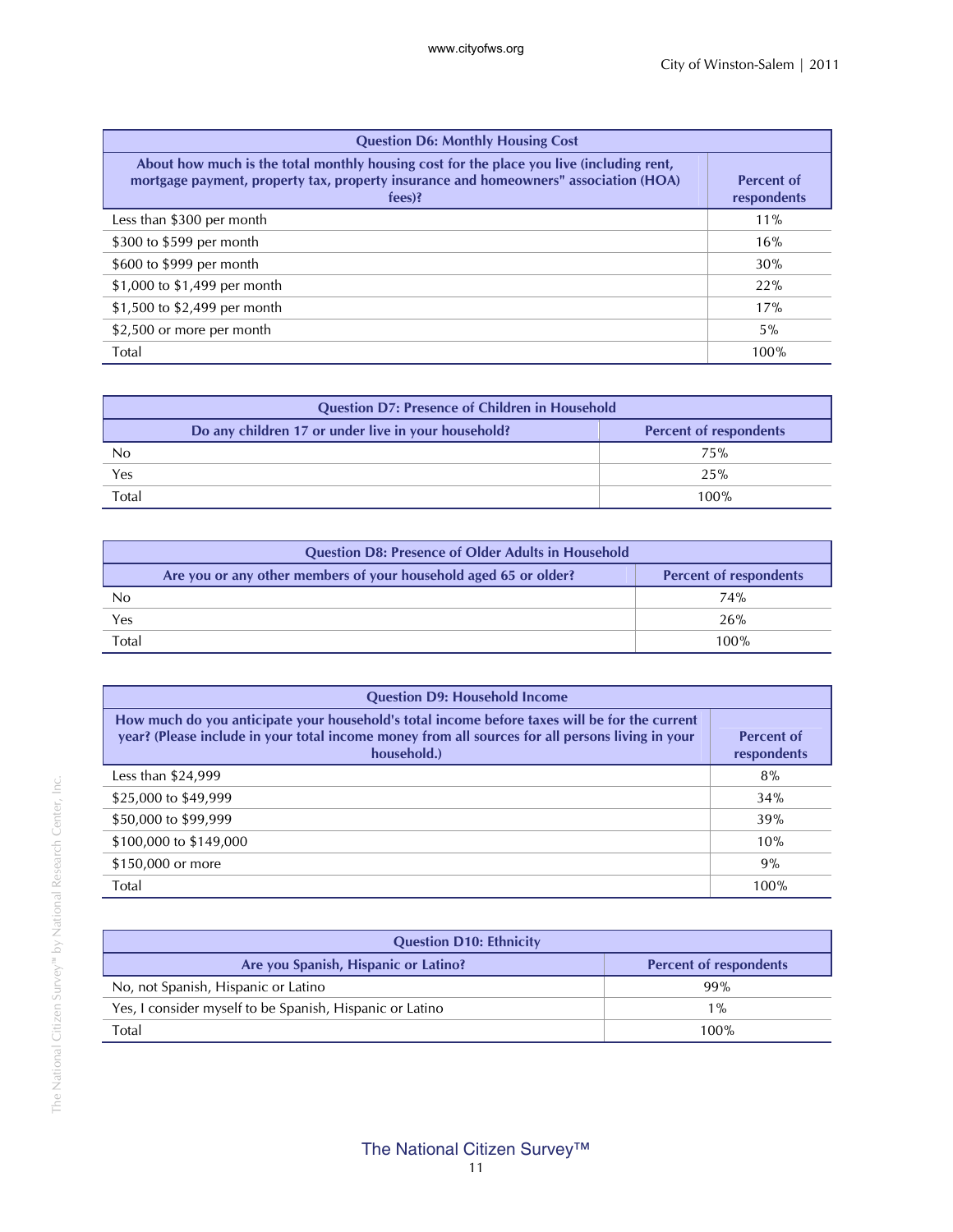| <b>Question D6: Monthly Housing Cost</b>                                                                                                                                                     |                                  |  |
|----------------------------------------------------------------------------------------------------------------------------------------------------------------------------------------------|----------------------------------|--|
| About how much is the total monthly housing cost for the place you live (including rent,<br>mortgage payment, property tax, property insurance and homeowners" association (HOA)<br>$fees$ ? | <b>Percent of</b><br>respondents |  |
| Less than \$300 per month                                                                                                                                                                    | $11\%$                           |  |
| \$300 to \$599 per month                                                                                                                                                                     | 16%                              |  |
| \$600 to \$999 per month                                                                                                                                                                     | 30%                              |  |
| \$1,000 to \$1,499 per month                                                                                                                                                                 | 22%                              |  |
| \$1,500 to \$2,499 per month                                                                                                                                                                 | 17%                              |  |
| \$2,500 or more per month                                                                                                                                                                    | $5\%$                            |  |
| Total                                                                                                                                                                                        | 100%                             |  |

| <b>Question D7: Presence of Children in Household</b> |                                                     |                               |
|-------------------------------------------------------|-----------------------------------------------------|-------------------------------|
|                                                       | Do any children 17 or under live in your household? | <b>Percent of respondents</b> |
| No                                                    |                                                     | 75%                           |
| Yes                                                   |                                                     | 25%                           |
| Total                                                 |                                                     | 100%                          |

| <b>Question D8: Presence of Older Adults in Household</b>        |                               |  |
|------------------------------------------------------------------|-------------------------------|--|
| Are you or any other members of your household aged 65 or older? | <b>Percent of respondents</b> |  |
| No                                                               | 74%                           |  |
| Yes                                                              | 26%                           |  |
| Total                                                            | 100%                          |  |

| <b>Question D9: Household Income</b>                                                                                                                                                                             |                                  |  |
|------------------------------------------------------------------------------------------------------------------------------------------------------------------------------------------------------------------|----------------------------------|--|
| How much do you anticipate your household's total income before taxes will be for the current<br>year? (Please include in your total income money from all sources for all persons living in your<br>household.) | <b>Percent of</b><br>respondents |  |
| Less than $$24,999$                                                                                                                                                                                              | 8%                               |  |
| \$25,000 to \$49,999                                                                                                                                                                                             | 34%                              |  |
| \$50,000 to \$99,999                                                                                                                                                                                             | 39%                              |  |
| \$100,000 to \$149,000                                                                                                                                                                                           | 10%                              |  |
| \$150,000 or more                                                                                                                                                                                                | 9%                               |  |
| Total                                                                                                                                                                                                            | 100%                             |  |

| <b>Question D10: Ethnicity</b>                           |                               |  |
|----------------------------------------------------------|-------------------------------|--|
| Are you Spanish, Hispanic or Latino?                     | <b>Percent of respondents</b> |  |
| No, not Spanish, Hispanic or Latino                      | 99%                           |  |
| Yes, I consider myself to be Spanish, Hispanic or Latino | $1\%$                         |  |
| Total                                                    | 100%                          |  |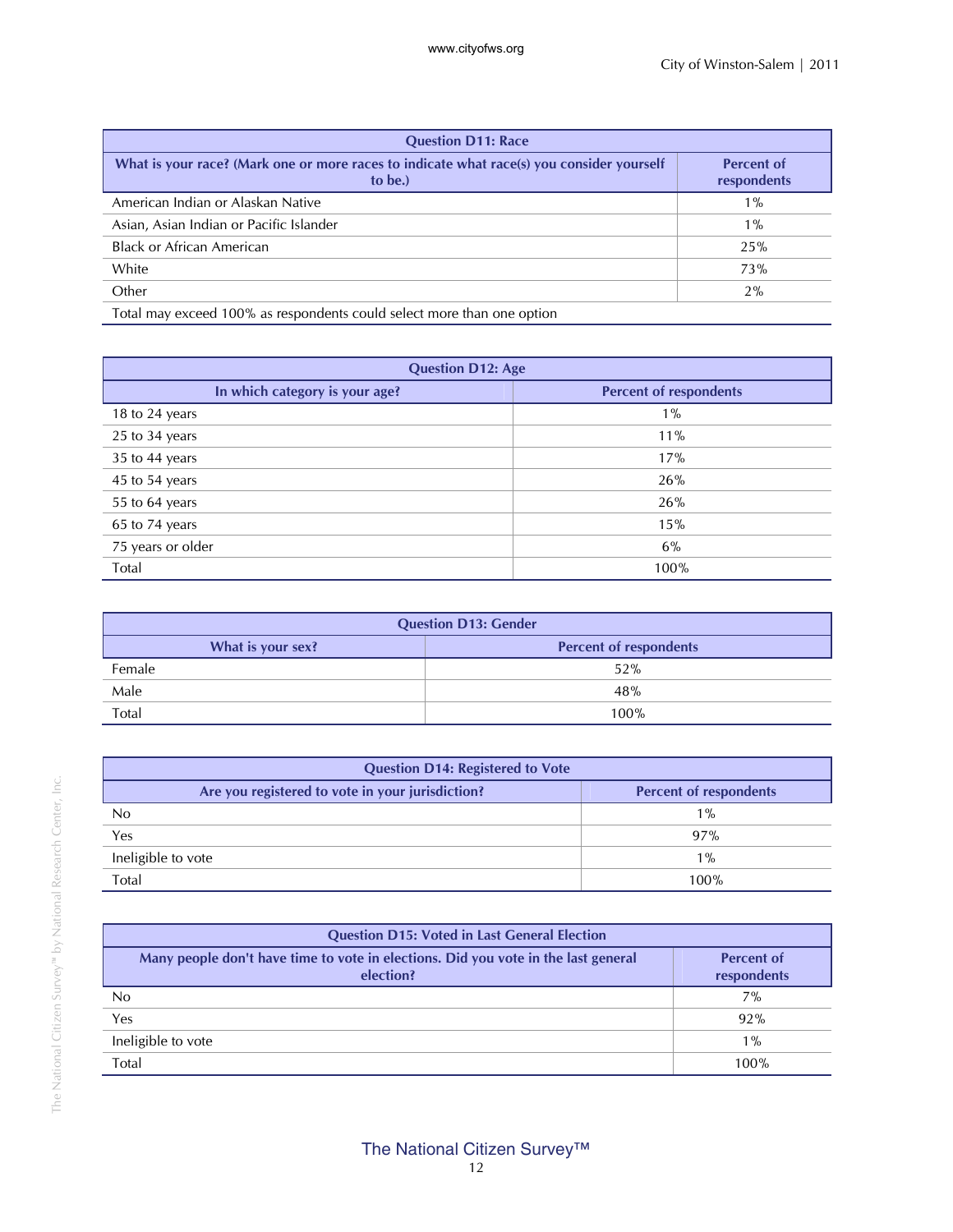| <b>Question D11: Race</b>                                                                            |                                  |  |  |  |  |  |  |  |  |
|------------------------------------------------------------------------------------------------------|----------------------------------|--|--|--|--|--|--|--|--|
| What is your race? (Mark one or more races to indicate what race(s) you consider yourself<br>to be.) | <b>Percent of</b><br>respondents |  |  |  |  |  |  |  |  |
| American Indian or Alaskan Native                                                                    | $1\%$                            |  |  |  |  |  |  |  |  |
| Asian, Asian Indian or Pacific Islander                                                              | $1\%$                            |  |  |  |  |  |  |  |  |
| <b>Black or African American</b>                                                                     | 25%                              |  |  |  |  |  |  |  |  |
| White                                                                                                | <b>73%</b>                       |  |  |  |  |  |  |  |  |
| Other                                                                                                | 2%                               |  |  |  |  |  |  |  |  |
| Total may exceed 100% as respondents could select more than one option                               |                                  |  |  |  |  |  |  |  |  |

| <b>Question D12: Age</b>       |                               |  |  |  |  |  |  |  |  |  |
|--------------------------------|-------------------------------|--|--|--|--|--|--|--|--|--|
| In which category is your age? | <b>Percent of respondents</b> |  |  |  |  |  |  |  |  |  |
| 18 to 24 years                 | $1\%$                         |  |  |  |  |  |  |  |  |  |
| 25 to 34 years                 | 11%                           |  |  |  |  |  |  |  |  |  |
| 35 to 44 years                 | 17%                           |  |  |  |  |  |  |  |  |  |
| 45 to 54 years                 | 26%                           |  |  |  |  |  |  |  |  |  |
| 55 to 64 years                 | 26%                           |  |  |  |  |  |  |  |  |  |
| 65 to 74 years                 | 15%                           |  |  |  |  |  |  |  |  |  |
| 75 years or older              | 6%                            |  |  |  |  |  |  |  |  |  |
| Total                          | 100%                          |  |  |  |  |  |  |  |  |  |

| <b>Question D13: Gender</b> |                               |  |  |  |  |  |  |  |  |
|-----------------------------|-------------------------------|--|--|--|--|--|--|--|--|
| What is your sex?           | <b>Percent of respondents</b> |  |  |  |  |  |  |  |  |
| Female                      | 52%                           |  |  |  |  |  |  |  |  |
| Male                        | 48%                           |  |  |  |  |  |  |  |  |
| Total                       | 100%                          |  |  |  |  |  |  |  |  |

| <b>Question D14: Registered to Vote</b>          |                               |  |  |  |  |  |  |  |  |  |
|--------------------------------------------------|-------------------------------|--|--|--|--|--|--|--|--|--|
| Are you registered to vote in your jurisdiction? | <b>Percent of respondents</b> |  |  |  |  |  |  |  |  |  |
| No                                               | $1\%$                         |  |  |  |  |  |  |  |  |  |
| Yes                                              | 97%                           |  |  |  |  |  |  |  |  |  |
| Ineligible to vote                               | $1\%$                         |  |  |  |  |  |  |  |  |  |
| Total                                            | 100%                          |  |  |  |  |  |  |  |  |  |

| <b>Question D15: Voted in Last General Election</b>                                             |                                  |  |  |  |  |  |  |  |  |  |
|-------------------------------------------------------------------------------------------------|----------------------------------|--|--|--|--|--|--|--|--|--|
| Many people don't have time to vote in elections. Did you vote in the last general<br>election? | <b>Percent of</b><br>respondents |  |  |  |  |  |  |  |  |  |
| No                                                                                              | 7%                               |  |  |  |  |  |  |  |  |  |
| Yes                                                                                             | 92%                              |  |  |  |  |  |  |  |  |  |
| Ineligible to vote                                                                              | $1\%$                            |  |  |  |  |  |  |  |  |  |
| Total                                                                                           | 100%                             |  |  |  |  |  |  |  |  |  |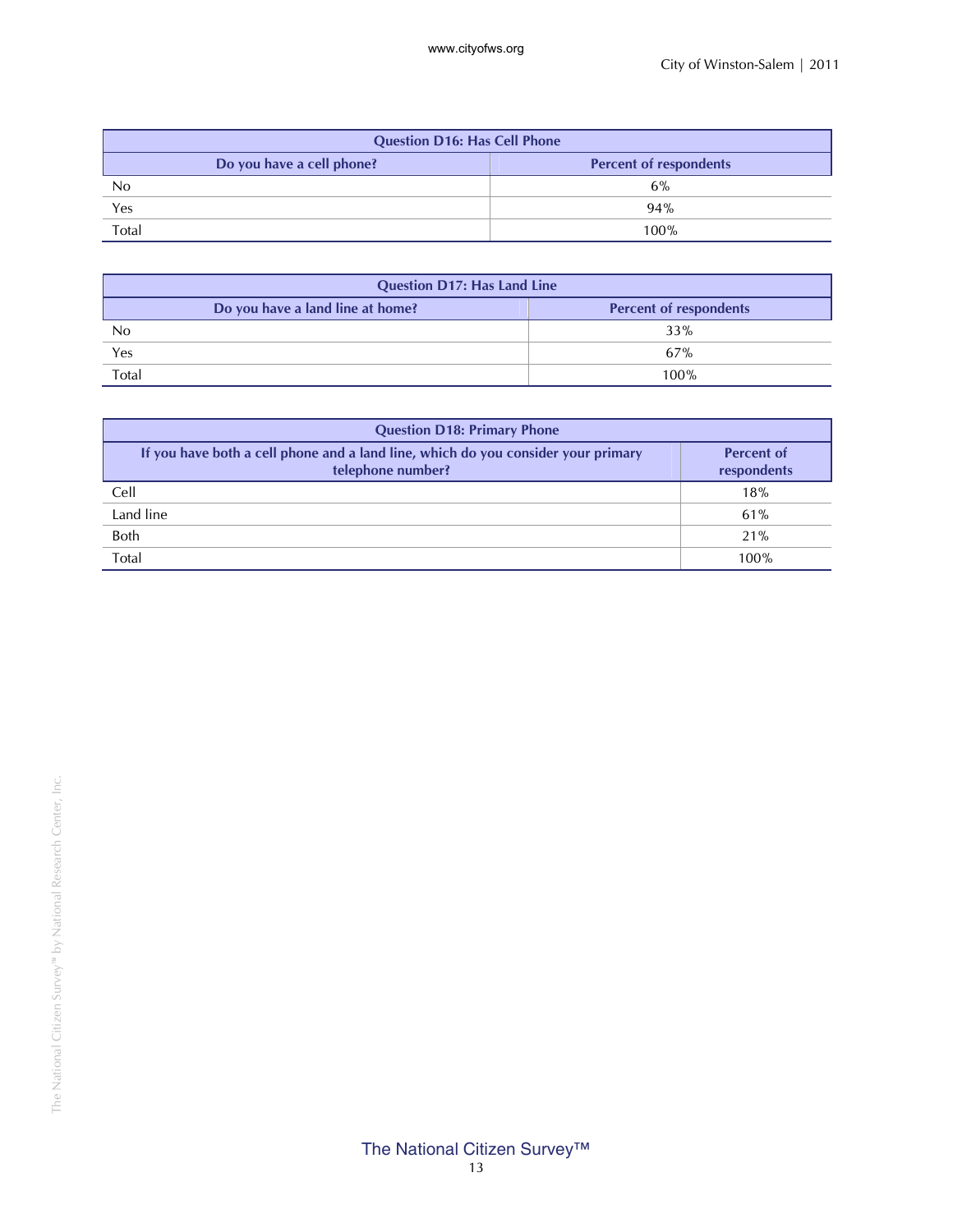| <b>Question D16: Has Cell Phone</b>    |                               |  |  |  |  |  |  |  |  |
|----------------------------------------|-------------------------------|--|--|--|--|--|--|--|--|
| Do you have a cell phone?<br>No<br>Yes | <b>Percent of respondents</b> |  |  |  |  |  |  |  |  |
|                                        | 6%                            |  |  |  |  |  |  |  |  |
|                                        | 94%                           |  |  |  |  |  |  |  |  |
| Total                                  | 100%                          |  |  |  |  |  |  |  |  |

| <b>Question D17: Has Land Line</b> |                               |  |  |  |  |  |  |  |  |
|------------------------------------|-------------------------------|--|--|--|--|--|--|--|--|
| Do you have a land line at home?   | <b>Percent of respondents</b> |  |  |  |  |  |  |  |  |
| No                                 | 33%                           |  |  |  |  |  |  |  |  |
| Yes                                | 67%                           |  |  |  |  |  |  |  |  |
| Total                              | 100%                          |  |  |  |  |  |  |  |  |

| <b>Question D18: Primary Phone</b>                                                                     |                                  |  |  |  |  |  |  |  |  |  |  |
|--------------------------------------------------------------------------------------------------------|----------------------------------|--|--|--|--|--|--|--|--|--|--|
| If you have both a cell phone and a land line, which do you consider your primary<br>telephone number? | <b>Percent of</b><br>respondents |  |  |  |  |  |  |  |  |  |  |
| Cell                                                                                                   | 18%                              |  |  |  |  |  |  |  |  |  |  |
| Land line                                                                                              | 61%                              |  |  |  |  |  |  |  |  |  |  |
| <b>Both</b>                                                                                            | 21%                              |  |  |  |  |  |  |  |  |  |  |
| Total                                                                                                  | 100%                             |  |  |  |  |  |  |  |  |  |  |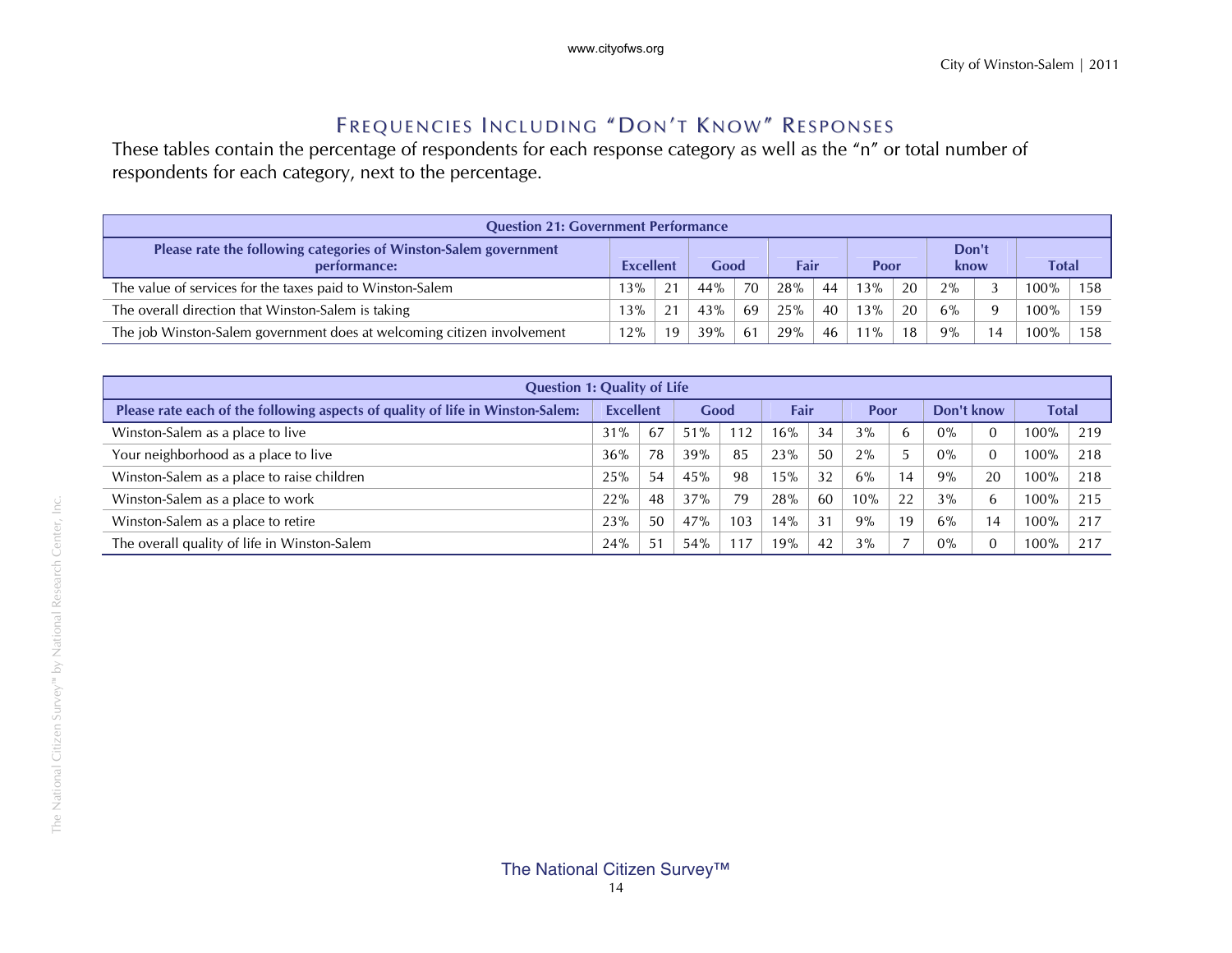#### Frequencies Including "Don't Know" Responses

These tables contain the percentage of respondents for each response category as well as the "n" or total number of respondents for each category, next to the percentage.

| <b>Question 21: Government Performance</b>                                       |                  |    |      |    |      |    |        |    |               |          |              |     |
|----------------------------------------------------------------------------------|------------------|----|------|----|------|----|--------|----|---------------|----------|--------------|-----|
| Please rate the following categories of Winston-Salem government<br>performance: | <b>Excellent</b> |    | Good |    | Fair |    | Poor   |    | Don't<br>know |          | <b>Total</b> |     |
| The value of services for the taxes paid to Winston-Salem                        | 13%              | 21 | 44%  | 70 | 28%  | 44 | 13%    | 20 | 2%            |          | 00% ا        | 158 |
| The overall direction that Winston-Salem is taking                               | 13%              | 21 | 43%  | 69 | 25%  | 40 | 13%    | 20 | 6%            | $\Omega$ | 100%         | 159 |
| The job Winston-Salem government does at welcoming citizen involvement           | 12%              | 19 | 39%  | 61 | 29%  | 46 | $11\%$ | 18 | 9%            | 14       | 100%         | 158 |

| <b>Question 1: Quality of Life</b>                                             |                  |    |      |     |      |    |       |    |            |                |              |     |
|--------------------------------------------------------------------------------|------------------|----|------|-----|------|----|-------|----|------------|----------------|--------------|-----|
| Please rate each of the following aspects of quality of life in Winston-Salem: | <b>Excellent</b> |    | Good |     | Fair |    | Poor  |    | Don't know |                | <b>Total</b> |     |
| Winston-Salem as a place to live                                               | 31%              | 67 | 51%  |     | 16%  | 34 | 3%    | h  | $0\%$      |                | 100%         | 219 |
| Your neighborhood as a place to live                                           | 36%              | 78 | 39%  | 85  | 23%  | 50 | 2%    |    | $0\%$      |                | $100\%$      | 218 |
| Winston-Salem as a place to raise children                                     | 25%              | 54 | 45%  | 98  | 15%  | 32 | $6\%$ | 14 | 9%         | 20             | 100%         | 218 |
| Winston-Salem as a place to work                                               | 22%              | 48 | 37%  | 79  | 28%  | 60 | 10%   | 22 | 3%         | b              | 100%         | 215 |
| Winston-Salem as a place to retire                                             | 23%              | 50 | 47%  | 103 | 14%  | 31 | 9%    | 19 | 6%         | $\overline{4}$ | 100%         | 217 |
| The overall quality of life in Winston-Salem                                   | 24%              | 51 | 54%  |     | 19%  | 42 | 3%    |    | $0\%$      |                | 100%         | 217 |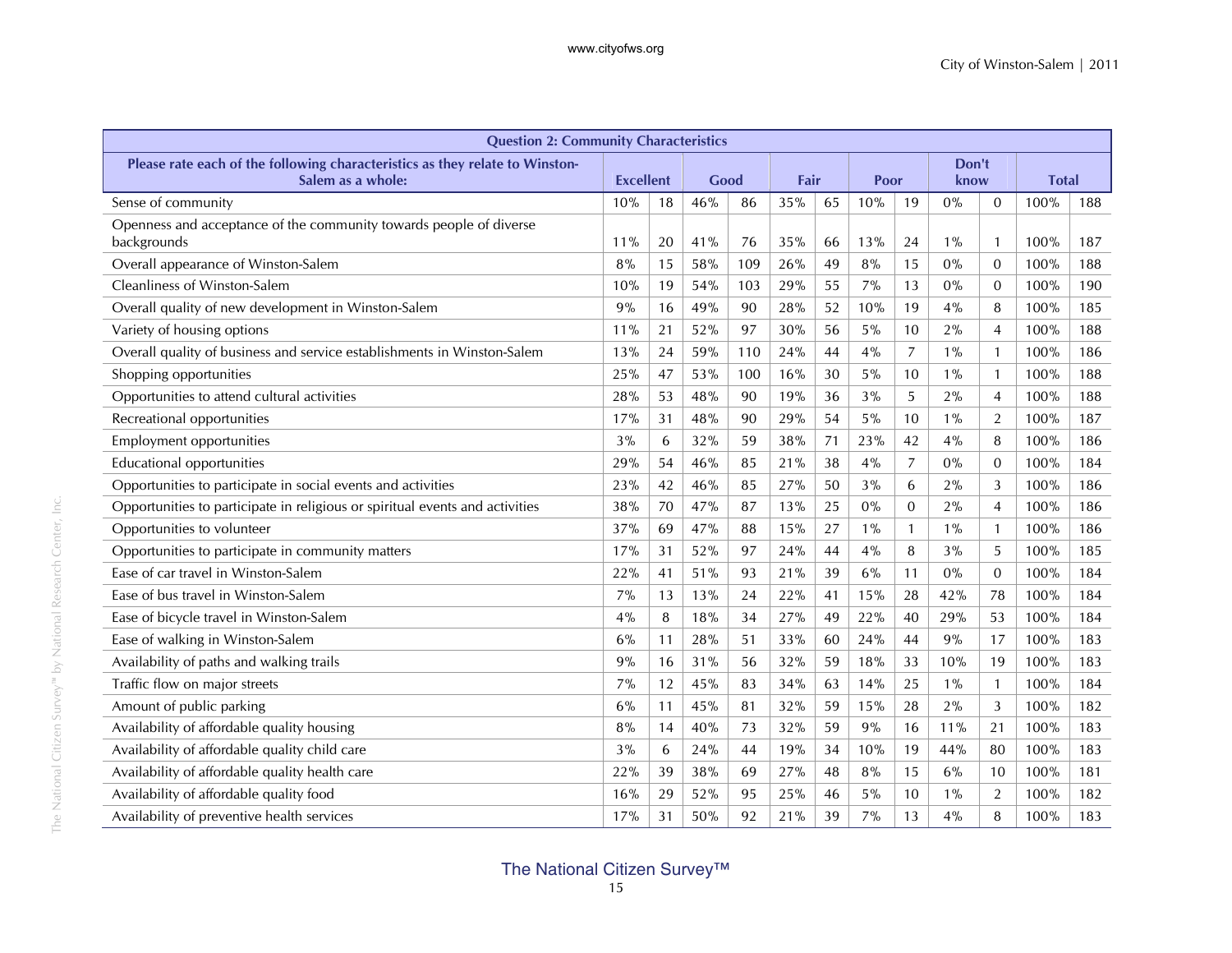| <b>Question 2: Community Characteristics</b>                                      |                  |    |      |     |      |    |       |                  |       |                |              |     |  |  |  |  |  |  |  |  |  |  |
|-----------------------------------------------------------------------------------|------------------|----|------|-----|------|----|-------|------------------|-------|----------------|--------------|-----|--|--|--|--|--|--|--|--|--|--|
| Please rate each of the following characteristics as they relate to Winston-      | Don't            |    |      |     |      |    |       |                  |       |                |              |     |  |  |  |  |  |  |  |  |  |  |
| Salem as a whole:                                                                 | <b>Excellent</b> |    | Good |     | Fair |    | Poor  |                  | know  |                | <b>Total</b> |     |  |  |  |  |  |  |  |  |  |  |
| Sense of community                                                                | 10%              | 18 | 46%  | 86  | 35%  | 65 | 10%   | 19               | 0%    | 0              | 100%         | 188 |  |  |  |  |  |  |  |  |  |  |
| Openness and acceptance of the community towards people of diverse<br>backgrounds | 11%              | 20 | 41%  | 76  | 35%  | 66 | 13%   | 24               | $1\%$ | $\mathbf{1}$   | 100%         | 187 |  |  |  |  |  |  |  |  |  |  |
| Overall appearance of Winston-Salem                                               | 8%               | 15 | 58%  | 109 | 26%  | 49 | 8%    | 15               | 0%    | $\overline{0}$ | 100%         | 188 |  |  |  |  |  |  |  |  |  |  |
| Cleanliness of Winston-Salem                                                      | 10%              | 19 | 54%  | 103 | 29%  | 55 | 7%    | 13               | 0%    | $\overline{0}$ | 100%         | 190 |  |  |  |  |  |  |  |  |  |  |
| Overall quality of new development in Winston-Salem                               | 9%               | 16 | 49%  | 90  | 28%  | 52 | 10%   | 19               | 4%    | 8              | 100%         | 185 |  |  |  |  |  |  |  |  |  |  |
| Variety of housing options                                                        | 11%              | 21 | 52%  | 97  | 30%  | 56 | 5%    | 10               | 2%    | $\overline{4}$ | 100%         | 188 |  |  |  |  |  |  |  |  |  |  |
| Overall quality of business and service establishments in Winston-Salem           | 13%              | 24 | 59%  | 110 | 24%  | 44 | 4%    | 7                | $1\%$ | $\mathbf{1}$   | 100%         | 186 |  |  |  |  |  |  |  |  |  |  |
| Shopping opportunities                                                            | 25%              | 47 | 53%  | 100 | 16%  | 30 | 5%    | 10               | $1\%$ | $\mathbf{1}$   | 100%         | 188 |  |  |  |  |  |  |  |  |  |  |
| Opportunities to attend cultural activities                                       | 28%              | 53 | 48%  | 90  | 19%  | 36 | 3%    | 5                | 2%    | $\overline{4}$ | 100%         | 188 |  |  |  |  |  |  |  |  |  |  |
| Recreational opportunities                                                        | 17%              | 31 | 48%  | 90  | 29%  | 54 | 5%    | 10               | $1\%$ | $\overline{2}$ | 100%         | 187 |  |  |  |  |  |  |  |  |  |  |
| <b>Employment opportunities</b>                                                   | 3%               | 6  | 32%  | 59  | 38%  | 71 | 23%   | 42               | 4%    | 8              | 100%         | 186 |  |  |  |  |  |  |  |  |  |  |
| <b>Educational opportunities</b>                                                  | 29%              | 54 | 46%  | 85  | 21%  | 38 | 4%    | $\overline{7}$   | 0%    | $\mathbf{0}$   | 100%         | 184 |  |  |  |  |  |  |  |  |  |  |
| Opportunities to participate in social events and activities                      | 23%              | 42 | 46%  | 85  | 27%  | 50 | 3%    | 6                | 2%    | 3              | 100%         | 186 |  |  |  |  |  |  |  |  |  |  |
| Opportunities to participate in religious or spiritual events and activities      | 38%              | 70 | 47%  | 87  | 13%  | 25 | 0%    | $\boldsymbol{0}$ | 2%    | $\overline{4}$ | 100%         | 186 |  |  |  |  |  |  |  |  |  |  |
| Opportunities to volunteer                                                        | 37%              | 69 | 47%  | 88  | 15%  | 27 | $1\%$ | $\mathbf{1}$     | $1\%$ | $\mathbf{1}$   | 100%         | 186 |  |  |  |  |  |  |  |  |  |  |
| Opportunities to participate in community matters                                 | 17%              | 31 | 52%  | 97  | 24%  | 44 | 4%    | 8                | 3%    | 5              | 100%         | 185 |  |  |  |  |  |  |  |  |  |  |
| Ease of car travel in Winston-Salem                                               | 22%              | 41 | 51%  | 93  | 21%  | 39 | 6%    | 11               | 0%    | $\mathbf{0}$   | 100%         | 184 |  |  |  |  |  |  |  |  |  |  |
| Ease of bus travel in Winston-Salem                                               | 7%               | 13 | 13%  | 24  | 22%  | 41 | 15%   | 28               | 42%   | 78             | 100%         | 184 |  |  |  |  |  |  |  |  |  |  |
| Ease of bicycle travel in Winston-Salem                                           | 4%               | 8  | 18%  | 34  | 27%  | 49 | 22%   | 40               | 29%   | 53             | 100%         | 184 |  |  |  |  |  |  |  |  |  |  |
| Ease of walking in Winston-Salem                                                  | 6%               | 11 | 28%  | 51  | 33%  | 60 | 24%   | 44               | 9%    | 17             | 100%         | 183 |  |  |  |  |  |  |  |  |  |  |
| Availability of paths and walking trails                                          | 9%               | 16 | 31%  | 56  | 32%  | 59 | 18%   | 33               | 10%   | 19             | 100%         | 183 |  |  |  |  |  |  |  |  |  |  |
| Traffic flow on major streets                                                     | 7%               | 12 | 45%  | 83  | 34%  | 63 | 14%   | 25               | $1\%$ | $\mathbf{1}$   | 100%         | 184 |  |  |  |  |  |  |  |  |  |  |
| Amount of public parking                                                          | 6%               | 11 | 45%  | 81  | 32%  | 59 | 15%   | 28               | 2%    | 3              | 100%         | 182 |  |  |  |  |  |  |  |  |  |  |
| Availability of affordable quality housing                                        | 8%               | 14 | 40%  | 73  | 32%  | 59 | 9%    | 16               | 11%   | 21             | 100%         | 183 |  |  |  |  |  |  |  |  |  |  |
| Availability of affordable quality child care                                     | 3%               | 6  | 24%  | 44  | 19%  | 34 | 10%   | 19               | 44%   | 80             | 100%         | 183 |  |  |  |  |  |  |  |  |  |  |
| Availability of affordable quality health care                                    | 22%              | 39 | 38%  | 69  | 27%  | 48 | 8%    | 15               | 6%    | 10             | 100%         | 181 |  |  |  |  |  |  |  |  |  |  |
| Availability of affordable quality food                                           | 16%              | 29 | 52%  | 95  | 25%  | 46 | 5%    | 10               | $1\%$ | 2              | 100%         | 182 |  |  |  |  |  |  |  |  |  |  |
| Availability of preventive health services                                        | 17%              | 31 | 50%  | 92  | 21%  | 39 | 7%    | 13               | 4%    | 8              | 100%         | 183 |  |  |  |  |  |  |  |  |  |  |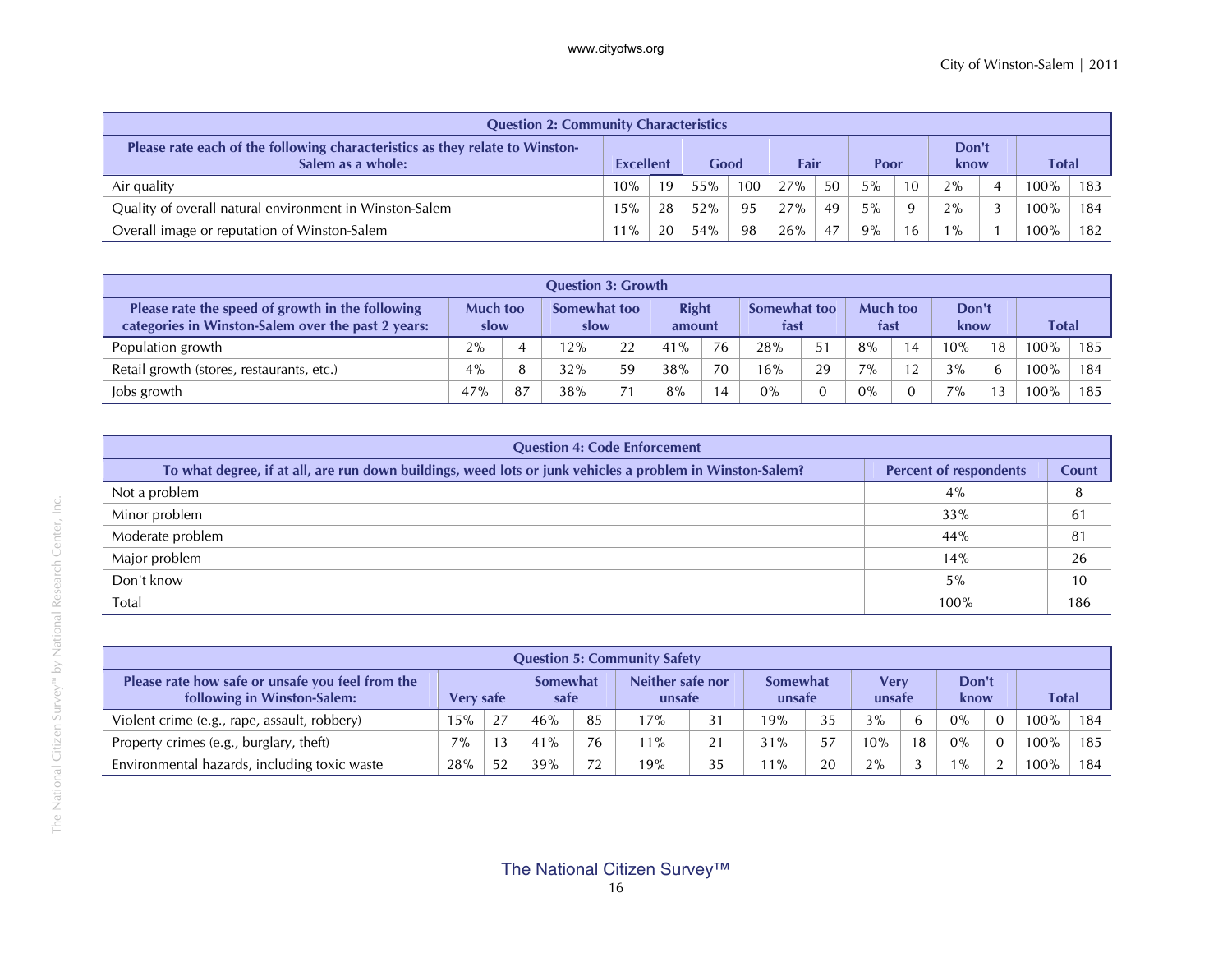| <b>Question 2: Community Characteristics</b>                                                      |                  |    |      |     |      |    |      |                 |               |  |              |     |
|---------------------------------------------------------------------------------------------------|------------------|----|------|-----|------|----|------|-----------------|---------------|--|--------------|-----|
| Please rate each of the following characteristics as they relate to Winston-<br>Salem as a whole: | <b>Excellent</b> |    | Good |     | Fair |    | Poor |                 | Don't<br>know |  | <b>Total</b> |     |
| Air quality                                                                                       | 10%              | 19 | 55%  | 100 | 27%  | 50 | 5%   | 10 <sup>1</sup> | 2%            |  | 100%         | 183 |
| Quality of overall natural environment in Winston-Salem                                           | 15%              | 28 | 52%  | 95  | 27%  | 49 | 5%   | $\Omega$        | 2%            |  | $100\%$      | 184 |
| Overall image or reputation of Winston-Salem                                                      | $11\%$           | 20 | 54%  | 98  | 26%  | 47 | 9%   | 16 <sup>1</sup> | $1\%$         |  | 100%         | 182 |

| <b>Question 3: Growth</b>                                                                              |     |                         |     |                      |     |                        |       |                      |                         |                |               |    |         |     |
|--------------------------------------------------------------------------------------------------------|-----|-------------------------|-----|----------------------|-----|------------------------|-------|----------------------|-------------------------|----------------|---------------|----|---------|-----|
| Please rate the speed of growth in the following<br>categories in Winston-Salem over the past 2 years: |     | <b>Much too</b><br>slow |     | Somewhat too<br>slow |     | <b>Right</b><br>amount |       | Somewhat too<br>tast | <b>Much too</b><br>fast |                | Don't<br>know |    | Total   |     |
| Population growth                                                                                      | 2%  |                         | 12% | 22                   | 41% | 76                     | 28%   | 51                   | 8%                      | $\overline{4}$ | 10%           | 18 | 100%    | 185 |
| Retail growth (stores, restaurants, etc.)                                                              | 4%  |                         | 32% | 59                   | 38% | 70                     | 16%   | 29                   | $7\%$                   | 12             | 3%            | 6  | $100\%$ | 184 |
| Jobs growth                                                                                            | 47% | 87                      | 38% | 71                   | 8%  | 4                      | $0\%$ |                      | $0\%$                   |                | $7\%$         | 13 | 100%    | 185 |

| <b>Question 4: Code Enforcement</b>                                                                       |                               |       |
|-----------------------------------------------------------------------------------------------------------|-------------------------------|-------|
| To what degree, if at all, are run down buildings, weed lots or junk vehicles a problem in Winston-Salem? | <b>Percent of respondents</b> | Count |
| Not a problem                                                                                             | 4%                            |       |
| Minor problem                                                                                             | 33%                           | 61    |
| Moderate problem                                                                                          | 44%                           | 81    |
| Major problem                                                                                             | 14%                           | 26    |
| Don't know                                                                                                | 5%                            | 10    |
| Total                                                                                                     | 100%                          | 186   |

|                                                                                 | <b>Question 5: Community Safety</b> |                                      |     |                            |        |                    |       |                |     |               |       |              |         |     |
|---------------------------------------------------------------------------------|-------------------------------------|--------------------------------------|-----|----------------------------|--------|--------------------|-------|----------------|-----|---------------|-------|--------------|---------|-----|
| Please rate how safe or unsafe you feel from the<br>following in Winston-Salem: |                                     | Somewhat<br><b>Very safe</b><br>safe |     | Neither safe nor<br>unsafe |        | Somewhat<br>unsafe |       | Verv<br>unsafe |     | Don't<br>know |       | <b>Total</b> |         |     |
| Violent crime (e.g., rape, assault, robbery)                                    | 15%                                 |                                      | 46% | 85                         | 17%    | 31                 | 19%   | 35             | 3%  | 6             | $0\%$ | $\Omega$     | $100\%$ | 184 |
| Property crimes (e.g., burglary, theft)                                         | 7%                                  |                                      | 41% | 76                         | $11\%$ | 21                 | 31%   | 57             | 10% | 18            | 0%    | $\Omega$     | $100\%$ | 185 |
| Environmental hazards, including toxic waste                                    | 28%                                 | 片り                                   | 39% | 72                         | 19%    | 35                 | $1\%$ | 20             | 2%  |               | $1\%$ | - 2          | $00\%$  | 184 |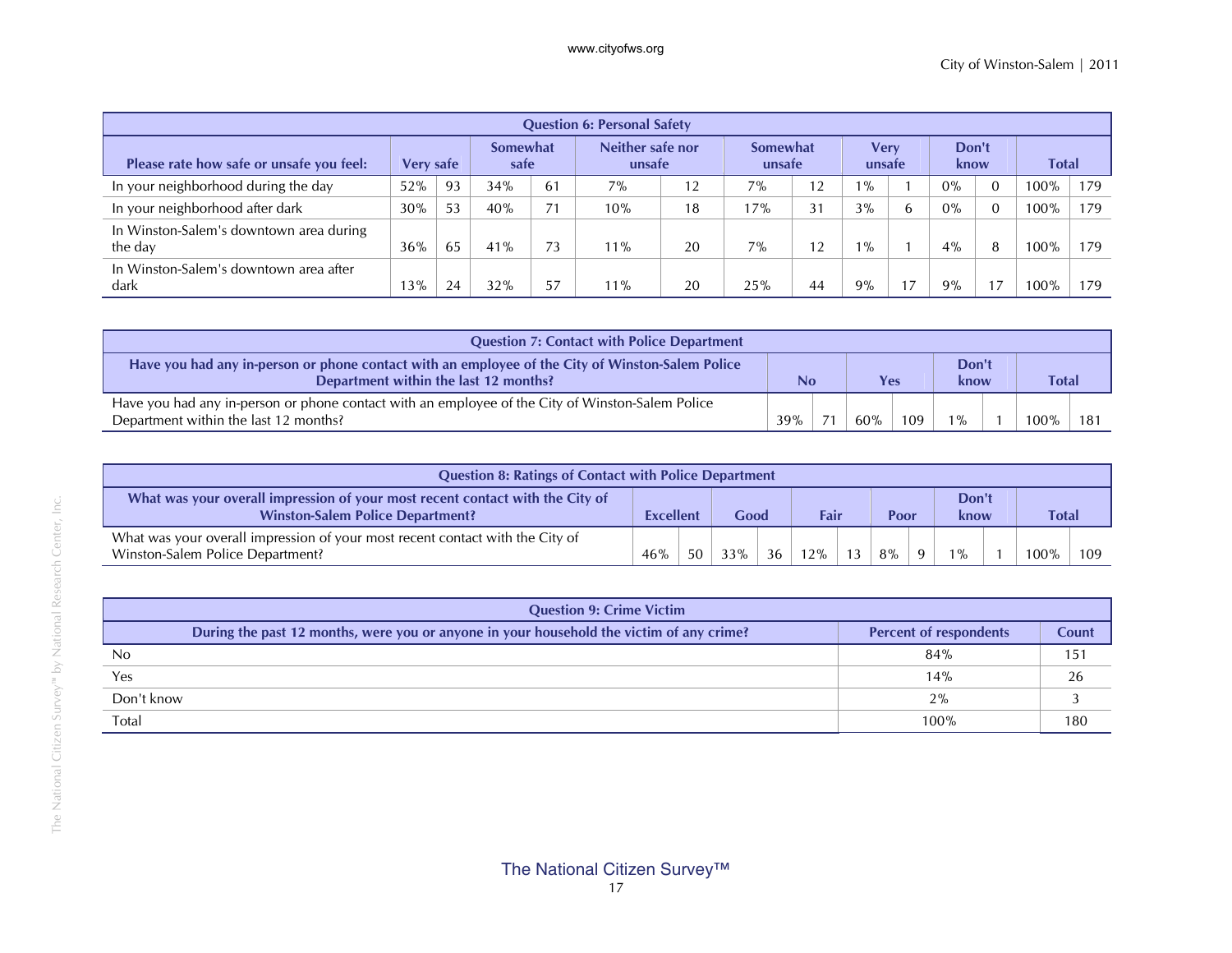| <b>Question 6: Personal Safety</b>                 |                  |                         |     |    |                            |    |                           |    |                       |   |               |              |      |     |
|----------------------------------------------------|------------------|-------------------------|-----|----|----------------------------|----|---------------------------|----|-----------------------|---|---------------|--------------|------|-----|
| Please rate how safe or unsafe you feel:           | <b>Very safe</b> | <b>Somewhat</b><br>safe |     |    | Neither safe nor<br>unsafe |    | <b>Somewhat</b><br>unsafe |    | <b>Verv</b><br>unsafe |   | Don't<br>know | <b>Total</b> |      |     |
| In your neighborhood during the day                | 52%              | 93                      | 34% | 61 | 7%                         | 12 | 7%                        | 12 | $1\%$                 |   | $0\%$         |              | 100% | 179 |
| In your neighborhood after dark                    | 30%              | 53                      | 40% | 71 | 10%                        | 18 | 17%                       | 31 | 3%                    | b | 0%            |              | 100% | 179 |
| In Winston-Salem's downtown area during<br>the day | 36%              | 65                      | 41% | 73 | $11\%$                     | 20 | $7\%$                     | 12 | $1\%$                 |   | 4%            | 8            | 100% | 179 |
| In Winston-Salem's downtown area after<br>dark     | 13%              | 24                      | 32% | 57 | $1\%$                      | 20 | 25%                       | 44 | 9%                    |   | 9%            | 7            | 00%  | 179 |

| <b>Question 7: Contact with Police Department</b>                                                                                         |     |   |     |     |               |  |              |     |  |  |  |
|-------------------------------------------------------------------------------------------------------------------------------------------|-----|---|-----|-----|---------------|--|--------------|-----|--|--|--|
| Have you had any in-person or phone contact with an employee of the City of Winston-Salem Police<br>Department within the last 12 months? | No  |   | Yes |     | Don't<br>know |  | <b>Total</b> |     |  |  |  |
| Have you had any in-person or phone contact with an employee of the City of Winston-Salem Police<br>Department within the last 12 months? | 39% | ÷ | 60% | 109 | $1\%$         |  | 100%         | 181 |  |  |  |

| <b>Question 8: Ratings of Contact with Police Department</b>                                                             |                  |    |      |    |      |    |       |              |               |  |       |     |  |
|--------------------------------------------------------------------------------------------------------------------------|------------------|----|------|----|------|----|-------|--------------|---------------|--|-------|-----|--|
| What was your overall impression of your most recent contact with the City of<br><b>Winston-Salem Police Department?</b> | <b>Excellent</b> |    | Good |    | Fair |    | Poor  |              | Don't<br>know |  | Total |     |  |
| What was your overall impression of your most recent contact with the City of<br>Winston-Salem Police Department?        | 46%              | 50 | 33%  | 36 | 12%  | 13 | $8\%$ | $\mathbf{Q}$ | $1\%$         |  | 100%  | 109 |  |

| <b>Question 9: Crime Victim</b>                                                          |                               |       |
|------------------------------------------------------------------------------------------|-------------------------------|-------|
| During the past 12 months, were you or anyone in your household the victim of any crime? | <b>Percent of respondents</b> | Count |
| No                                                                                       | 84%                           | 151   |
| Yes                                                                                      | 14%                           | 26    |
| Don't know                                                                               | 2%                            |       |
| Total                                                                                    | 100%                          | 180   |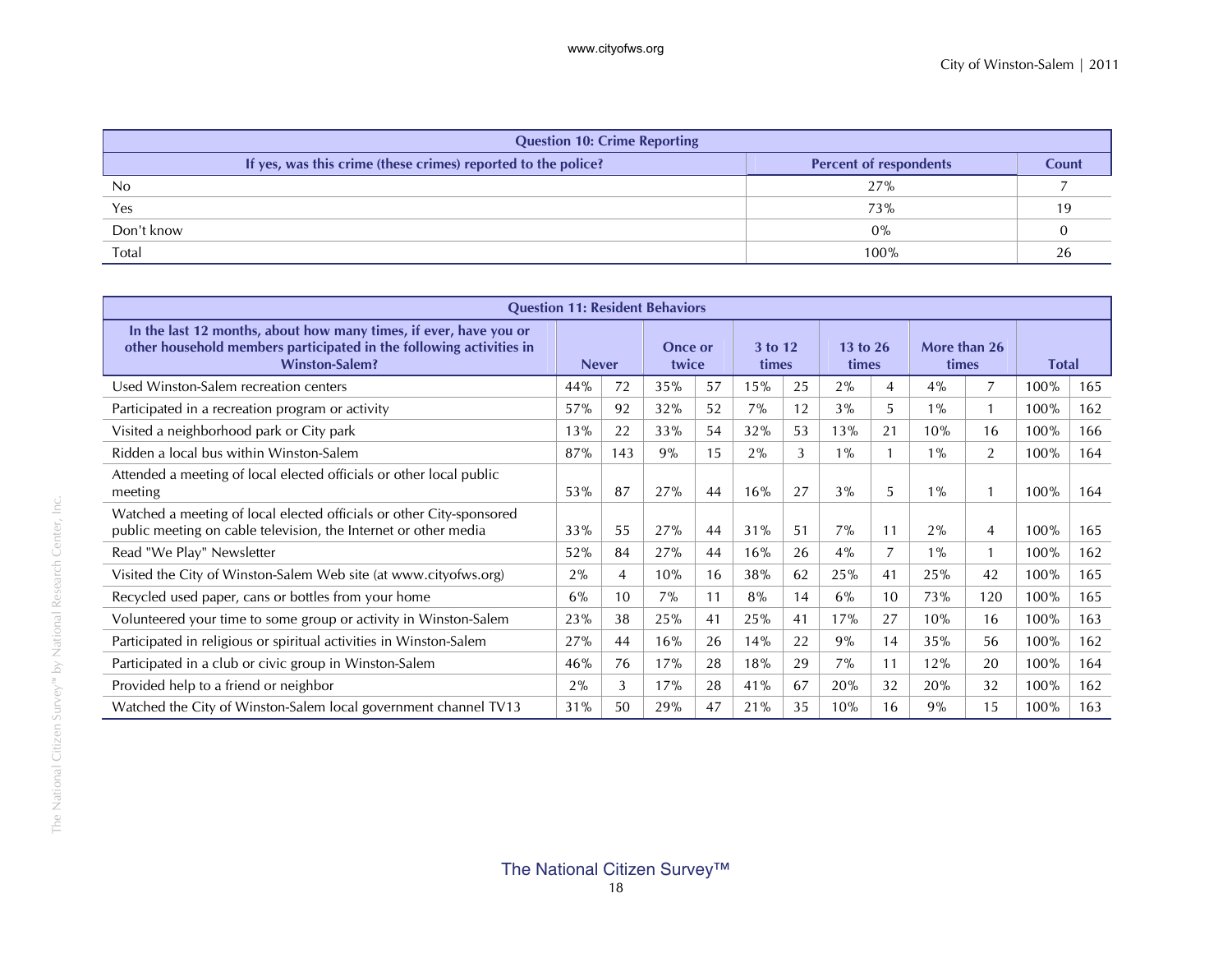|                | <b>Question 10: Crime Reporting</b>                           |                               |       |
|----------------|---------------------------------------------------------------|-------------------------------|-------|
|                | If yes, was this crime (these crimes) reported to the police? | <b>Percent of respondents</b> | Count |
| N <sub>0</sub> |                                                               | 27%                           |       |
| Yes            |                                                               | 73%                           |       |
| Don't know     |                                                               | $0\%$                         |       |
| Total          |                                                               | 100%                          |       |

| <b>Question 11: Resident Behaviors</b>                                                                                                                            |     |              |     |                  |       |                  |                     |                |                       |     |              |     |
|-------------------------------------------------------------------------------------------------------------------------------------------------------------------|-----|--------------|-----|------------------|-------|------------------|---------------------|----------------|-----------------------|-----|--------------|-----|
| In the last 12 months, about how many times, if ever, have you or<br>other household members participated in the following activities in<br><b>Winston-Salem?</b> |     | <b>Never</b> |     | Once or<br>twice |       | 3 to 12<br>times | 13 to $26$<br>times |                | More than 26<br>times |     | <b>Total</b> |     |
| Used Winston-Salem recreation centers                                                                                                                             | 44% | 72           | 35% | 57               | 15%   | 25               | 2%                  | $\overline{4}$ | 4%                    | 7   | 100%         | 165 |
| Participated in a recreation program or activity                                                                                                                  | 57% | 92           | 32% | 52               | $7\%$ | 12               | 3%                  | 5              | $1\%$                 |     | 100%         | 162 |
| Visited a neighborhood park or City park                                                                                                                          | 13% | 22           | 33% | 54               | 32%   | 53               | 13%                 | 21             | 10%                   | 16  | 100%         | 166 |
| Ridden a local bus within Winston-Salem                                                                                                                           | 87% | 143          | 9%  | 15               | $2\%$ | 3                | $1\%$               |                | $1\%$                 | 2   | 100%         | 164 |
| Attended a meeting of local elected officials or other local public<br>meeting                                                                                    | 53% | 87           | 27% | 44               | 16%   | 27               | 3%                  | 5              | $1\%$                 |     | 100%         | 164 |
| Watched a meeting of local elected officials or other City-sponsored<br>public meeting on cable television, the Internet or other media                           | 33% | 55           | 27% | 44               | 31%   | 51               | 7%                  | 11             | 2%                    | 4   | 100%         | 165 |
| Read "We Play" Newsletter                                                                                                                                         | 52% | 84           | 27% | 44               | 16%   | 26               | 4%                  | $\overline{7}$ | $1\%$                 |     | 100%         | 162 |
| Visited the City of Winston-Salem Web site (at www.cityofws.org)                                                                                                  | 2%  | 4            | 10% | 16               | 38%   | 62               | 25%                 | 41             | 25%                   | 42  | 100%         | 165 |
| Recycled used paper, cans or bottles from your home                                                                                                               | 6%  | 10           | 7%  | 11               | 8%    | 14               | 6%                  | 10             | 73%                   | 120 | 100%         | 165 |
| Volunteered your time to some group or activity in Winston-Salem                                                                                                  | 23% | 38           | 25% | 41               | 25%   | 41               | 17%                 | 27             | 10%                   | 16  | 100%         | 163 |
| Participated in religious or spiritual activities in Winston-Salem                                                                                                | 27% | 44           | 16% | 26               | 14%   | 22               | 9%                  | 14             | 35%                   | 56  | 100%         | 162 |
| Participated in a club or civic group in Winston-Salem                                                                                                            | 46% | 76           | 17% | 28               | 18%   | 29               | 7%                  | 11             | 12%                   | 20  | 100%         | 164 |
| Provided help to a friend or neighbor                                                                                                                             | 2%  | 3            | 17% | 28               | 41%   | 67               | 20%                 | 32             | 20%                   | 32  | 100%         | 162 |
| Watched the City of Winston-Salem local government channel TV13                                                                                                   | 31% | 50           | 29% | 47               | 21%   | 35               | 10%                 | 16             | 9%                    | 15  | 100%         | 163 |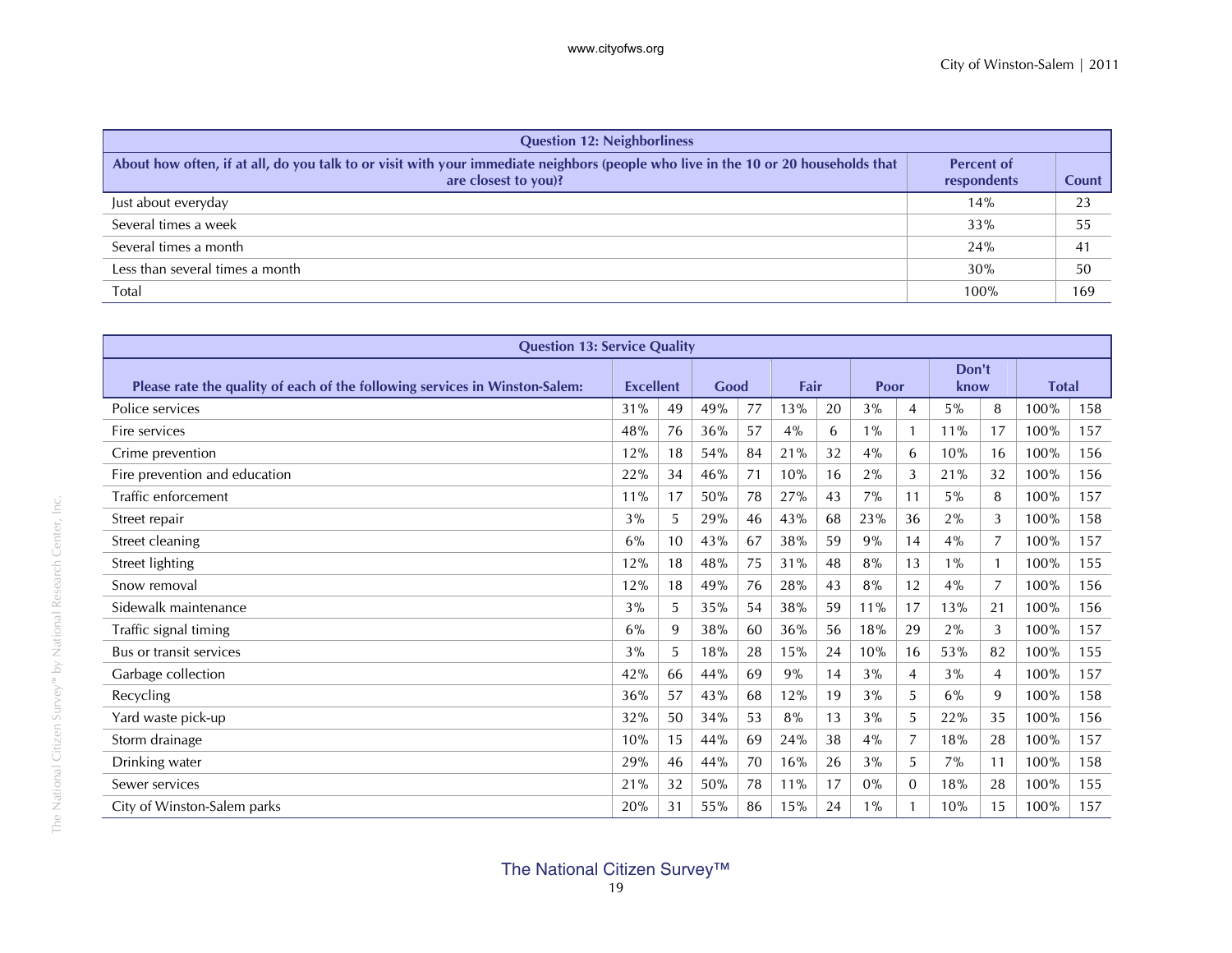| <b>Question 12: Neighborliness</b>                                                                                                                         |                                  |              |
|------------------------------------------------------------------------------------------------------------------------------------------------------------|----------------------------------|--------------|
| About how often, if at all, do you talk to or visit with your immediate neighbors (people who live in the 10 or 20 households that<br>are closest to you)? | <b>Percent of</b><br>respondents | <b>Count</b> |
| Just about everyday                                                                                                                                        | 14%                              | 23           |
| Several times a week                                                                                                                                       | 33%                              | 55           |
| Several times a month                                                                                                                                      | 24%                              | 41           |
| Less than several times a month                                                                                                                            | 30%                              | 50           |
| Total                                                                                                                                                      | 100%                             | 169          |

| <b>Question 13: Service Quality</b>                                         |                  |    |      |    |      |    |               |              |       |                |              |     |
|-----------------------------------------------------------------------------|------------------|----|------|----|------|----|---------------|--------------|-------|----------------|--------------|-----|
|                                                                             |                  |    |      |    |      |    |               |              | Don't |                |              |     |
| Please rate the quality of each of the following services in Winston-Salem: | <b>Excellent</b> |    | Good |    | Fair |    | Poor          |              | know  |                | <b>Total</b> |     |
| Police services                                                             | 31%              | 49 | 49%  | 77 | 13%  | 20 | 3%            | 4            | $5\%$ | 8              | 100%         | 158 |
| Fire services                                                               | 48%              | 76 | 36%  | 57 | 4%   | 6  | $1\%$         |              | 11%   | 17             | 100%         | 157 |
| Crime prevention                                                            | 12%              | 18 | 54%  | 84 | 21%  | 32 | 4%            | 6            | 10%   | 16             | 100%         | 156 |
| Fire prevention and education                                               | 22%              | 34 | 46%  | 71 | 10%  | 16 | 2%            | 3            | 21%   | 32             | 100%         | 156 |
| Traffic enforcement                                                         | 11%              | 17 | 50%  | 78 | 27%  | 43 | 7%            | 11           | $5\%$ | 8              | 100%         | 157 |
| Street repair                                                               | 3%               | 5  | 29%  | 46 | 43%  | 68 | 23%           | 36           | 2%    | 3              | 100%         | 158 |
| Street cleaning                                                             | 6%               | 10 | 43%  | 67 | 38%  | 59 | 9%            | 14           | 4%    | $\overline{7}$ | 100%         | 157 |
| Street lighting                                                             | 12%              | 18 | 48%  | 75 | 31%  | 48 | 8%            | 13           | $1\%$ | $\mathbf{1}$   | 100%         | 155 |
| Snow removal                                                                | 12%              | 18 | 49%  | 76 | 28%  | 43 | 8%            | 12           | 4%    | $\overline{7}$ | 100%         | 156 |
| Sidewalk maintenance                                                        | 3%               | 5  | 35%  | 54 | 38%  | 59 | 11%           | 17           | 13%   | 21             | 100%         | 156 |
| Traffic signal timing                                                       | 6%               | 9  | 38%  | 60 | 36%  | 56 | 18%           | 29           | 2%    | 3              | 100%         | 157 |
| Bus or transit services                                                     | 3%               | 5  | 18%  | 28 | 15%  | 24 | 10%           | 16           | 53%   | 82             | 100%         | 155 |
| Garbage collection                                                          | 42%              | 66 | 44%  | 69 | 9%   | 14 | 3%            | 4            | 3%    | $\overline{4}$ | 100%         | 157 |
| Recycling                                                                   | 36%              | 57 | 43%  | 68 | 12%  | 19 | 3%            | 5            | $6\%$ | 9              | 100%         | 158 |
| Yard waste pick-up                                                          | 32%              | 50 | 34%  | 53 | 8%   | 13 | 3%            | 5.           | 22%   | 35             | 100%         | 156 |
| Storm drainage                                                              | 10%              | 15 | 44%  | 69 | 24%  | 38 | 4%            | 7            | 18%   | 28             | 100%         | 157 |
| Drinking water                                                              | 29%              | 46 | 44%  | 70 | 16%  | 26 | 3%            | 5            | 7%    | 11             | 100%         | 158 |
| Sewer services                                                              | 21%              | 32 | 50%  | 78 | 11%  | 17 | $0\%$         | $\mathbf{0}$ | 18%   | 28             | 100%         | 155 |
| City of Winston-Salem parks                                                 | 20%              | 31 | 55%  | 86 | 15%  | 24 | $\frac{9}{6}$ |              | 10%   | 15             | 100%         | 157 |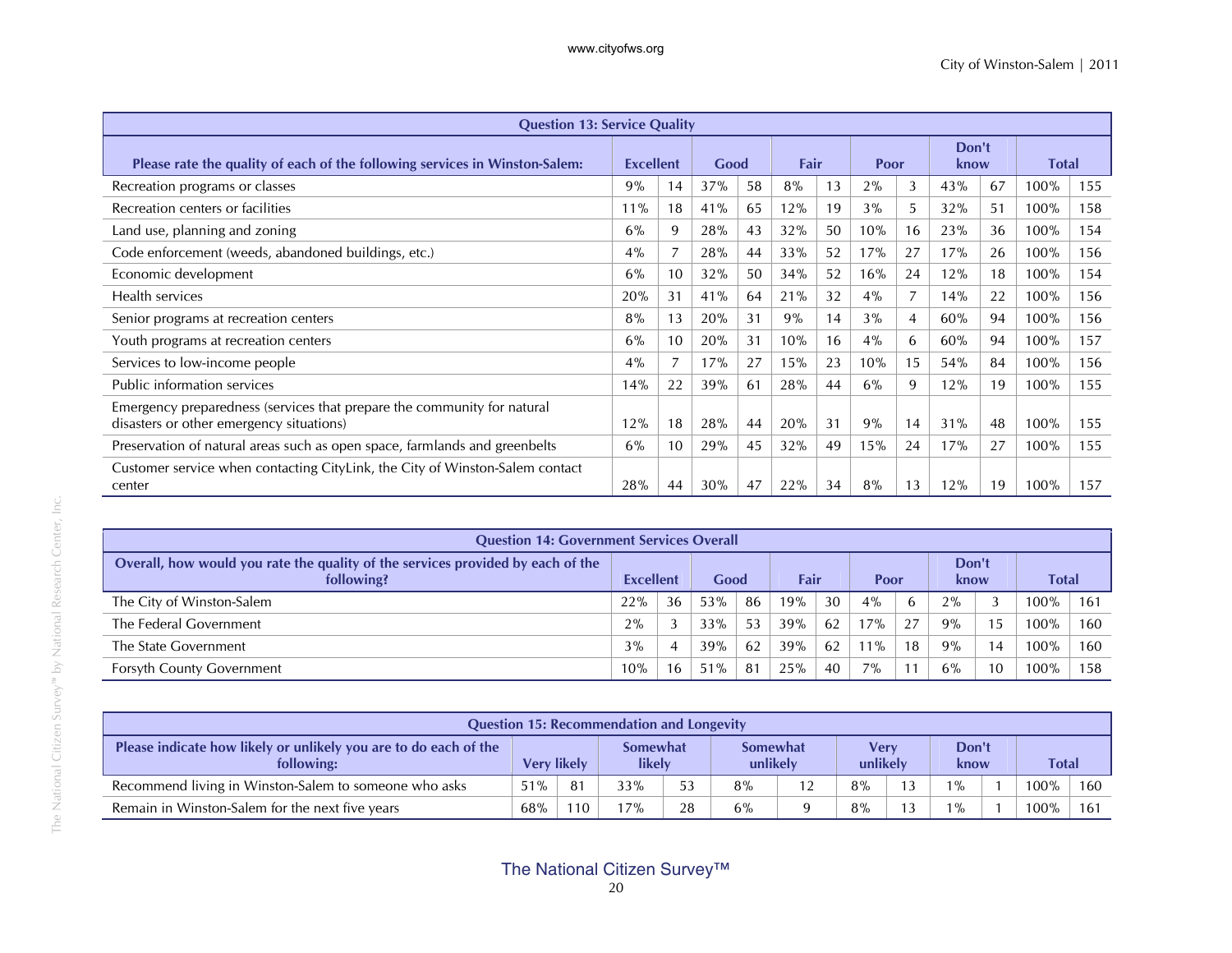| <b>Question 13: Service Quality</b>                                                                                 |                  |                |      |    |      |    |       |    |               |    |              |     |
|---------------------------------------------------------------------------------------------------------------------|------------------|----------------|------|----|------|----|-------|----|---------------|----|--------------|-----|
| Please rate the quality of each of the following services in Winston-Salem:                                         | <b>Excellent</b> |                | Good |    | Fair |    | Poor  |    | Don't<br>know |    | <b>Total</b> |     |
| Recreation programs or classes                                                                                      | 9%               | 14             | 37%  | 58 | 8%   | 13 | $2\%$ | 3  | 43%           | 67 | 100%         | 155 |
| Recreation centers or facilities                                                                                    | 11%              | 18             | 41%  | 65 | 12%  | 19 | 3%    | 5. | 32%           | 51 | 100%         | 158 |
| Land use, planning and zoning                                                                                       | 6%               | 9              | 28%  | 43 | 32%  | 50 | 10%   | 16 | 23%           | 36 | 100%         | 154 |
| Code enforcement (weeds, abandoned buildings, etc.)                                                                 | 4%               | $\overline{7}$ | 28%  | 44 | 33%  | 52 | 17%   | 27 | 17%           | 26 | 100%         | 156 |
| Economic development                                                                                                | 6%               | 10             | 32%  | 50 | 34%  | 52 | 16%   | 24 | 12%           | 18 | 100%         | 154 |
| Health services                                                                                                     | 20%              | 31             | 41%  | 64 | 21%  | 32 | 4%    | 7  | 14%           | 22 | 100%         | 156 |
| Senior programs at recreation centers                                                                               | 8%               | 13             | 20%  | 31 | 9%   | 14 | 3%    | 4  | 60%           | 94 | 100%         | 156 |
| Youth programs at recreation centers                                                                                | 6%               | 10             | 20%  | 31 | 10%  | 16 | $4\%$ | 6  | 60%           | 94 | 100%         | 157 |
| Services to low-income people                                                                                       | 4%               | 7              | 17%  | 27 | 15%  | 23 | 10%   | 15 | 54%           | 84 | 100%         | 156 |
| Public information services                                                                                         | 14%              | 22             | 39%  | 61 | 28%  | 44 | 6%    | 9  | 12%           | 19 | 100%         | 155 |
| Emergency preparedness (services that prepare the community for natural<br>disasters or other emergency situations) | 12%              | 18             | 28%  | 44 | 20%  | 31 | 9%    | 14 | 31%           | 48 | 100%         | 155 |
| Preservation of natural areas such as open space, farmlands and greenbelts                                          | 6%               | 10             | 29%  | 45 | 32%  | 49 | 15%   | 24 | 17%           | 27 | 100%         | 155 |
| Customer service when contacting CityLink, the City of Winston-Salem contact<br>center                              | 28%              | 44             | 30%  | 47 | 22%  | 34 | 8%    | 13 | 12%           | 19 | 100%         | 157 |

| <b>Question 14: Government Services Overall</b>                                               |           |    |      |     |      |    |       |    |               |                |         |     |
|-----------------------------------------------------------------------------------------------|-----------|----|------|-----|------|----|-------|----|---------------|----------------|---------|-----|
| Overall, how would you rate the quality of the services provided by each of the<br>following? | Excellent |    | Good |     | Fair |    | Poor  |    | Don't<br>know |                | Total   |     |
| The City of Winston-Salem                                                                     | 22%       | 36 | 53%  | -86 | 19%  | 30 | 4%    | 6  | 2%            |                | $100\%$ | 161 |
| The Federal Government                                                                        | 2%        | 3  | 33%  | 53  | 39%  | 62 | 17%   | 27 | 9%            | 15             | 100%    | 160 |
| The State Government                                                                          | 3%        | 4  | 39%  | 62  | 39%  | 62 | 11%   | 18 | 9%            | $\overline{4}$ | $100\%$ | 160 |
| <b>Forsyth County Government</b>                                                              | 10%       | 16 | 51%  | 81  | 25%  | 40 | $7\%$ |    | 6%            | 10             | 100%    | 158 |

| <b>Question 15: Recommendation and Longevity</b>                               |                    |     |                           |    |                             |    |                  |  |               |              |     |
|--------------------------------------------------------------------------------|--------------------|-----|---------------------------|----|-----------------------------|----|------------------|--|---------------|--------------|-----|
| Please indicate how likely or unlikely you are to do each of the<br>following: | <b>Very likely</b> |     | <b>Somewhat</b><br>likely |    | <b>Somewhat</b><br>unlikely |    | Verv<br>unlikely |  | Don't<br>know | <b>Total</b> |     |
| Recommend living in Winston-Salem to someone who asks                          | 51%                | 81  | 33%                       | 53 | 8%                          | 12 | 8%               |  | $1\%$         | $100\%$      | 160 |
| Remain in Winston-Salem for the next five years                                | $68\%$             | 110 | 17%                       | 28 | 6%                          |    | 8%               |  | $1\%$         | $100\%$      | 161 |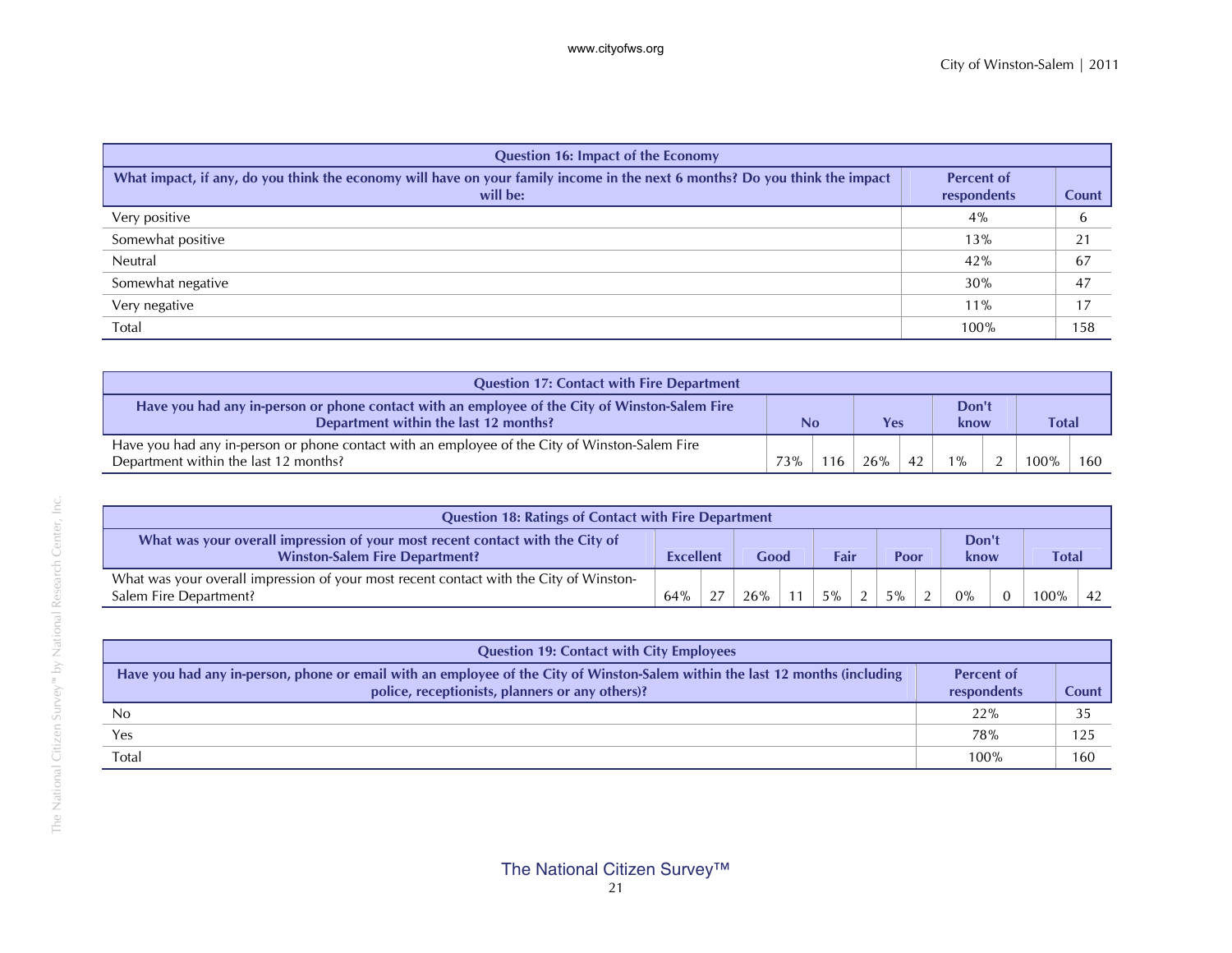| <b>Question 16: Impact of the Economy</b>                                                                                               |                                  |       |
|-----------------------------------------------------------------------------------------------------------------------------------------|----------------------------------|-------|
| What impact, if any, do you think the economy will have on your family income in the next 6 months? Do you think the impact<br>will be: | <b>Percent of</b><br>respondents | Count |
| Very positive                                                                                                                           | 4%                               | b     |
| Somewhat positive                                                                                                                       | 13%                              | 21    |
| Neutral                                                                                                                                 | 42%                              | 67    |
| Somewhat negative                                                                                                                       | 30%                              | 47    |
| Very negative                                                                                                                           | $11\%$                           | 17    |
| Total                                                                                                                                   | 100%                             | 158   |

| <b>Question 17: Contact with Fire Department</b>                                                                                        |     |     |     |    |               |     |              |  |
|-----------------------------------------------------------------------------------------------------------------------------------------|-----|-----|-----|----|---------------|-----|--------------|--|
| Have you had any in-person or phone contact with an employee of the City of Winston-Salem Fire<br>Department within the last 12 months? | No  |     | Yes |    | Don't<br>know |     | <b>Total</b> |  |
| Have you had any in-person or phone contact with an employee of the City of Winston-Salem Fire<br>Department within the last 12 months? | 73% | 116 | 26% | 42 | $1\%$         | - 2 |              |  |

| <b>Question 18: Ratings of Contact with Fire Department</b>                                                            |                  |    |      |    |      |               |      |               |              |  |
|------------------------------------------------------------------------------------------------------------------------|------------------|----|------|----|------|---------------|------|---------------|--------------|--|
| What was your overall impression of your most recent contact with the City of<br><b>Winston-Salem Fire Department?</b> | <b>Excellent</b> |    | Good |    | Fair |               | Poor | Don't<br>know | <b>Total</b> |  |
| What was your overall impression of your most recent contact with the City of Winston-<br>Salem Fire Department?       | 64%              | 27 | 26%  | 11 | 5%   | $\mathcal{L}$ | 5%   | $0\%$         | 100%         |  |

| <b>Question 19: Contact with City Employees</b>                                                                                                                                  |                                  |       |
|----------------------------------------------------------------------------------------------------------------------------------------------------------------------------------|----------------------------------|-------|
| Have you had any in-person, phone or email with an employee of the City of Winston-Salem within the last 12 months (including<br>police, receptionists, planners or any others)? | <b>Percent of</b><br>respondents | Count |
| N <sub>0</sub>                                                                                                                                                                   | 22%                              | 35    |
| Yes                                                                                                                                                                              | 78%                              | 125   |
| Total                                                                                                                                                                            | 100%                             | 160   |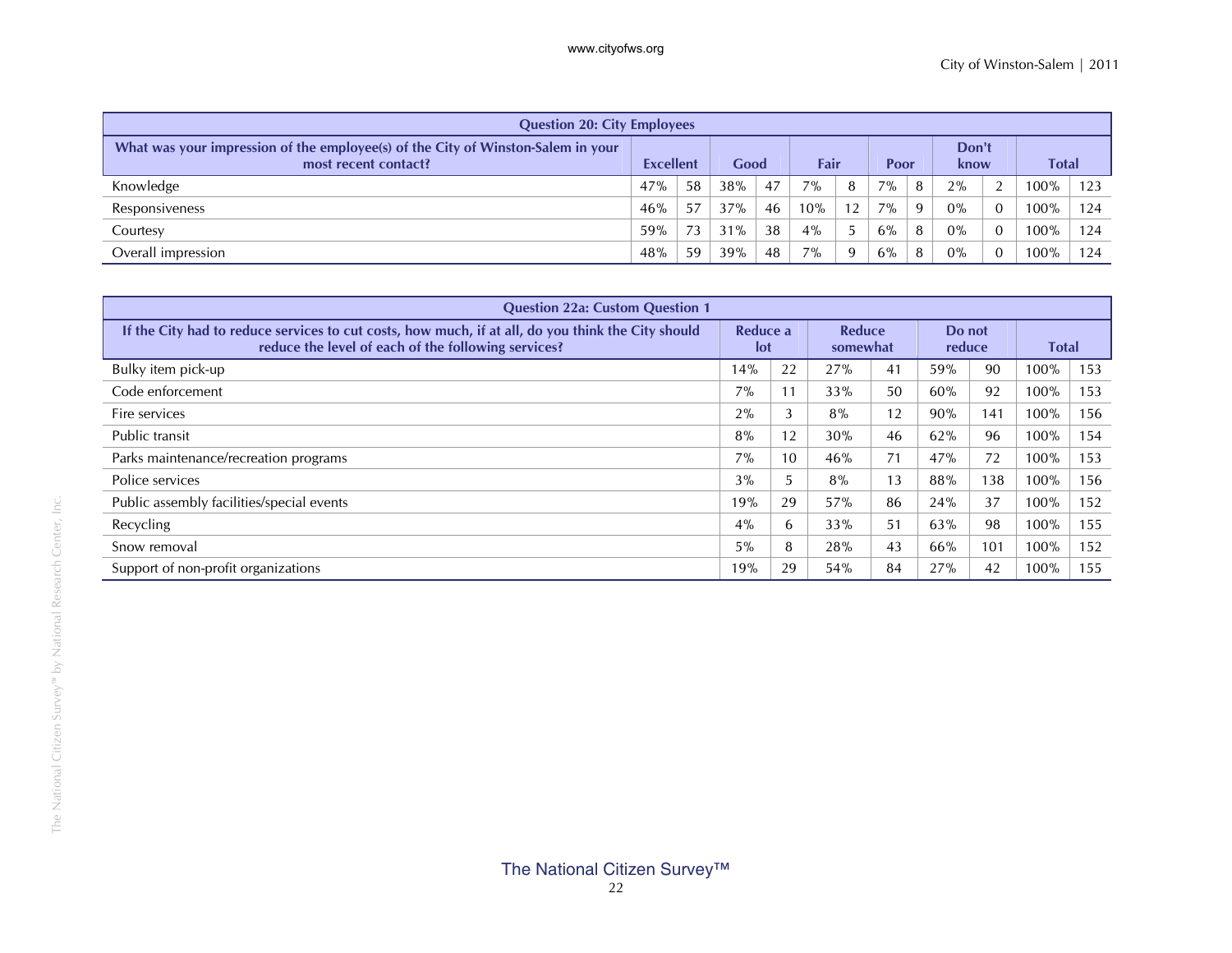| <b>Question 20: City Employees</b>                                                                       |                  |    |      |    |      |              |       |   |               |                |         |     |
|----------------------------------------------------------------------------------------------------------|------------------|----|------|----|------|--------------|-------|---|---------------|----------------|---------|-----|
| What was your impression of the employee(s) of the City of Winston-Salem in your<br>most recent contact? | <b>Excellent</b> |    | Good |    | Fair |              | Poor  |   | Don't<br>know |                | Total   |     |
| Knowledge                                                                                                | 47%              | 58 | 38%  | 47 | 7%   | 8            | $7\%$ | 8 | 2%            | 2              | $00\%$  | 123 |
| Responsiveness                                                                                           | 46%              | 57 | 37%  | 46 | 10%  | 12           | $7\%$ | 9 | $0\%$         | $\overline{0}$ | $100\%$ | 124 |
| Courtesy                                                                                                 | 59%              |    | 31%  | 38 | 4%   |              | 6%    | 8 | $0\%$         | $\mathbf{0}$   | $100\%$ | 124 |
| Overall impression                                                                                       | 48%              | 59 | 39%  | 48 | 7%   | $\mathbf{Q}$ | 6%    | 8 | $0\%$         | $\mathbf{0}$   | $00\%$  | 124 |

| <b>Question 22a: Custom Question 1</b>                                                                                                                    |       |                        |     |    |     |                    |                  |     |              |  |
|-----------------------------------------------------------------------------------------------------------------------------------------------------------|-------|------------------------|-----|----|-----|--------------------|------------------|-----|--------------|--|
| If the City had to reduce services to cut costs, how much, if at all, do you think the City should<br>reduce the level of each of the following services? |       | Reduce a<br><b>lot</b> |     |    |     | Reduce<br>somewhat | Do not<br>reduce |     | <b>Total</b> |  |
| Bulky item pick-up                                                                                                                                        | 14%   | 22                     | 27% | 41 | 59% | 90                 | 100%             | 153 |              |  |
| Code enforcement                                                                                                                                          | 7%    | 11                     | 33% | 50 | 60% | 92                 | 100%             | 153 |              |  |
| Fire services                                                                                                                                             | 2%    | 3                      | 8%  | 12 | 90% | 141                | 100%             | 156 |              |  |
| Public transit                                                                                                                                            | 8%    | 12                     | 30% | 46 | 62% | 96                 | 100%             | 154 |              |  |
| Parks maintenance/recreation programs                                                                                                                     | 7%    | 10                     | 46% | 71 | 47% | 72                 | 100%             | 153 |              |  |
| Police services                                                                                                                                           | 3%    |                        | 8%  | 13 | 88% | 138                | 100%             | 156 |              |  |
| Public assembly facilities/special events                                                                                                                 | 19%   | 29                     | 57% | 86 | 24% | 37                 | 100%             | 152 |              |  |
| Recycling                                                                                                                                                 | 4%    | 6                      | 33% | 51 | 63% | 98                 | 100%             | 155 |              |  |
| Snow removal                                                                                                                                              | $5\%$ | 8                      | 28% | 43 | 66% | 101                | 100%             | 152 |              |  |
| Support of non-profit organizations                                                                                                                       | 19%   | 29                     | 54% | 84 | 27% | 42                 | 100%             | 155 |              |  |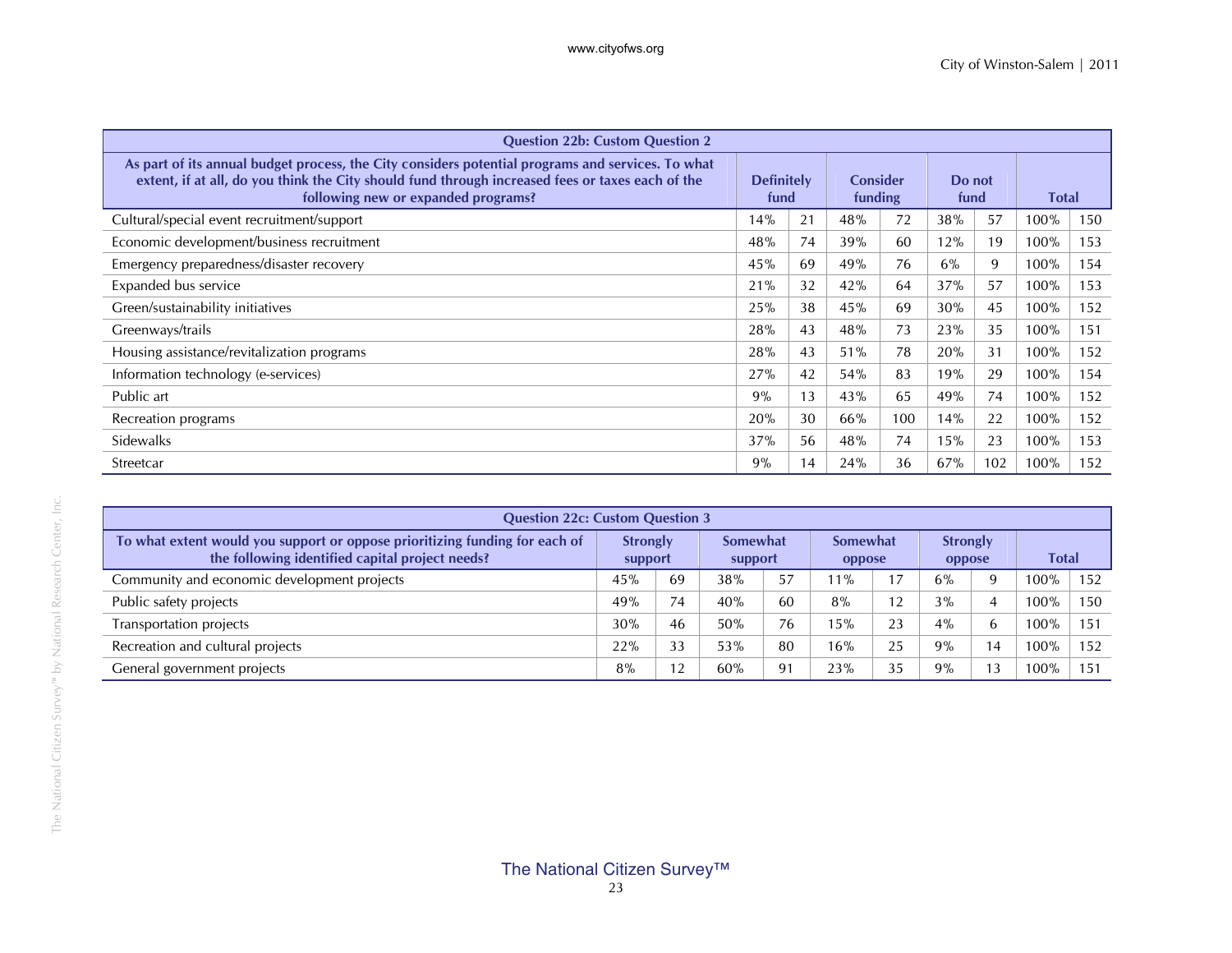| <b>Question 22b: Custom Question 2</b>                                                                                                                                                                                                       |                           |    |                            |     |                |     |              |     |
|----------------------------------------------------------------------------------------------------------------------------------------------------------------------------------------------------------------------------------------------|---------------------------|----|----------------------------|-----|----------------|-----|--------------|-----|
| As part of its annual budget process, the City considers potential programs and services. To what<br>extent, if at all, do you think the City should fund through increased fees or taxes each of the<br>following new or expanded programs? | <b>Definitely</b><br>fund |    | <b>Consider</b><br>funding |     | Do not<br>fund |     | <b>Total</b> |     |
| Cultural/special event recruitment/support                                                                                                                                                                                                   | 14%                       | 21 | 48%                        | 72  | 38%            | 57  | 100%         | 150 |
| Economic development/business recruitment                                                                                                                                                                                                    | 48%                       | 74 | 39%                        | 60  | 12%            | 19  | 100%         | 153 |
| Emergency preparedness/disaster recovery                                                                                                                                                                                                     | 45%                       | 69 | 49%                        | 76  | 6%             | 9   | 100%         | 154 |
| Expanded bus service                                                                                                                                                                                                                         | 21%                       | 32 | 42%                        | 64  | 37%            | 57  | 100%         | 153 |
| Green/sustainability initiatives                                                                                                                                                                                                             | 25%                       | 38 | 45%                        | 69  | 30%            | 45  | 100%         | 152 |
| Greenways/trails                                                                                                                                                                                                                             | 28%                       | 43 | 48%                        | 73  | 23%            | 35  | 100%         | 151 |
| Housing assistance/revitalization programs                                                                                                                                                                                                   | 28%                       | 43 | 51%                        | 78  | 20%            | 31  | 100%         | 152 |
| Information technology (e-services)                                                                                                                                                                                                          | 27%                       | 42 | 54%                        | 83  | 19%            | 29  | 100%         | 154 |
| Public art                                                                                                                                                                                                                                   | 9%                        | 13 | 43%                        | 65  | 49%            | 74  | 100%         | 152 |
| Recreation programs                                                                                                                                                                                                                          | 20%                       | 30 | 66%                        | 100 | 14%            | 22  | 100%         | 152 |
| Sidewalks                                                                                                                                                                                                                                    | 37%                       | 56 | 48%                        | 74  | 15%            | 23  | 100%         | 153 |
| Streetcar                                                                                                                                                                                                                                    | 9%                        | 14 | 24%                        | 36  | 67%            | 102 | 100%         | 152 |

| <b>Question 22c: Custom Question 3</b>                                                                                         |                            |    |                     |    |                           |    |                           |                |              |              |
|--------------------------------------------------------------------------------------------------------------------------------|----------------------------|----|---------------------|----|---------------------------|----|---------------------------|----------------|--------------|--------------|
| To what extent would you support or oppose prioritizing funding for each of<br>the following identified capital project needs? | <b>Strongly</b><br>support |    | Somewhat<br>support |    | <b>Somewhat</b><br>oppose |    | <b>Strongly</b><br>oppose |                | <b>Total</b> |              |
| Community and economic development projects                                                                                    | 45%                        | 69 | 38%                 | 57 | $11\%$                    |    | 6%                        |                | 100%         | 152          |
| Public safety projects                                                                                                         | 49%                        | 74 | 40%                 | 60 | 8%                        | 12 | 3%                        |                | 100%         | 150          |
| Transportation projects                                                                                                        | 30%                        | 46 | 50%                 | 76 | 15%                       | 23 | $4\%$                     | h              | $100\%$      | 151          |
| Recreation and cultural projects                                                                                               | 22%                        | 33 | 53%                 | 80 | 16%                       | 25 | 9%                        | $\overline{4}$ | 100%         | 152          |
| General government projects                                                                                                    | 8%                         |    | 60%                 | 91 | 23%                       | 35 | 9%                        | 13             | 100%         | $15^{\circ}$ |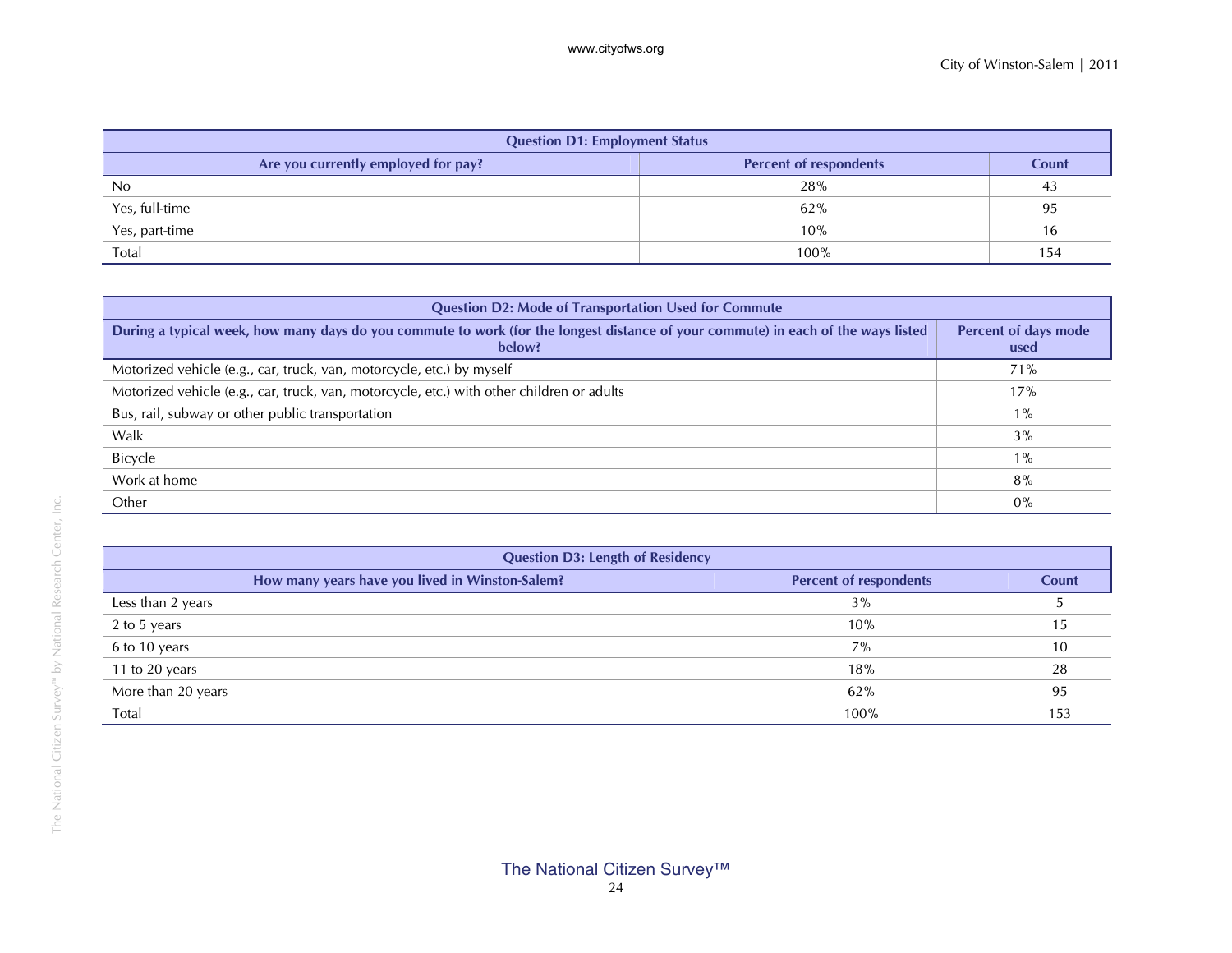| <b>Question D1: Employment Status</b> |                               |       |
|---------------------------------------|-------------------------------|-------|
| Are you currently employed for pay?   | <b>Percent of respondents</b> | Count |
| No                                    | 28%                           | 43    |
| Yes, full-time                        | 62%                           | 95    |
| Yes, part-time                        | 10%                           | 16    |
| Total                                 | 100%                          | 154   |

| <b>Question D2: Mode of Transportation Used for Commute</b>                                                                                 |                              |
|---------------------------------------------------------------------------------------------------------------------------------------------|------------------------------|
| During a typical week, how many days do you commute to work (for the longest distance of your commute) in each of the ways listed<br>below? | Percent of days mode<br>used |
| Motorized vehicle (e.g., car, truck, van, motorcycle, etc.) by myself                                                                       | 71%                          |
| Motorized vehicle (e.g., car, truck, van, motorcycle, etc.) with other children or adults                                                   | 17%                          |
| Bus, rail, subway or other public transportation                                                                                            | $1\%$                        |
| Walk                                                                                                                                        | 3%                           |
| Bicycle                                                                                                                                     | $1\%$                        |
| Work at home                                                                                                                                | 8%                           |
| Other                                                                                                                                       | $0\%$                        |

| <b>Question D3: Length of Residency</b>                                          |      |       |
|----------------------------------------------------------------------------------|------|-------|
| How many years have you lived in Winston-Salem?<br><b>Percent of respondents</b> |      | Count |
| Less than 2 years                                                                | 3%   |       |
| 2 to 5 years                                                                     | 10%  |       |
| 6 to 10 years                                                                    | 7%   | 10    |
| 11 to 20 years                                                                   | 18%  | 28    |
| More than 20 years                                                               | 62%  | 95    |
| Total                                                                            | 100% | 153   |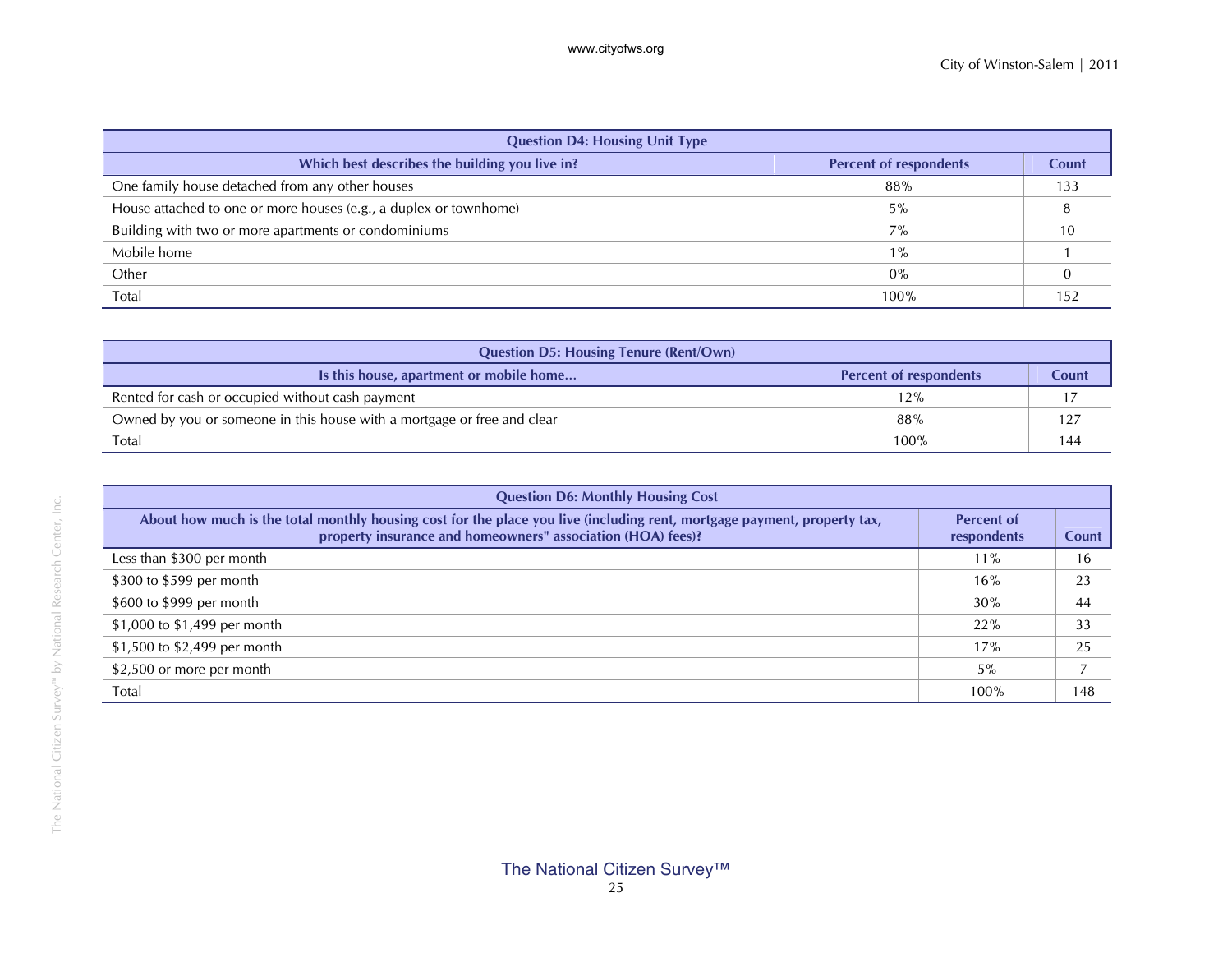| <b>Question D4: Housing Unit Type</b>                             |                               |       |
|-------------------------------------------------------------------|-------------------------------|-------|
| Which best describes the building you live in?                    | <b>Percent of respondents</b> | Count |
| One family house detached from any other houses                   | 88%                           | 133   |
| House attached to one or more houses (e.g., a duplex or townhome) | 5%                            |       |
| Building with two or more apartments or condominiums              | 7%                            | 10    |
| Mobile home                                                       | $1\%$                         |       |
| Other                                                             | 0%                            |       |
| Total                                                             | 100%                          | 152   |

| <b>Question D5: Housing Tenure (Rent/Own)</b>                           |                               |       |
|-------------------------------------------------------------------------|-------------------------------|-------|
| Is this house, apartment or mobile home                                 | <b>Percent of respondents</b> | Count |
| Rented for cash or occupied without cash payment                        | 12%                           |       |
| Owned by you or someone in this house with a mortgage or free and clear | 88%                           | 127   |
| Total                                                                   | 100%                          | 144   |

| <b>Question D6: Monthly Housing Cost</b>                                                                                                                                                |                                  |       |
|-----------------------------------------------------------------------------------------------------------------------------------------------------------------------------------------|----------------------------------|-------|
| About how much is the total monthly housing cost for the place you live (including rent, mortgage payment, property tax,<br>property insurance and homeowners" association (HOA) fees)? | <b>Percent of</b><br>respondents | Count |
| Less than \$300 per month                                                                                                                                                               | $11\%$                           | 16    |
| \$300 to \$599 per month                                                                                                                                                                | 16%                              | 23    |
| \$600 to \$999 per month                                                                                                                                                                | 30%                              | 44    |
| \$1,000 to \$1,499 per month                                                                                                                                                            | 22%                              | 33    |
| \$1,500 to \$2,499 per month                                                                                                                                                            | 17%                              | 25    |
| \$2,500 or more per month                                                                                                                                                               | $5\%$                            |       |
| Total                                                                                                                                                                                   | 100%                             | 148   |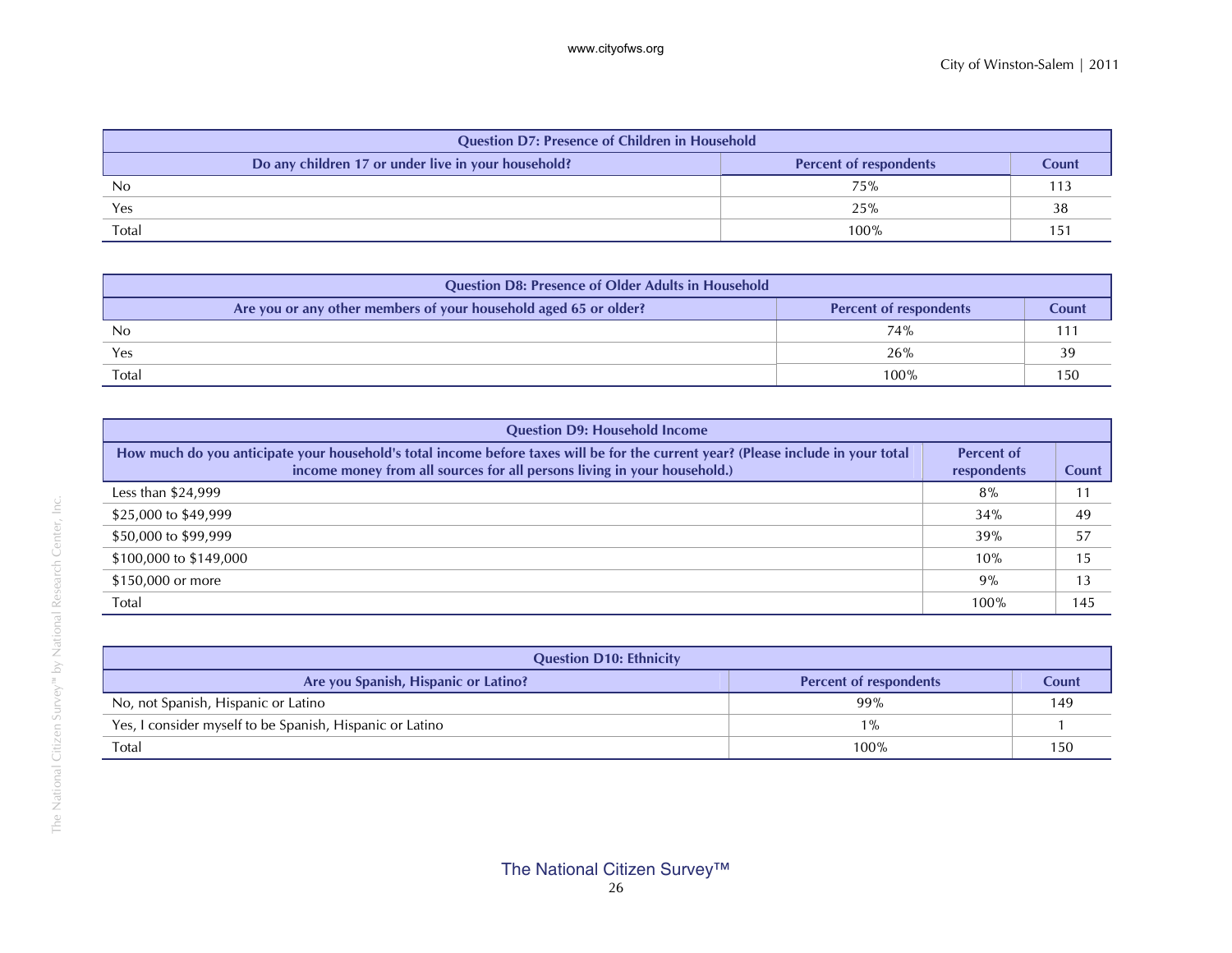| <b>Question D7: Presence of Children in Household</b>                                         |      |    |
|-----------------------------------------------------------------------------------------------|------|----|
| Do any children 17 or under live in your household?<br><b>Percent of respondents</b><br>Count |      |    |
| No                                                                                            | 75%  |    |
| Yes                                                                                           | 25%  | 38 |
| Total                                                                                         | 100% |    |

| <b>Question D8: Presence of Older Adults in Household</b>        |                        |       |
|------------------------------------------------------------------|------------------------|-------|
| Are you or any other members of your household aged 65 or older? | Percent of respondents | Count |
| <sub>No</sub>                                                    | 74%                    |       |
| Yes                                                              | 26%                    |       |
| <b>Total</b>                                                     | 100%                   | 150   |

| <b>Question D9: Household Income</b>                                                                                                                                                                          |                                  |       |
|---------------------------------------------------------------------------------------------------------------------------------------------------------------------------------------------------------------|----------------------------------|-------|
| How much do you anticipate your household's total income before taxes will be for the current year? (Please include in your total<br>income money from all sources for all persons living in your household.) | <b>Percent of</b><br>respondents | Count |
| Less than $$24,999$                                                                                                                                                                                           | 8%                               |       |
| \$25,000 to \$49,999                                                                                                                                                                                          | 34%                              | 49    |
| \$50,000 to \$99,999                                                                                                                                                                                          | 39%                              | 57    |
| \$100,000 to \$149,000                                                                                                                                                                                        | 10%                              | 15    |
| \$150,000 or more                                                                                                                                                                                             | $9\%$                            | 13    |
| Total                                                                                                                                                                                                         | 100%                             | 145   |

| <b>Question D10: Ethnicity</b>                           |                               |       |
|----------------------------------------------------------|-------------------------------|-------|
| Are you Spanish, Hispanic or Latino?                     | <b>Percent of respondents</b> | Count |
| No, not Spanish, Hispanic or Latino                      | 99%                           | 149   |
| Yes, I consider myself to be Spanish, Hispanic or Latino | $1\%$                         |       |
| Total                                                    | 100%                          | 150   |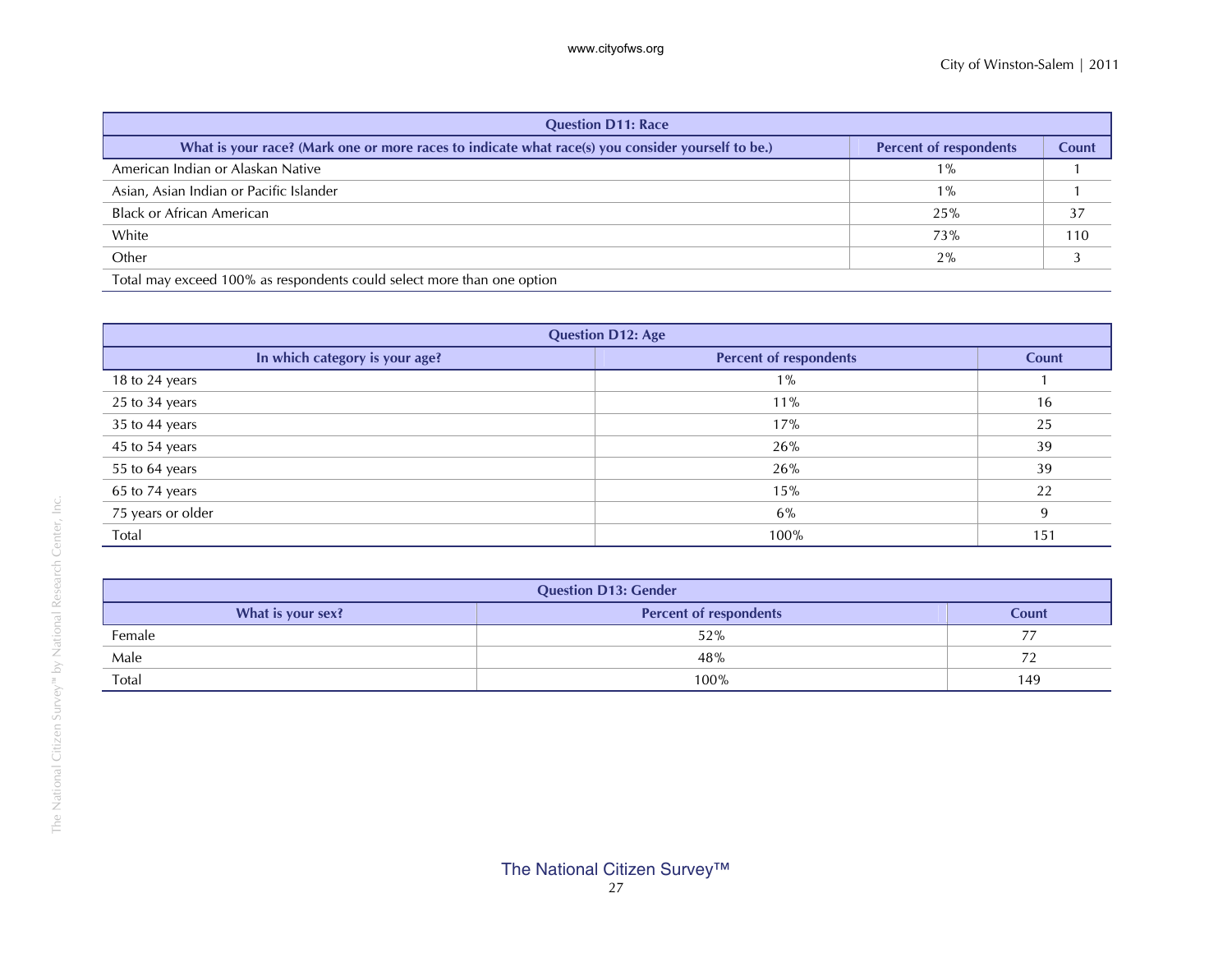| <b>Question D11: Race</b>                                                                         |                               |              |
|---------------------------------------------------------------------------------------------------|-------------------------------|--------------|
| What is your race? (Mark one or more races to indicate what race(s) you consider yourself to be.) | <b>Percent of respondents</b> | <b>Count</b> |
| American Indian or Alaskan Native                                                                 | $1\%$                         |              |
| Asian, Asian Indian or Pacific Islander                                                           | $1\%$                         |              |
| <b>Black or African American</b>                                                                  | 25%                           | 37           |
| White                                                                                             | 73%                           | 110          |
| Other                                                                                             | 2%                            |              |
| Total may exceed 100% as respondents could select more than one option                            |                               |              |

| <b>Question D12: Age</b>       |                               |       |
|--------------------------------|-------------------------------|-------|
| In which category is your age? | <b>Percent of respondents</b> | Count |
| 18 to 24 years                 | $1\%$                         |       |
| 25 to 34 years                 | 11%                           | 16    |
| 35 to 44 years                 | 17%                           | 25    |
| 45 to 54 years                 | 26%                           | 39    |
| 55 to 64 years                 | 26%                           | 39    |
| 65 to 74 years                 | 15%                           | 22    |
| 75 years or older              | 6%                            | 9     |
| Total                          | 100%                          | 151   |

| <b>Question D13: Gender</b> |                               |       |
|-----------------------------|-------------------------------|-------|
| What is your sex?           | <b>Percent of respondents</b> | Count |
| Female                      | 52%                           | $-1$  |
| Male                        | 48%                           |       |
| Total                       | 100%                          | 149   |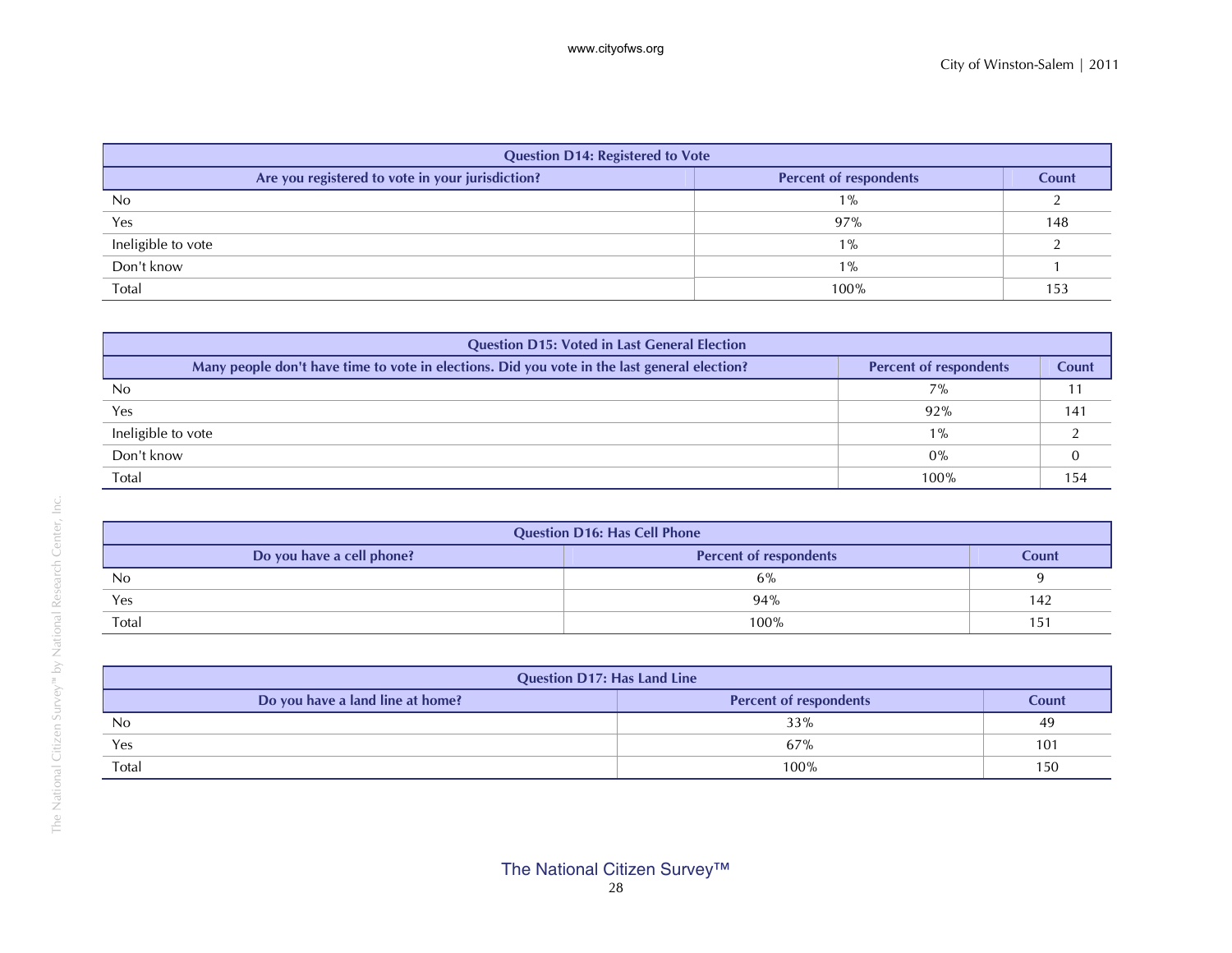| <b>Question D14: Registered to Vote</b>          |                               |       |
|--------------------------------------------------|-------------------------------|-------|
| Are you registered to vote in your jurisdiction? | <b>Percent of respondents</b> | Count |
| No                                               | $1\%$                         |       |
| Yes                                              | 97%                           | 148   |
| Ineligible to vote                               | $1\%$                         |       |
| Don't know                                       | $1\%$                         |       |
| Total                                            | 100%                          | 153   |

| <b>Question D15: Voted in Last General Election</b>                                          |                               |              |  |  |  |
|----------------------------------------------------------------------------------------------|-------------------------------|--------------|--|--|--|
| Many people don't have time to vote in elections. Did you vote in the last general election? | <b>Percent of respondents</b> | <b>Count</b> |  |  |  |
| N <sub>0</sub>                                                                               | 7%                            |              |  |  |  |
| Yes                                                                                          | 92%                           | 141          |  |  |  |
| Ineligible to vote                                                                           | $1\%$                         |              |  |  |  |
| Don't know                                                                                   | 0%                            |              |  |  |  |
| Total                                                                                        | 100%                          | 154          |  |  |  |

| <b>Question D16: Has Cell Phone</b> |                               |       |  |  |  |
|-------------------------------------|-------------------------------|-------|--|--|--|
| Do you have a cell phone?           | <b>Percent of respondents</b> | Count |  |  |  |
| N <sub>0</sub>                      | 6%                            |       |  |  |  |
| Yes                                 | 94%                           | 142   |  |  |  |
| Total                               | 100%                          | 151   |  |  |  |

| <b>Question D17: Has Land Line</b> |                               |       |  |  |
|------------------------------------|-------------------------------|-------|--|--|
| Do you have a land line at home?   | <b>Percent of respondents</b> | Count |  |  |
| N <sub>0</sub>                     | 33%                           | 49    |  |  |
| Yes                                | 67%                           | 101   |  |  |
| Total                              | 100%                          | 150   |  |  |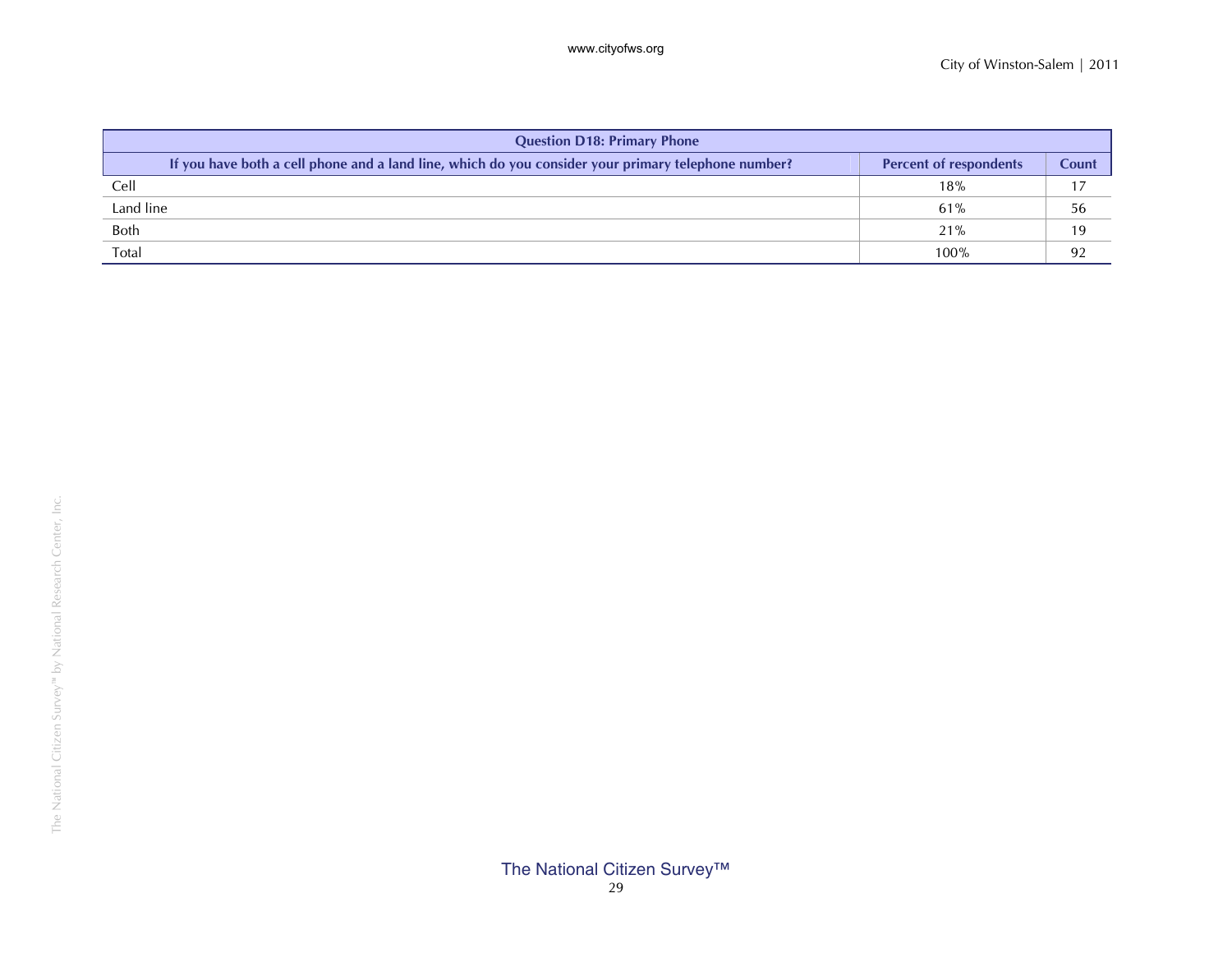| <b>Question D18: Primary Phone</b>                                                                  |                               |       |  |  |  |
|-----------------------------------------------------------------------------------------------------|-------------------------------|-------|--|--|--|
| If you have both a cell phone and a land line, which do you consider your primary telephone number? | <b>Percent of respondents</b> | Count |  |  |  |
| Cell                                                                                                | 18%                           |       |  |  |  |
| Land line                                                                                           | 61%                           | 56    |  |  |  |
| <b>Both</b>                                                                                         | 21%                           |       |  |  |  |
| Total                                                                                               | 100%                          | 92    |  |  |  |

### The National Citizen Survey™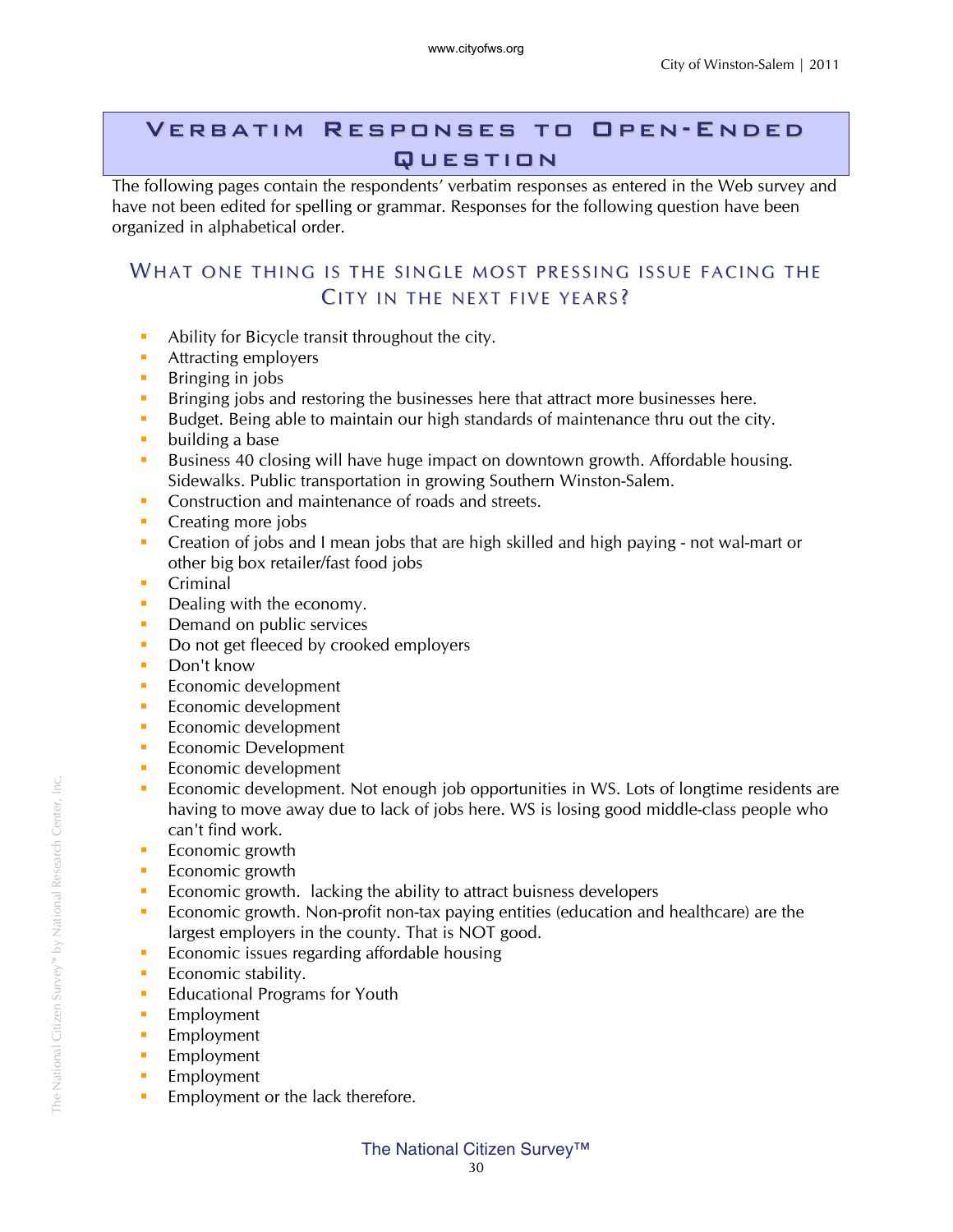#### Verbatim Responses to Open-Ended **QUESTION**

The following pages contain the respondents' verbatim responses as entered in the Web survey and have not been edited for spelling or grammar. Responses for the following question have been organized in alphabetical order.

#### WHAT ONE THING IS THE SINGLE MOST PRESSING ISSUE FACING THE CITY IN THE NEXT FIVE YEARS?

- Ability for Bicycle transit throughout the city.
- **Attracting employers**
- **Bringing in jobs**
- **Bringing jobs and restoring the businesses here that attract more businesses here.**
- Budget. Being able to maintain our high standards of maintenance thru out the city.
- **building a base**
- Business 40 closing will have huge impact on downtown growth. Affordable housing. Sidewalks. Public transportation in growing Southern Winston-Salem.
- **Construction and maintenance of roads and streets.**
- Creating more jobs
- Creation of jobs and I mean jobs that are high skilled and high paying not wal-mart or other big box retailer/fast food jobs
- **Criminal**
- Dealing with the economy.
- Demand on public services
- Do not get fleeced by crooked employers
- Don't know
- **Economic development**
- **Economic development**
- **Economic development**
- **Exercise** Economic Development
- **Economic development**
- Economic development. Not enough job opportunities in WS. Lots of longtime residents are having to move away due to lack of jobs here. WS is losing good middle-class people who can't find work.
- **Exercise** Economic growth
- **Exercise** Economic growth
- Economic growth. lacking the ability to attract buisness developers
- Economic growth. Non-profit non-tax paying entities (education and healthcare) are the largest employers in the county. That is NOT good.
- **Exercise** Economic issues regarding affordable housing
- **Economic stability.**
- **Educational Programs for Youth**
- **Employment**
- **Employment**
- **Employment**
- **Employment**
- **Employment or the lack therefore.**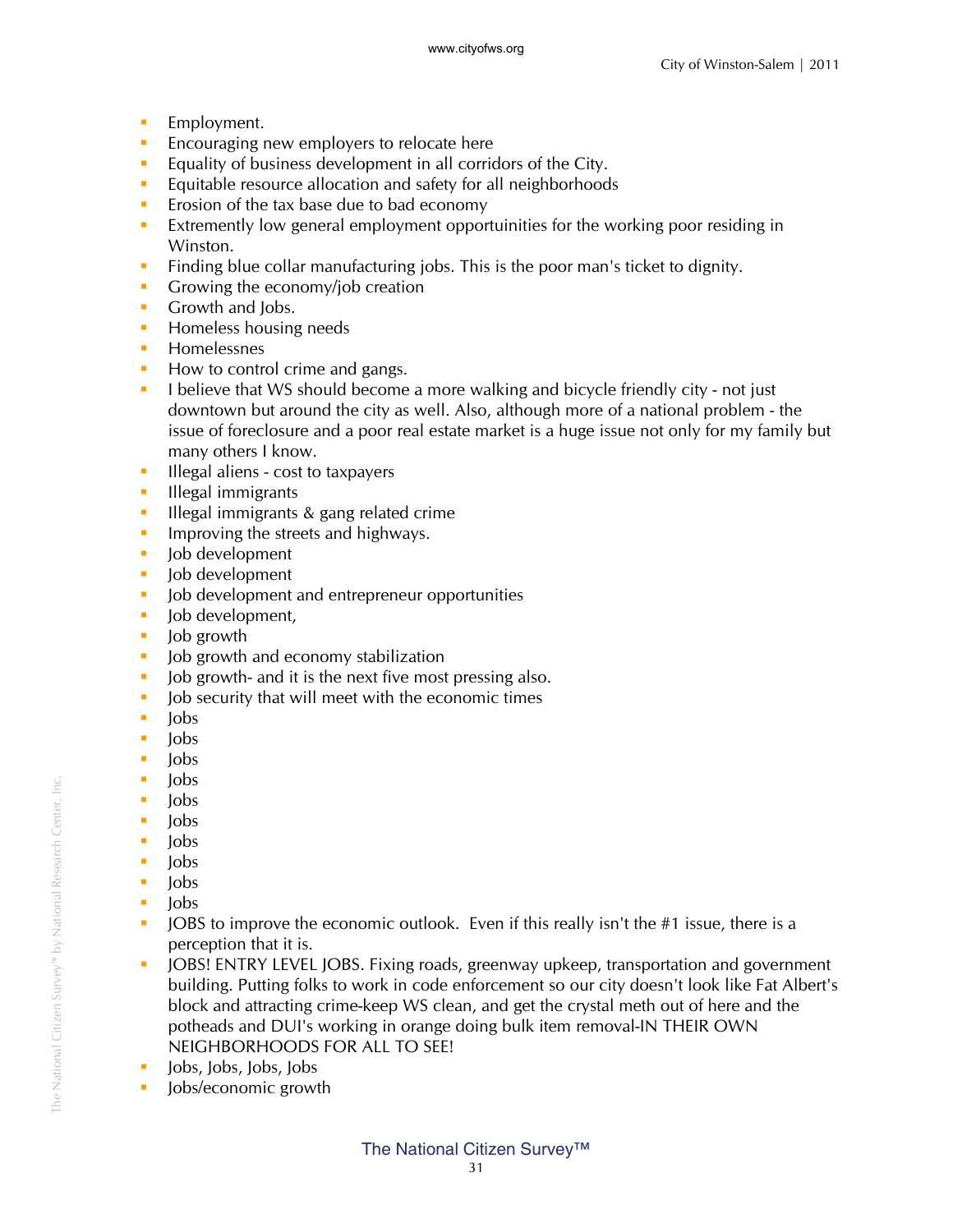- **Employment.**
- **Encouraging new employers to relocate here**
- **Equality of business development in all corridors of the City.**
- **Equitable resource allocation and safety for all neighborhoods**
- $\blacksquare$  Erosion of the tax base due to bad economy
- Extremently low general employment opportuinities for the working poor residing in Winston.
- Finding blue collar manufacturing jobs. This is the poor man's ticket to dignity.
- Growing the economy/job creation
- Growth and Jobs.
- **Homeless housing needs**
- **Homelessnes**
- How to control crime and gangs.
- I believe that WS should become a more walking and bicycle friendly city not just downtown but around the city as well. Also, although more of a national problem - the issue of foreclosure and a poor real estate market is a huge issue not only for my family but many others I know.
- **Illegal aliens cost to taxpayers**
- **Illegal immigrants**
- **Illegal immigrants & gang related crime**
- Improving the streets and highways.
- **Job development**
- **Job development**
- **Job development and entrepreneur opportunities**
- lob development,
- lob growth
- I Job growth and economy stabilization
- I lob growth- and it is the next five most pressing also.
- I Job security that will meet with the economic times
- $\blacksquare$  Jobs
- $\blacksquare$  lobs
- $\blacksquare$  Jobs
- lobs
- $\blacksquare$  Jobs
- $\blacksquare$  Jobs
- $\blacksquare$  lobs
- $\blacksquare$  Jobs
- lobs
- $\blacksquare$  Jobs
- **JOBS** to improve the economic outlook. Even if this really isn't the #1 issue, there is a perception that it is.
- DIGE: JOBS! ENTRY LEVEL JOBS. Fixing roads, greenway upkeep, transportation and government building. Putting folks to work in code enforcement so our city doesn't look like Fat Albert's block and attracting crime-keep WS clean, and get the crystal meth out of here and the potheads and DUI's working in orange doing bulk item removal-IN THEIR OWN NEIGHBORHOODS FOR ALL TO SEE!
- Jobs, Jobs, Jobs, Jobs
- **Jobs/economic growth**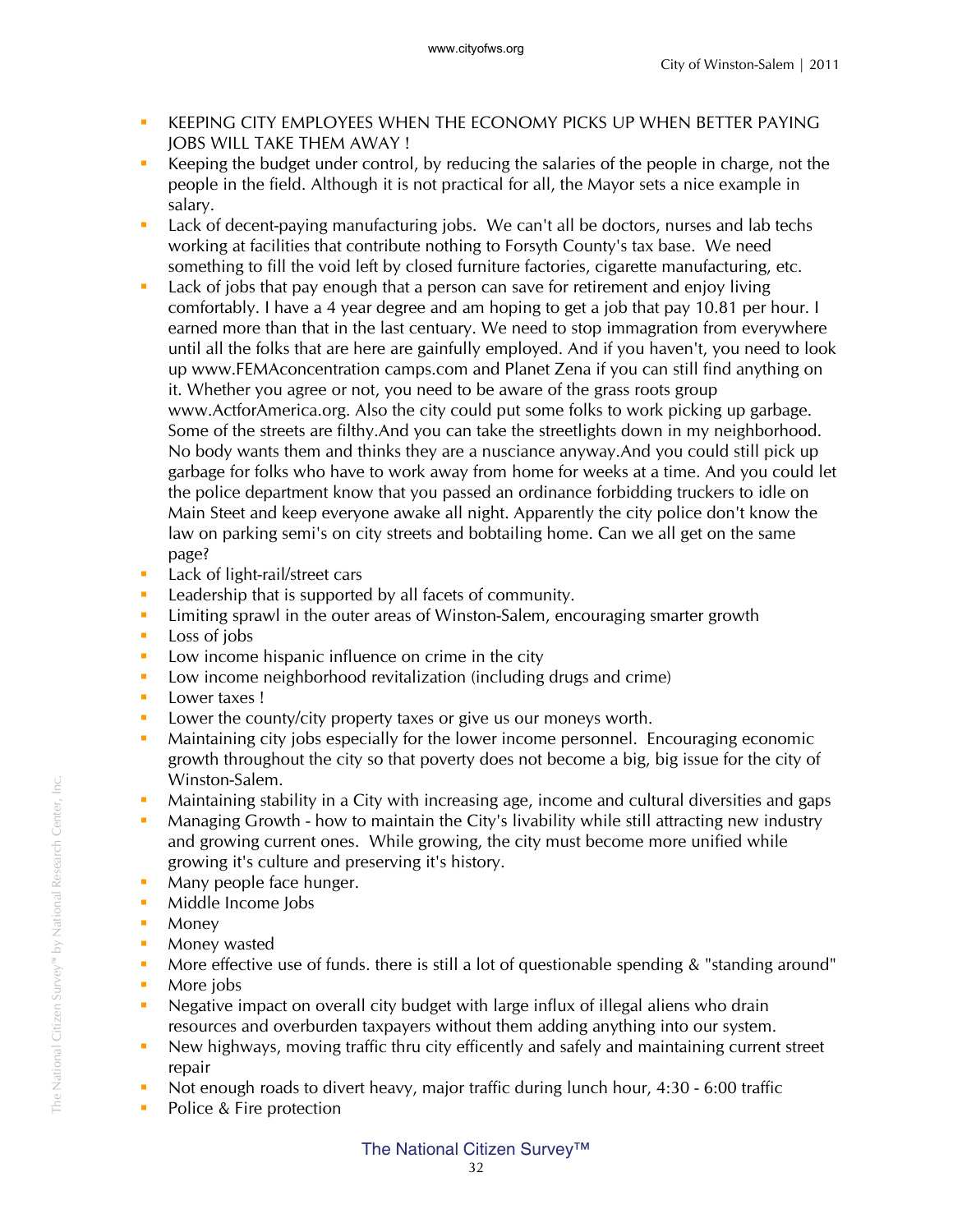- KEEPING CITY EMPLOYEES WHEN THE ECONOMY PICKS UP WHEN BETTER PAYING JOBS WILL TAKE THEM AWAY !
- Keeping the budget under control, by reducing the salaries of the people in charge, not the people in the field. Although it is not practical for all, the Mayor sets a nice example in salary.
- **Lack of decent-paying manufacturing jobs.** We can't all be doctors, nurses and lab techs working at facilities that contribute nothing to Forsyth County's tax base. We need something to fill the void left by closed furniture factories, cigarette manufacturing, etc.
- Lack of jobs that pay enough that a person can save for retirement and enjoy living comfortably. I have a 4 year degree and am hoping to get a job that pay 10.81 per hour. I earned more than that in the last centuary. We need to stop immagration from everywhere until all the folks that are here are gainfully employed. And if you haven't, you need to look up www.FEMAconcentration camps.com and Planet Zena if you can still find anything on it. Whether you agree or not, you need to be aware of the grass roots group www.ActforAmerica.org. Also the city could put some folks to work picking up garbage. Some of the streets are filthy.And you can take the streetlights down in my neighborhood. No body wants them and thinks they are a nusciance anyway.And you could still pick up garbage for folks who have to work away from home for weeks at a time. And you could let the police department know that you passed an ordinance forbidding truckers to idle on Main Steet and keep everyone awake all night. Apparently the city police don't know the law on parking semi's on city streets and bobtailing home. Can we all get on the same page?
- **Lack of light-rail/street cars**
- **Leadership that is supported by all facets of community.**
- **EXECT** Limiting sprawl in the outer areas of Winston-Salem, encouraging smarter growth
- $\text{Loss}$  of jobs
- **Low income hispanic influence on crime in the city**
- **Low income neighborhood revitalization (including drugs and crime)**
- **Lower taxes!**
- **Lower the county/city property taxes or give us our moneys worth.**
- Maintaining city jobs especially for the lower income personnel. Encouraging economic growth throughout the city so that poverty does not become a big, big issue for the city of Winston-Salem.
- Maintaining stability in a City with increasing age, income and cultural diversities and gaps
- **Managing Growth how to maintain the City's livability while still attracting new industry** and growing current ones. While growing, the city must become more unified while growing it's culture and preserving it's history.
- Many people face hunger.
- **Middle Income Jobs**
- **Money**
- **Money wasted**
- More effective use of funds. there is still a lot of questionable spending & "standing around"
- More jobs
- Negative impact on overall city budget with large influx of illegal aliens who drain resources and overburden taxpayers without them adding anything into our system.
- New highways, moving traffic thru city efficently and safely and maintaining current street repair
- Not enough roads to divert heavy, major traffic during lunch hour, 4:30 6:00 traffic
- Police & Fire protection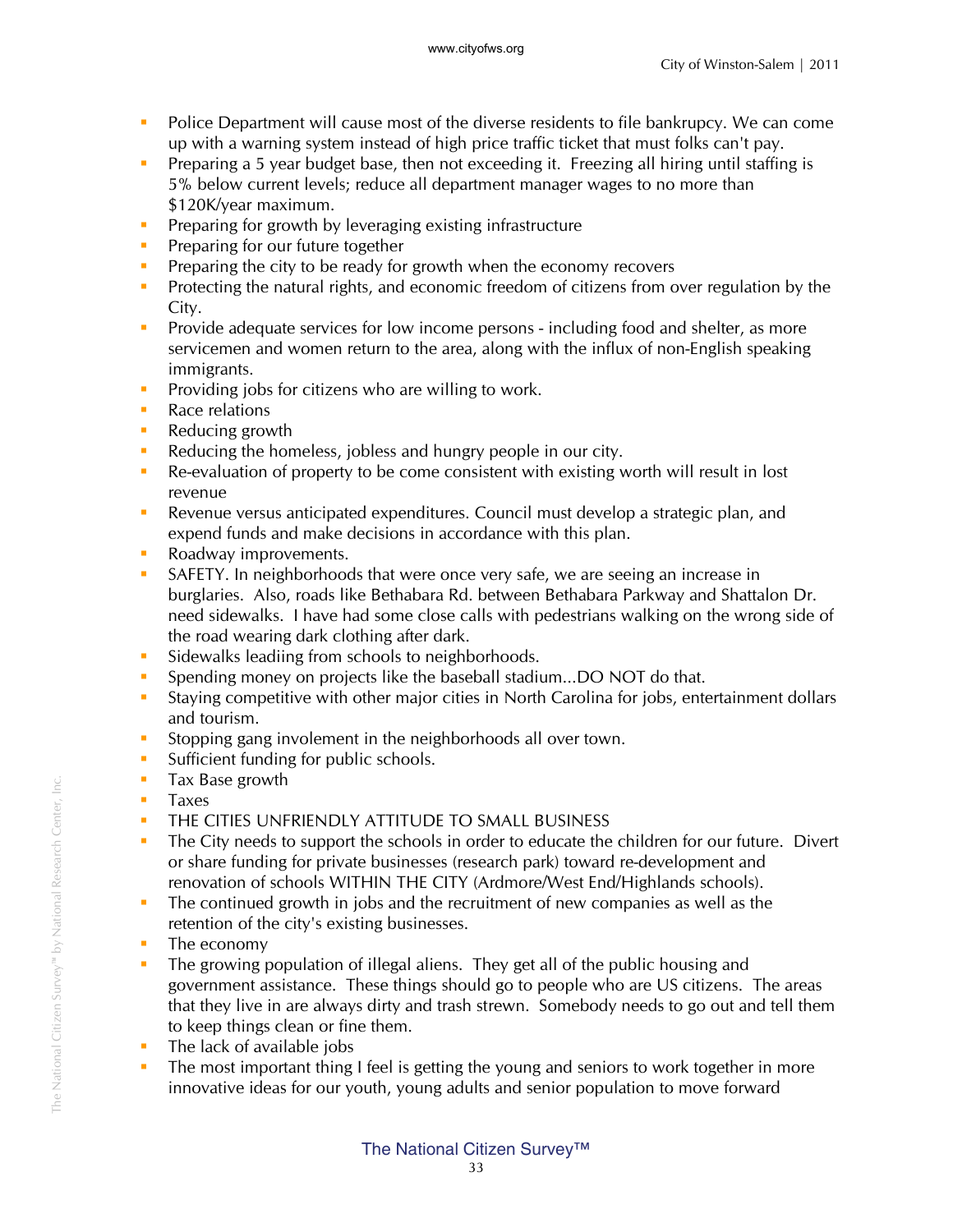- Police Department will cause most of the diverse residents to file bankrupcy. We can come up with a warning system instead of high price traffic ticket that must folks can't pay.
- **Preparing a 5 year budget base, then not exceeding it. Freezing all hiring until staffing is** 5% below current levels; reduce all department manager wages to no more than \$120K/year maximum.
- **Preparing for growth by leveraging existing infrastructure**
- **Preparing for our future together**
- **Preparing the city to be ready for growth when the economy recovers**
- **Protecting the natural rights, and economic freedom of citizens from over regulation by the** City.
- **Provide adequate services for low income persons including food and shelter, as more** servicemen and women return to the area, along with the influx of non-English speaking immigrants.
- **Providing jobs for citizens who are willing to work.**
- Race relations
- Reducing growth
- Reducing the homeless, jobless and hungry people in our city.
- Re-evaluation of property to be come consistent with existing worth will result in lost revenue
- Revenue versus anticipated expenditures. Council must develop a strategic plan, and expend funds and make decisions in accordance with this plan.
- Roadway improvements.
- SAFETY. In neighborhoods that were once very safe, we are seeing an increase in burglaries. Also, roads like Bethabara Rd. between Bethabara Parkway and Shattalon Dr. need sidewalks. I have had some close calls with pedestrians walking on the wrong side of the road wearing dark clothing after dark.
- **Sidewalks leadiing from schools to neighborhoods.**
- **Spending money on projects like the baseball stadium...DO NOT do that.**
- Staying competitive with other major cities in North Carolina for jobs, entertainment dollars and tourism.
- **Stopping gang involement in the neighborhoods all over town.**
- **Sufficient funding for public schools.**
- **Tax Base growth**
- **Taxes**
- **THE CITIES UNFRIENDLY ATTITUDE TO SMALL BUSINESS**
- The City needs to support the schools in order to educate the children for our future. Divert or share funding for private businesses (research park) toward re-development and renovation of schools WITHIN THE CITY (Ardmore/West End/Highlands schools).
- The continued growth in jobs and the recruitment of new companies as well as the retention of the city's existing businesses.
- The economy
- The growing population of illegal aliens. They get all of the public housing and government assistance. These things should go to people who are US citizens. The areas that they live in are always dirty and trash strewn. Somebody needs to go out and tell them to keep things clean or fine them.
- $\blacksquare$  The lack of available jobs
- The most important thing I feel is getting the young and seniors to work together in more innovative ideas for our youth, young adults and senior population to move forward